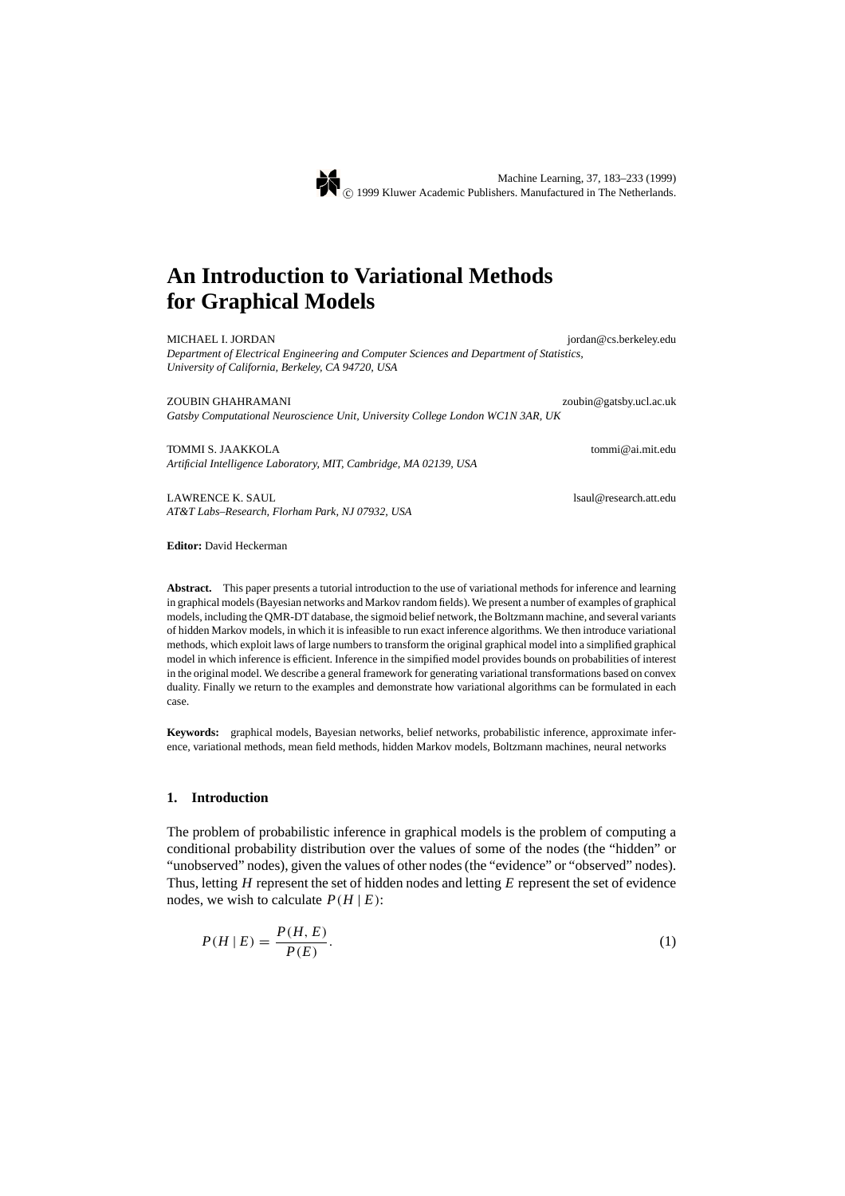# **An Introduction to Variational Methods for Graphical Models**

MICHAEL I. JORDAN jordan@cs.berkeley.edu *Department of Electrical Engineering and Computer Sciences and Department of Statistics, University of California, Berkeley, CA 94720, USA*

ZOUBIN GHAHRAMANI zoubin@gatsby.ucl.ac.uk *Gatsby Computational Neuroscience Unit, University College London WC1N 3AR, UK*

TOMMI S. JAAKKOLA tommi@ai.mit.edu *Artificial Intelligence Laboratory, MIT, Cambridge, MA 02139, USA*

LAWRENCE K. SAUL lsaul@research.att.edu *AT&T Labs–Research, Florham Park, NJ 07932, USA*

**Editor:** David Heckerman

**Abstract.** This paper presents a tutorial introduction to the use of variational methods for inference and learning in graphical models (Bayesian networks and Markov random fields). We present a number of examples of graphical models, including the QMR-DT database, the sigmoid belief network, the Boltzmann machine, and several variants of hidden Markov models, in which it is infeasible to run exact inference algorithms. We then introduce variational methods, which exploit laws of large numbers to transform the original graphical model into a simplified graphical model in which inference is efficient. Inference in the simpified model provides bounds on probabilities of interest in the original model. We describe a general framework for generating variational transformations based on convex duality. Finally we return to the examples and demonstrate how variational algorithms can be formulated in each case.

**Keywords:** graphical models, Bayesian networks, belief networks, probabilistic inference, approximate inference, variational methods, mean field methods, hidden Markov models, Boltzmann machines, neural networks

# **1. Introduction**

The problem of probabilistic inference in graphical models is the problem of computing a conditional probability distribution over the values of some of the nodes (the "hidden" or "unobserved" nodes), given the values of other nodes (the "evidence" or "observed" nodes). Thus, letting *H* represent the set of hidden nodes and letting *E* represent the set of evidence nodes, we wish to calculate  $P(H | E)$ :

$$
P(H \mid E) = \frac{P(H, E)}{P(E)}.\tag{1}
$$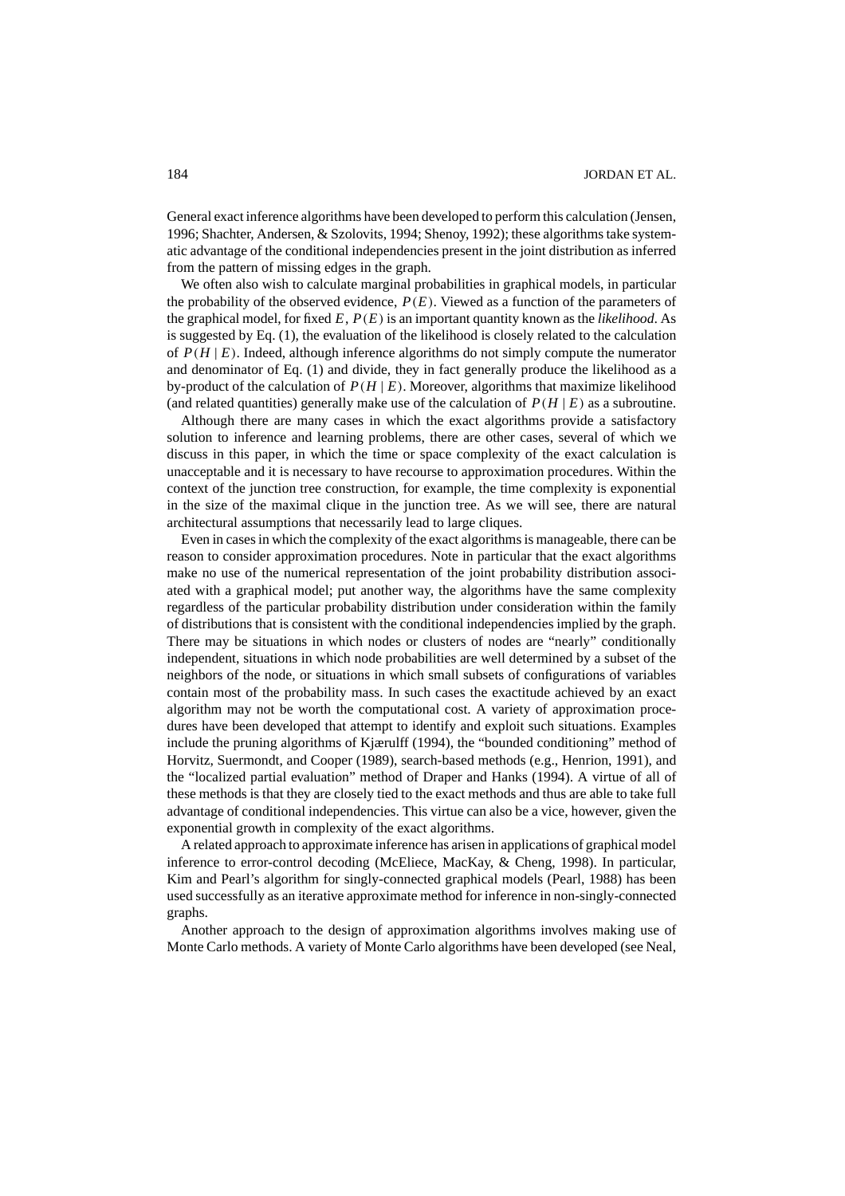General exact inference algorithms have been developed to perform this calculation (Jensen, 1996; Shachter, Andersen, & Szolovits, 1994; Shenoy, 1992); these algorithms take systematic advantage of the conditional independencies present in the joint distribution as inferred from the pattern of missing edges in the graph.

We often also wish to calculate marginal probabilities in graphical models, in particular the probability of the observed evidence, *P*(*E*). Viewed as a function of the parameters of the graphical model, for fixed *E*, *P*(*E*) is an important quantity known as the *likelihood*. As is suggested by Eq. (1), the evaluation of the likelihood is closely related to the calculation of  $P(H | E)$ . Indeed, although inference algorithms do not simply compute the numerator and denominator of Eq. (1) and divide, they in fact generally produce the likelihood as a by-product of the calculation of  $P(H \mid E)$ . Moreover, algorithms that maximize likelihood (and related quantities) generally make use of the calculation of  $P(H | E)$  as a subroutine.

Although there are many cases in which the exact algorithms provide a satisfactory solution to inference and learning problems, there are other cases, several of which we discuss in this paper, in which the time or space complexity of the exact calculation is unacceptable and it is necessary to have recourse to approximation procedures. Within the context of the junction tree construction, for example, the time complexity is exponential in the size of the maximal clique in the junction tree. As we will see, there are natural architectural assumptions that necessarily lead to large cliques.

Even in cases in which the complexity of the exact algorithms is manageable, there can be reason to consider approximation procedures. Note in particular that the exact algorithms make no use of the numerical representation of the joint probability distribution associated with a graphical model; put another way, the algorithms have the same complexity regardless of the particular probability distribution under consideration within the family of distributions that is consistent with the conditional independencies implied by the graph. There may be situations in which nodes or clusters of nodes are "nearly" conditionally independent, situations in which node probabilities are well determined by a subset of the neighbors of the node, or situations in which small subsets of configurations of variables contain most of the probability mass. In such cases the exactitude achieved by an exact algorithm may not be worth the computational cost. A variety of approximation procedures have been developed that attempt to identify and exploit such situations. Examples include the pruning algorithms of Kjærulff (1994), the "bounded conditioning" method of Horvitz, Suermondt, and Cooper (1989), search-based methods (e.g., Henrion, 1991), and the "localized partial evaluation" method of Draper and Hanks (1994). A virtue of all of these methods is that they are closely tied to the exact methods and thus are able to take full advantage of conditional independencies. This virtue can also be a vice, however, given the exponential growth in complexity of the exact algorithms.

A related approach to approximate inference has arisen in applications of graphical model inference to error-control decoding (McEliece, MacKay, & Cheng, 1998). In particular, Kim and Pearl's algorithm for singly-connected graphical models (Pearl, 1988) has been used successfully as an iterative approximate method for inference in non-singly-connected graphs.

Another approach to the design of approximation algorithms involves making use of Monte Carlo methods. A variety of Monte Carlo algorithms have been developed (see Neal,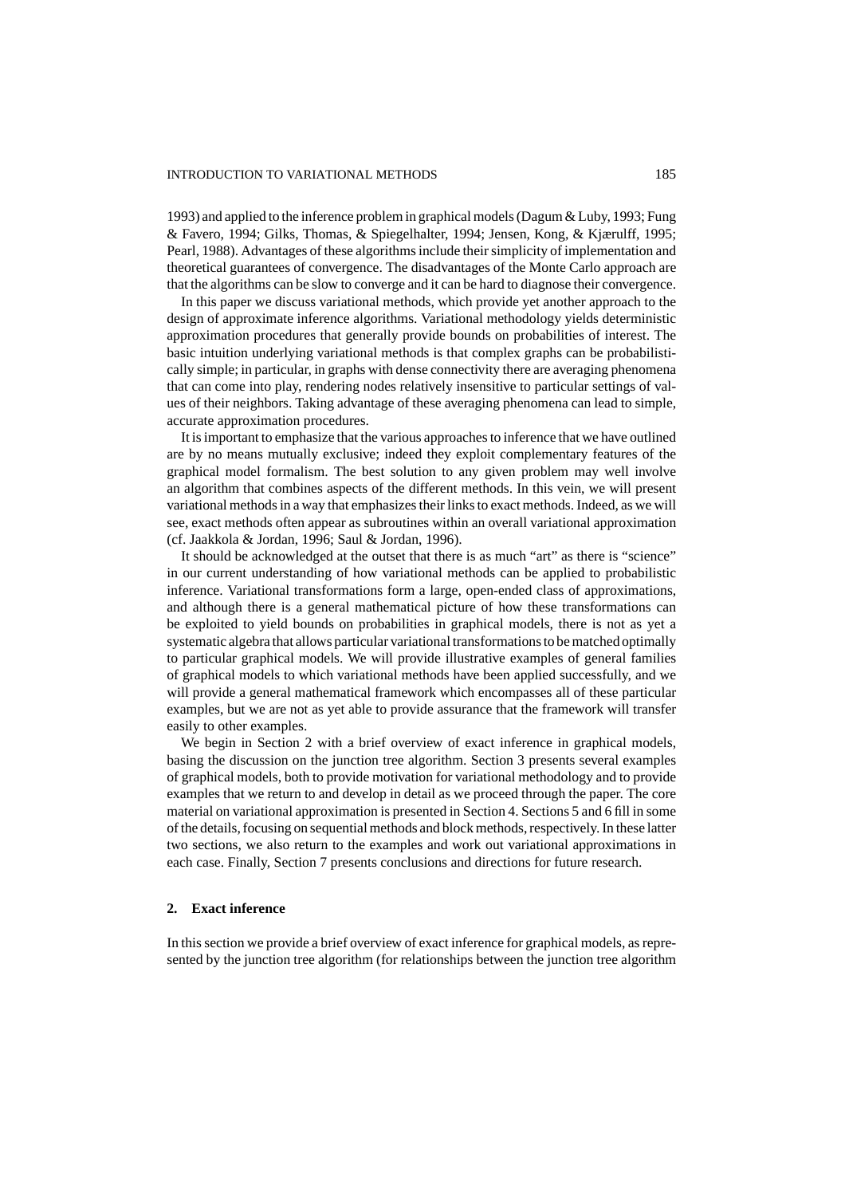#### INTRODUCTION TO VARIATIONAL METHODS 185

1993) and applied to the inference problem in graphical models (Dagum & Luby, 1993; Fung & Favero, 1994; Gilks, Thomas, & Spiegelhalter, 1994; Jensen, Kong, & Kjærulff, 1995; Pearl, 1988). Advantages of these algorithms include their simplicity of implementation and theoretical guarantees of convergence. The disadvantages of the Monte Carlo approach are that the algorithms can be slow to converge and it can be hard to diagnose their convergence.

In this paper we discuss variational methods, which provide yet another approach to the design of approximate inference algorithms. Variational methodology yields deterministic approximation procedures that generally provide bounds on probabilities of interest. The basic intuition underlying variational methods is that complex graphs can be probabilistically simple; in particular, in graphs with dense connectivity there are averaging phenomena that can come into play, rendering nodes relatively insensitive to particular settings of values of their neighbors. Taking advantage of these averaging phenomena can lead to simple, accurate approximation procedures.

It is important to emphasize that the various approaches to inference that we have outlined are by no means mutually exclusive; indeed they exploit complementary features of the graphical model formalism. The best solution to any given problem may well involve an algorithm that combines aspects of the different methods. In this vein, we will present variational methods in a way that emphasizes their links to exact methods. Indeed, as we will see, exact methods often appear as subroutines within an overall variational approximation (cf. Jaakkola & Jordan, 1996; Saul & Jordan, 1996).

It should be acknowledged at the outset that there is as much "art" as there is "science" in our current understanding of how variational methods can be applied to probabilistic inference. Variational transformations form a large, open-ended class of approximations, and although there is a general mathematical picture of how these transformations can be exploited to yield bounds on probabilities in graphical models, there is not as yet a systematic algebra that allows particular variational transformations to be matched optimally to particular graphical models. We will provide illustrative examples of general families of graphical models to which variational methods have been applied successfully, and we will provide a general mathematical framework which encompasses all of these particular examples, but we are not as yet able to provide assurance that the framework will transfer easily to other examples.

We begin in Section 2 with a brief overview of exact inference in graphical models, basing the discussion on the junction tree algorithm. Section 3 presents several examples of graphical models, both to provide motivation for variational methodology and to provide examples that we return to and develop in detail as we proceed through the paper. The core material on variational approximation is presented in Section 4. Sections 5 and 6 fill in some of the details, focusing on sequential methods and block methods, respectively. In these latter two sections, we also return to the examples and work out variational approximations in each case. Finally, Section 7 presents conclusions and directions for future research.

# **2. Exact inference**

In this section we provide a brief overview of exact inference for graphical models, as represented by the junction tree algorithm (for relationships between the junction tree algorithm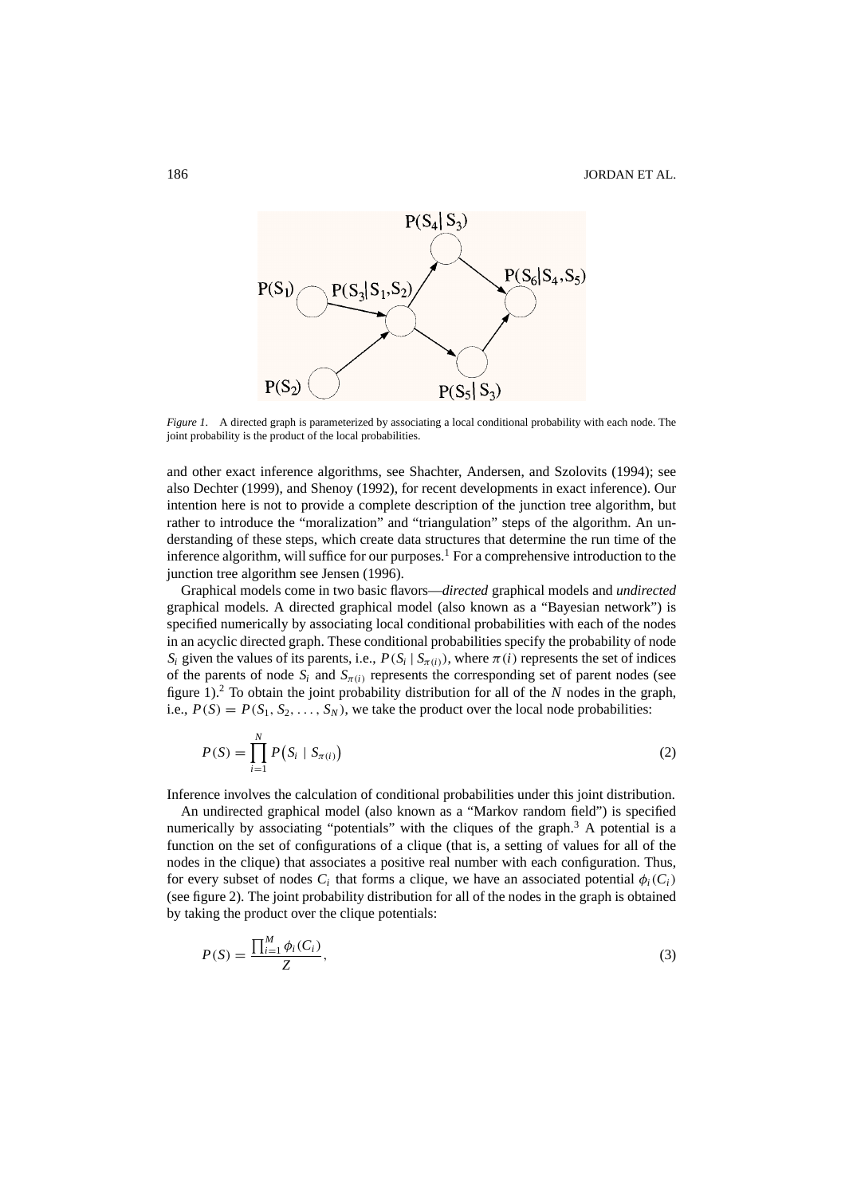

*Figure 1.* A directed graph is parameterized by associating a local conditional probability with each node. The joint probability is the product of the local probabilities.

and other exact inference algorithms, see Shachter, Andersen, and Szolovits (1994); see also Dechter (1999), and Shenoy (1992), for recent developments in exact inference). Our intention here is not to provide a complete description of the junction tree algorithm, but rather to introduce the "moralization" and "triangulation" steps of the algorithm. An understanding of these steps, which create data structures that determine the run time of the inference algorithm, will suffice for our purposes.<sup>1</sup> For a comprehensive introduction to the junction tree algorithm see Jensen (1996).

Graphical models come in two basic flavors—*directed* graphical models and *undirected* graphical models. A directed graphical model (also known as a "Bayesian network") is specified numerically by associating local conditional probabilities with each of the nodes in an acyclic directed graph. These conditional probabilities specify the probability of node *S<sub>i</sub>* given the values of its parents, i.e.,  $P(S_i | S_{\pi(i)})$ , where  $\pi(i)$  represents the set of indices of the parents of node  $S_i$  and  $S_{\pi(i)}$  represents the corresponding set of parent nodes (see figure 1).<sup>2</sup> To obtain the joint probability distribution for all of the *N* nodes in the graph, i.e.,  $P(S) = P(S_1, S_2, \ldots, S_N)$ , we take the product over the local node probabilities:

$$
P(S) = \prod_{i=1}^{N} P(S_i \mid S_{\pi(i)})
$$
\n(2)

Inference involves the calculation of conditional probabilities under this joint distribution.

An undirected graphical model (also known as a "Markov random field") is specified numerically by associating "potentials" with the cliques of the graph.<sup>3</sup> A potential is a function on the set of configurations of a clique (that is, a setting of values for all of the nodes in the clique) that associates a positive real number with each configuration. Thus, for every subset of nodes  $C_i$  that forms a clique, we have an associated potential  $\phi_i(C_i)$ (see figure 2). The joint probability distribution for all of the nodes in the graph is obtained by taking the product over the clique potentials:

$$
P(S) = \frac{\prod_{i=1}^{M} \phi_i(C_i)}{Z},\tag{3}
$$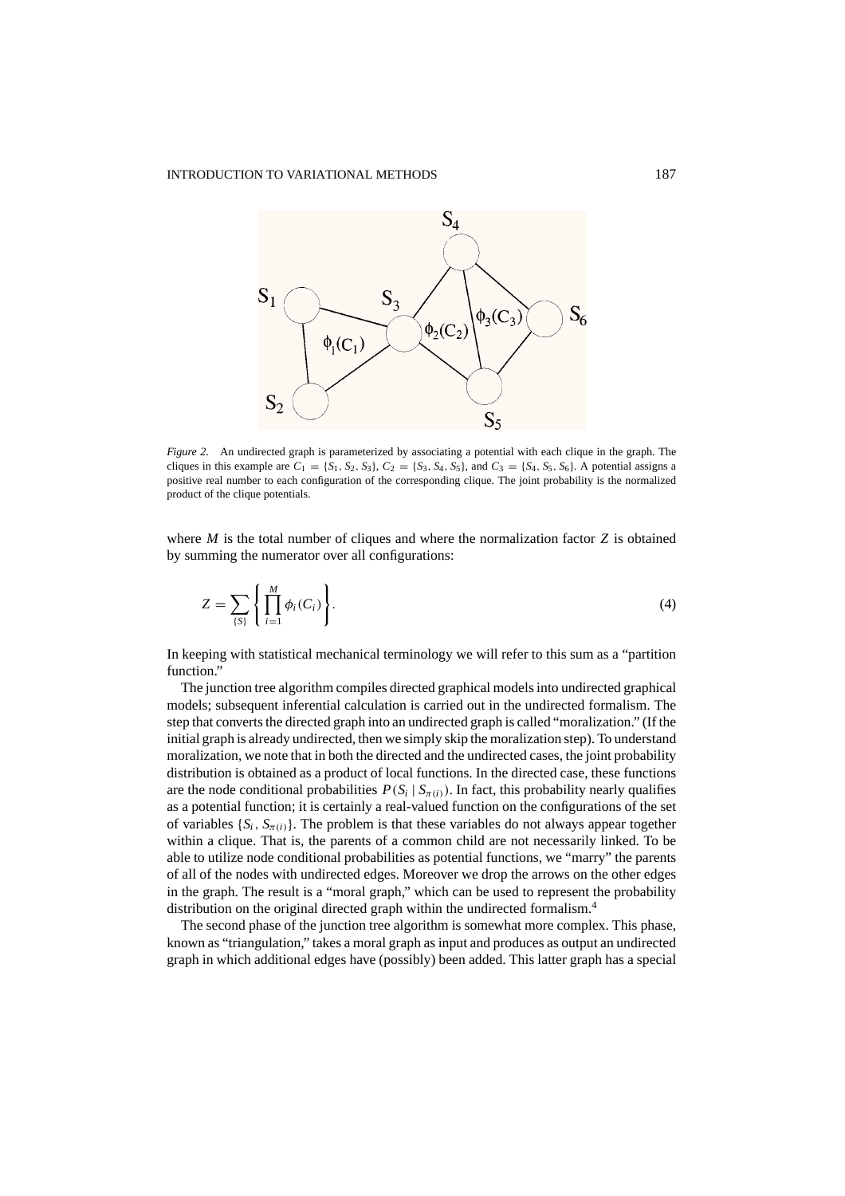

*Figure 2*. An undirected graph is parameterized by associating a potential with each clique in the graph. The cliques in this example are  $C_1 = \{S_1, S_2, S_3\}, C_2 = \{S_3, S_4, S_5\}$ , and  $C_3 = \{S_4, S_5, S_6\}.$  A potential assigns a positive real number to each configuration of the corresponding clique. The joint probability is the normalized product of the clique potentials.

where *M* is the total number of cliques and where the normalization factor *Z* is obtained by summing the numerator over all configurations:

$$
Z = \sum_{\{S\}} \left\{ \prod_{i=1}^{M} \phi_i(C_i) \right\}.
$$
\n<sup>(4)</sup>

In keeping with statistical mechanical terminology we will refer to this sum as a "partition function.'

The junction tree algorithm compiles directed graphical models into undirected graphical models; subsequent inferential calculation is carried out in the undirected formalism. The step that converts the directed graph into an undirected graph is called "moralization." (If the initial graph is already undirected, then we simply skip the moralization step). To understand moralization, we note that in both the directed and the undirected cases, the joint probability distribution is obtained as a product of local functions. In the directed case, these functions are the node conditional probabilities  $P(S_i | S_{\pi(i)})$ . In fact, this probability nearly qualifies as a potential function; it is certainly a real-valued function on the configurations of the set of variables  $\{S_i, S_{\pi(i)}\}$ . The problem is that these variables do not always appear together within a clique. That is, the parents of a common child are not necessarily linked. To be able to utilize node conditional probabilities as potential functions, we "marry" the parents of all of the nodes with undirected edges. Moreover we drop the arrows on the other edges in the graph. The result is a "moral graph," which can be used to represent the probability distribution on the original directed graph within the undirected formalism.4

The second phase of the junction tree algorithm is somewhat more complex. This phase, known as "triangulation," takes a moral graph as input and produces as output an undirected graph in which additional edges have (possibly) been added. This latter graph has a special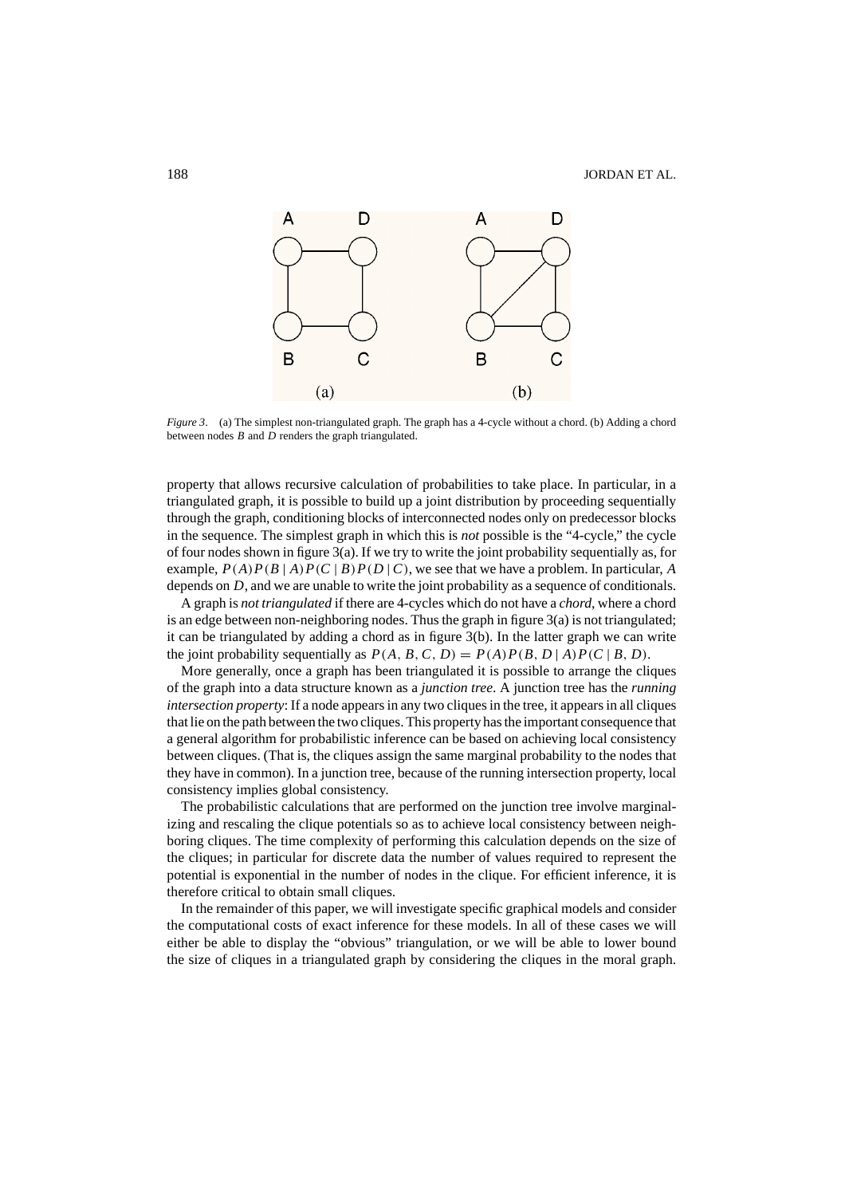

*Figure 3.* (a) The simplest non-triangulated graph. The graph has a 4-cycle without a chord. (b) Adding a chord between nodes *B* and *D* renders the graph triangulated.

property that allows recursive calculation of probabilities to take place. In particular, in a triangulated graph, it is possible to build up a joint distribution by proceeding sequentially through the graph, conditioning blocks of interconnected nodes only on predecessor blocks in the sequence. The simplest graph in which this is *not* possible is the "4-cycle," the cycle of four nodes shown in figure 3(a). If we try to write the joint probability sequentially as, for example,  $P(A)P(B|A)P(C|B)P(D|C)$ , we see that we have a problem. In particular, *A* depends on *D*, and we are unable to write the joint probability as a sequence of conditionals.

A graph is *not triangulated* if there are 4-cycles which do not have a *chord*, where a chord is an edge between non-neighboring nodes. Thus the graph in figure 3(a) is not triangulated; it can be triangulated by adding a chord as in figure 3(b). In the latter graph we can write the joint probability sequentially as  $P(A, B, C, D) = P(A)P(B, D|A)P(C|B, D)$ .

More generally, once a graph has been triangulated it is possible to arrange the cliques of the graph into a data structure known as a *junction tree*. A junction tree has the *running intersection property*: If a node appears in any two cliques in the tree, it appears in all cliques that lie on the path between the two cliques. This property has the important consequence that a general algorithm for probabilistic inference can be based on achieving local consistency between cliques. (That is, the cliques assign the same marginal probability to the nodes that they have in common). In a junction tree, because of the running intersection property, local consistency implies global consistency.

The probabilistic calculations that are performed on the junction tree involve marginalizing and rescaling the clique potentials so as to achieve local consistency between neighboring cliques. The time complexity of performing this calculation depends on the size of the cliques; in particular for discrete data the number of values required to represent the potential is exponential in the number of nodes in the clique. For efficient inference, it is therefore critical to obtain small cliques.

In the remainder of this paper, we will investigate specific graphical models and consider the computational costs of exact inference for these models. In all of these cases we will either be able to display the "obvious" triangulation, or we will be able to lower bound the size of cliques in a triangulated graph by considering the cliques in the moral graph.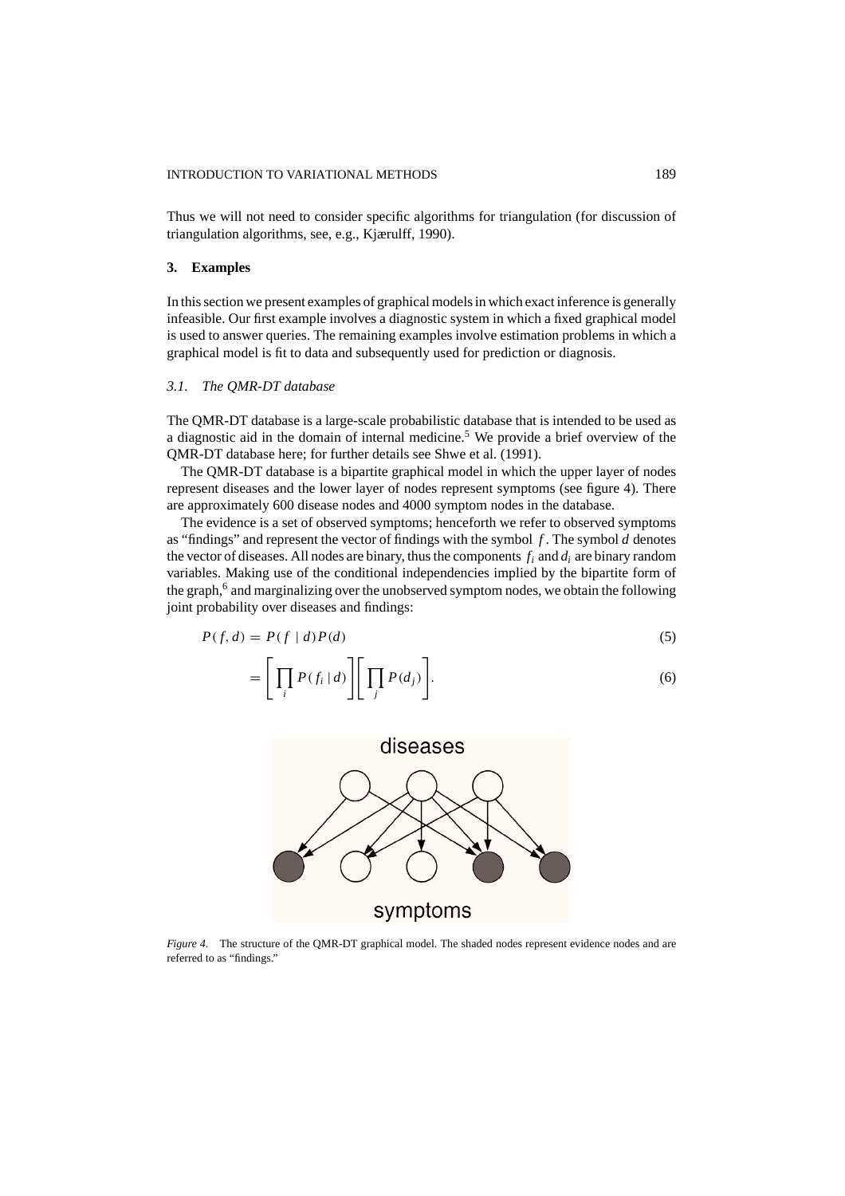#### INTRODUCTION TO VARIATIONAL METHODS 189

Thus we will not need to consider specific algorithms for triangulation (for discussion of triangulation algorithms, see, e.g., Kjærulff, 1990).

### **3. Examples**

In this section we present examples of graphical models in which exact inference is generally infeasible. Our first example involves a diagnostic system in which a fixed graphical model is used to answer queries. The remaining examples involve estimation problems in which a graphical model is fit to data and subsequently used for prediction or diagnosis.

## *3.1. The QMR-DT database*

The QMR-DT database is a large-scale probabilistic database that is intended to be used as a diagnostic aid in the domain of internal medicine.<sup>5</sup> We provide a brief overview of the QMR-DT database here; for further details see Shwe et al. (1991).

The QMR-DT database is a bipartite graphical model in which the upper layer of nodes represent diseases and the lower layer of nodes represent symptoms (see figure 4). There are approximately 600 disease nodes and 4000 symptom nodes in the database.

The evidence is a set of observed symptoms; henceforth we refer to observed symptoms as "findings" and represent the vector of findings with the symbol *f* . The symbol *d* denotes the vector of diseases. All nodes are binary, thus the components *fi* and *di* are binary random variables. Making use of the conditional independencies implied by the bipartite form of the graph, $6$  and marginalizing over the unobserved symptom nodes, we obtain the following joint probability over diseases and findings:

$$
P(f,d) = P(f | d)P(d)
$$
\n<sup>(5)</sup>

$$
= \left[ \prod_{i} P(f_i \mid d) \right] \left[ \prod_{j} P(d_j) \right]. \tag{6}
$$



*Figure 4.* The structure of the QMR-DT graphical model. The shaded nodes represent evidence nodes and are referred to as "findings."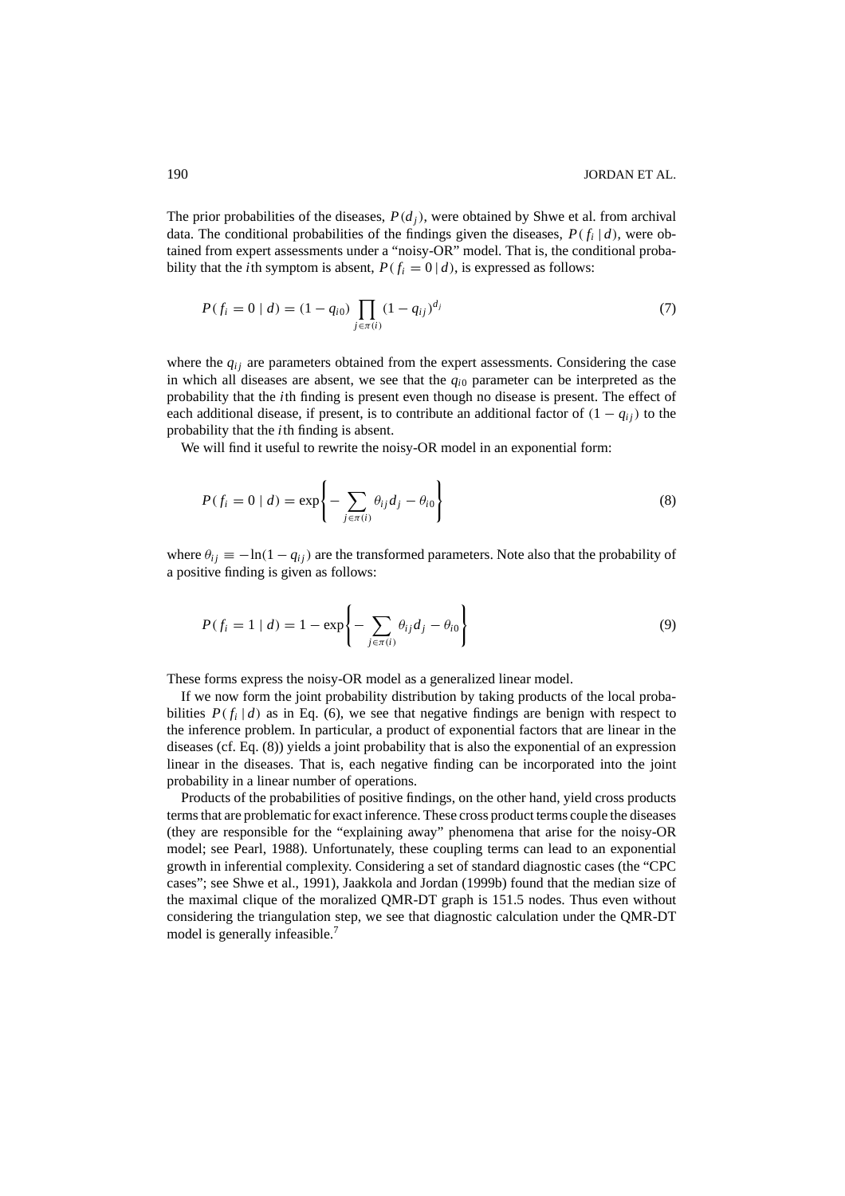The prior probabilities of the diseases,  $P(d_i)$ , were obtained by Shwe et al. from archival data. The conditional probabilities of the findings given the diseases,  $P(f_i | d)$ , were obtained from expert assessments under a "noisy-OR" model. That is, the conditional probability that the *i*th symptom is absent,  $P(f_i = 0 | d)$ , is expressed as follows:

$$
P(f_i = 0 | d) = (1 - q_{i0}) \prod_{j \in \pi(i)} (1 - q_{ij})^{d_j}
$$
\n(7)

where the  $q_{ij}$  are parameters obtained from the expert assessments. Considering the case in which all diseases are absent, we see that the  $q_{i0}$  parameter can be interpreted as the probability that the *i*th finding is present even though no disease is present. The effect of each additional disease, if present, is to contribute an additional factor of  $(1 - q_{ii})$  to the probability that the *i*th finding is absent.

We will find it useful to rewrite the noisy-OR model in an exponential form:

$$
P(f_i = 0 | d) = \exp\left\{-\sum_{j \in \pi(i)} \theta_{ij} d_j - \theta_{i0}\right\}
$$
\n(8)

where  $\theta_{ij} \equiv -\ln(1 - q_{ij})$  are the transformed parameters. Note also that the probability of a positive finding is given as follows:

$$
P(f_i = 1 | d) = 1 - \exp\left\{-\sum_{j \in \pi(i)} \theta_{ij} d_j - \theta_{i0}\right\}
$$
 (9)

These forms express the noisy-OR model as a generalized linear model.

If we now form the joint probability distribution by taking products of the local probabilities  $P(f_i | d)$  as in Eq. (6), we see that negative findings are benign with respect to the inference problem. In particular, a product of exponential factors that are linear in the diseases (cf. Eq. (8)) yields a joint probability that is also the exponential of an expression linear in the diseases. That is, each negative finding can be incorporated into the joint probability in a linear number of operations.

Products of the probabilities of positive findings, on the other hand, yield cross products terms that are problematic for exact inference. These cross product terms couple the diseases (they are responsible for the "explaining away" phenomena that arise for the noisy-OR model; see Pearl, 1988). Unfortunately, these coupling terms can lead to an exponential growth in inferential complexity. Considering a set of standard diagnostic cases (the "CPC cases"; see Shwe et al., 1991), Jaakkola and Jordan (1999b) found that the median size of the maximal clique of the moralized QMR-DT graph is 151.5 nodes. Thus even without considering the triangulation step, we see that diagnostic calculation under the QMR-DT model is generally infeasible.<sup>7</sup>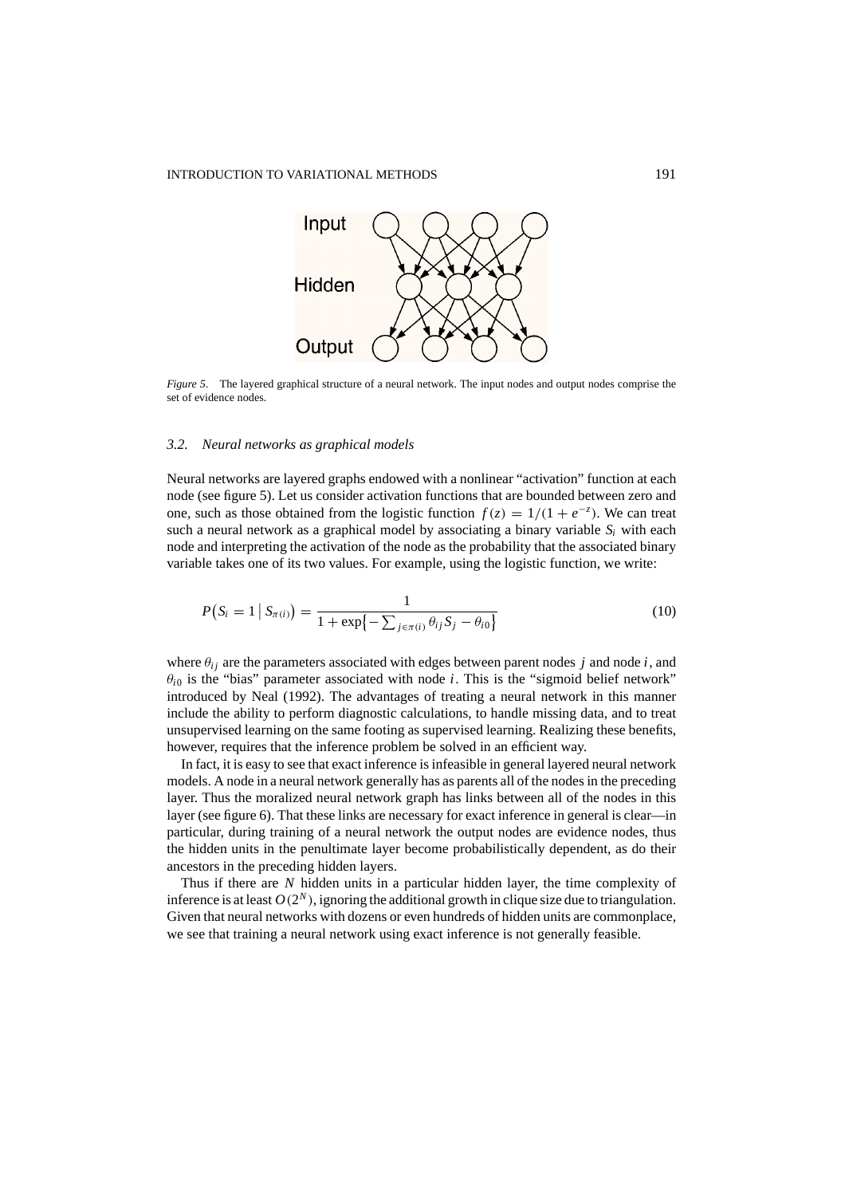

*Figure 5*. The layered graphical structure of a neural network. The input nodes and output nodes comprise the set of evidence nodes.

## *3.2. Neural networks as graphical models*

Neural networks are layered graphs endowed with a nonlinear "activation" function at each node (see figure 5). Let us consider activation functions that are bounded between zero and one, such as those obtained from the logistic function  $f(z) = 1/(1 + e^{-z})$ . We can treat such a neural network as a graphical model by associating a binary variable  $S_i$  with each node and interpreting the activation of the node as the probability that the associated binary variable takes one of its two values. For example, using the logistic function, we write:

$$
P(S_i = 1 | S_{\pi(i)}) = \frac{1}{1 + \exp\{-\sum_{j \in \pi(i)} \theta_{ij} S_j - \theta_{i0}\}}
$$
(10)

where  $\theta_{ij}$  are the parameters associated with edges between parent nodes *j* and node *i*, and  $\theta_{i0}$  is the "bias" parameter associated with node *i*. This is the "sigmoid belief network" introduced by Neal (1992). The advantages of treating a neural network in this manner include the ability to perform diagnostic calculations, to handle missing data, and to treat unsupervised learning on the same footing as supervised learning. Realizing these benefits, however, requires that the inference problem be solved in an efficient way.

In fact, it is easy to see that exact inference is infeasible in general layered neural network models. A node in a neural network generally has as parents all of the nodes in the preceding layer. Thus the moralized neural network graph has links between all of the nodes in this layer (see figure 6). That these links are necessary for exact inference in general is clear—in particular, during training of a neural network the output nodes are evidence nodes, thus the hidden units in the penultimate layer become probabilistically dependent, as do their ancestors in the preceding hidden layers.

Thus if there are *N* hidden units in a particular hidden layer, the time complexity of inference is at least  $O(2^N)$ , ignoring the additional growth in clique size due to triangulation. Given that neural networks with dozens or even hundreds of hidden units are commonplace, we see that training a neural network using exact inference is not generally feasible.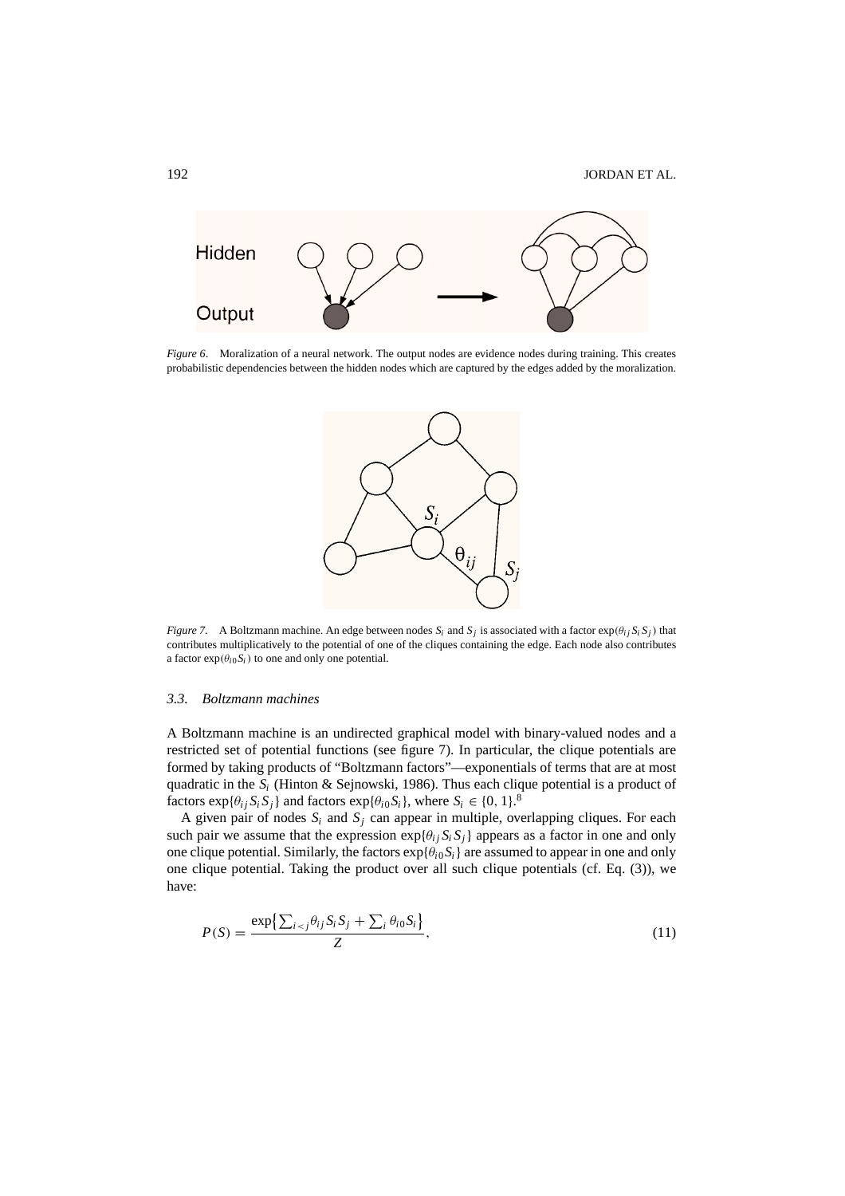

*Figure 6*. Moralization of a neural network. The output nodes are evidence nodes during training. This creates probabilistic dependencies between the hidden nodes which are captured by the edges added by the moralization.



*Figure 7.* A Boltzmann machine. An edge between nodes  $S_i$  and  $S_j$  is associated with a factor  $exp(\theta_{ij} S_i S_j)$  that contributes multiplicatively to the potential of one of the cliques containing the edge. Each node also contributes a factor  $exp(\theta_{i0} S_i)$  to one and only one potential.

## *3.3. Boltzmann machines*

A Boltzmann machine is an undirected graphical model with binary-valued nodes and a restricted set of potential functions (see figure 7). In particular, the clique potentials are formed by taking products of "Boltzmann factors"—exponentials of terms that are at most quadratic in the *Si* (Hinton & Sejnowski, 1986). Thus each clique potential is a product of factors  $\exp{\{\theta_{ij} S_i S_j\}}$  and factors  $\exp{\{\theta_{i0} S_i\}}$ , where  $S_i \in \{0, 1\}$ .<sup>8</sup>

A given pair of nodes  $S_i$  and  $S_j$  can appear in multiple, overlapping cliques. For each such pair we assume that the expression  $exp{\{\theta_{ij} S_i S_j\}}$  appears as a factor in one and only one clique potential. Similarly, the factors  $exp{\{\theta_{i0} S_i\}}$  are assumed to appear in one and only one clique potential. Taking the product over all such clique potentials (cf. Eq. (3)), we have:

$$
P(S) = \frac{\exp\left\{\sum_{i < j} \theta_{ij} S_i S_j + \sum_i \theta_{i0} S_i\right\}}{Z},\tag{11}
$$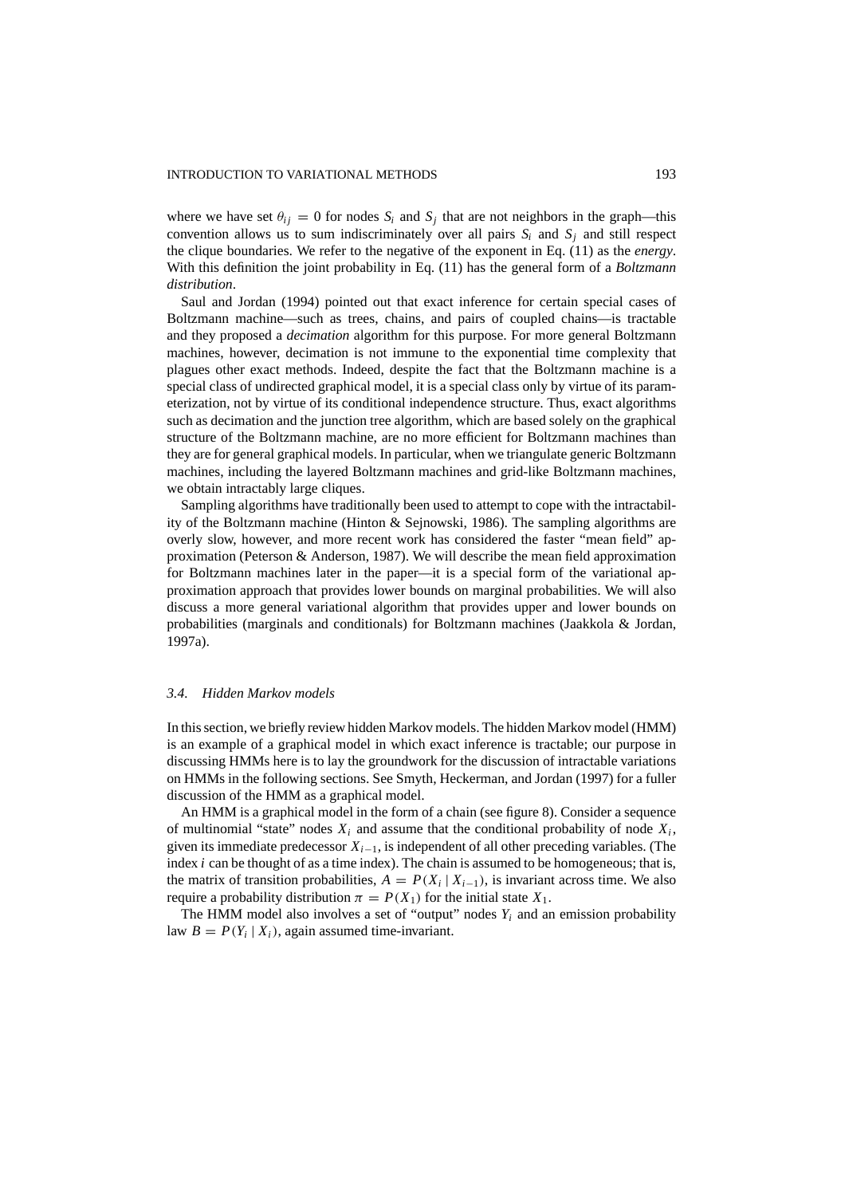where we have set  $\theta_{ij} = 0$  for nodes  $S_i$  and  $S_j$  that are not neighbors in the graph—this convention allows us to sum indiscriminately over all pairs  $S_i$  and  $S_j$  and still respect the clique boundaries. We refer to the negative of the exponent in Eq. (11) as the *energy*. With this definition the joint probability in Eq. (11) has the general form of a *Boltzmann distribution*.

Saul and Jordan (1994) pointed out that exact inference for certain special cases of Boltzmann machine—such as trees, chains, and pairs of coupled chains—is tractable and they proposed a *decimation* algorithm for this purpose. For more general Boltzmann machines, however, decimation is not immune to the exponential time complexity that plagues other exact methods. Indeed, despite the fact that the Boltzmann machine is a special class of undirected graphical model, it is a special class only by virtue of its parameterization, not by virtue of its conditional independence structure. Thus, exact algorithms such as decimation and the junction tree algorithm, which are based solely on the graphical structure of the Boltzmann machine, are no more efficient for Boltzmann machines than they are for general graphical models. In particular, when we triangulate generic Boltzmann machines, including the layered Boltzmann machines and grid-like Boltzmann machines, we obtain intractably large cliques.

Sampling algorithms have traditionally been used to attempt to cope with the intractability of the Boltzmann machine (Hinton & Sejnowski, 1986). The sampling algorithms are overly slow, however, and more recent work has considered the faster "mean field" approximation (Peterson & Anderson, 1987). We will describe the mean field approximation for Boltzmann machines later in the paper—it is a special form of the variational approximation approach that provides lower bounds on marginal probabilities. We will also discuss a more general variational algorithm that provides upper and lower bounds on probabilities (marginals and conditionals) for Boltzmann machines (Jaakkola & Jordan, 1997a).

## *3.4. Hidden Markov models*

In this section, we briefly review hidden Markov models. The hidden Markov model (HMM) is an example of a graphical model in which exact inference is tractable; our purpose in discussing HMMs here is to lay the groundwork for the discussion of intractable variations on HMMs in the following sections. See Smyth, Heckerman, and Jordan (1997) for a fuller discussion of the HMM as a graphical model.

An HMM is a graphical model in the form of a chain (see figure 8). Consider a sequence of multinomial "state" nodes  $X_i$  and assume that the conditional probability of node  $X_i$ , given its immediate predecessor *Xi*−1, is independent of all other preceding variables. (The index *i* can be thought of as a time index). The chain is assumed to be homogeneous; that is, the matrix of transition probabilities,  $A = P(X_i | X_{i-1})$ , is invariant across time. We also require a probability distribution  $\pi = P(X_1)$  for the initial state  $X_1$ .

The HMM model also involves a set of "output" nodes  $Y_i$  and an emission probability law  $B = P(Y_i | X_i)$ , again assumed time-invariant.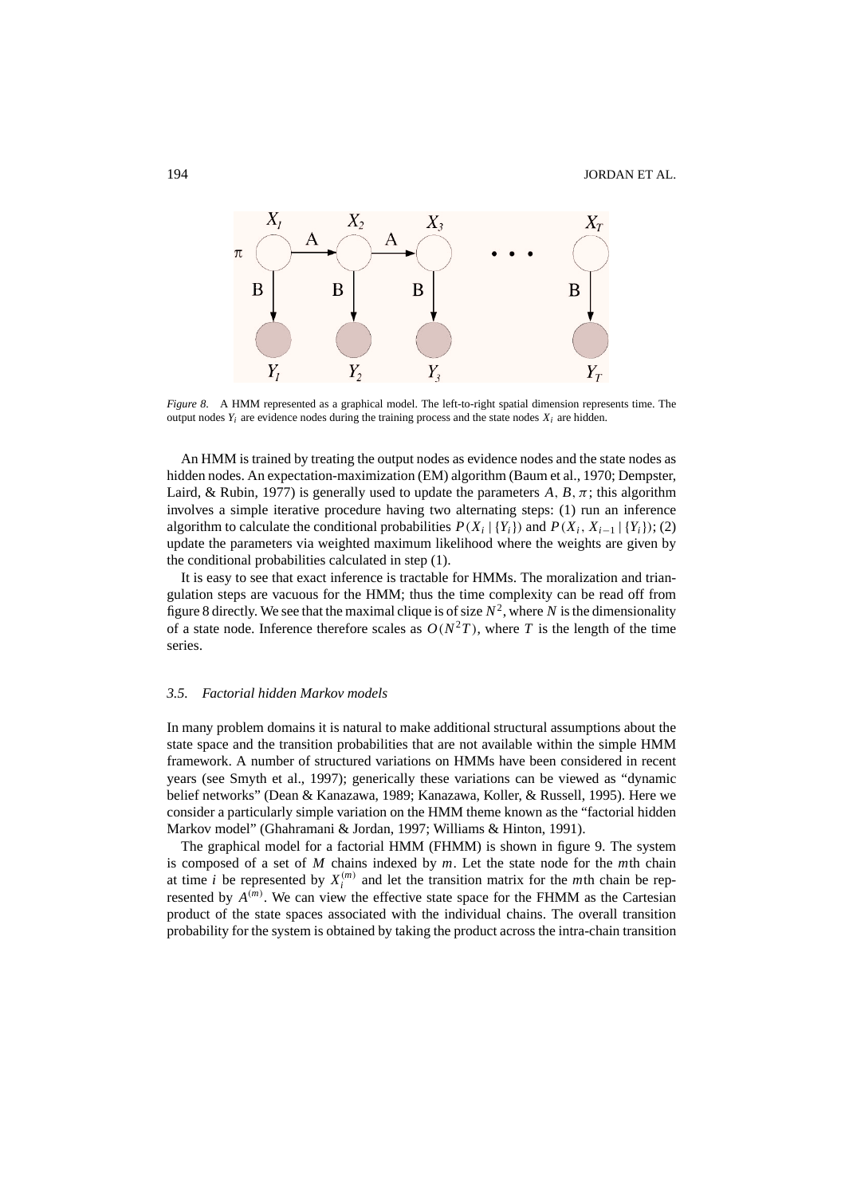

*Figure 8*. A HMM represented as a graphical model. The left-to-right spatial dimension represents time. The output nodes  $Y_i$  are evidence nodes during the training process and the state nodes  $X_i$  are hidden.

An HMM is trained by treating the output nodes as evidence nodes and the state nodes as hidden nodes. An expectation-maximization (EM) algorithm (Baum et al., 1970; Dempster, Laird, & Rubin, 1977) is generally used to update the parameters  $A, B, \pi$ ; this algorithm involves a simple iterative procedure having two alternating steps: (1) run an inference algorithm to calculate the conditional probabilities  $P(X_i | {Y_i})$  and  $P(X_i, X_{i-1} | {Y_i})$ ; (2) update the parameters via weighted maximum likelihood where the weights are given by the conditional probabilities calculated in step (1).

It is easy to see that exact inference is tractable for HMMs. The moralization and triangulation steps are vacuous for the HMM; thus the time complexity can be read off from figure 8 directly. We see that the maximal clique is of size  $N^2$ , where N is the dimensionality of a state node. Inference therefore scales as  $O(N^2T)$ , where *T* is the length of the time series.

## *3.5. Factorial hidden Markov models*

In many problem domains it is natural to make additional structural assumptions about the state space and the transition probabilities that are not available within the simple HMM framework. A number of structured variations on HMMs have been considered in recent years (see Smyth et al., 1997); generically these variations can be viewed as "dynamic belief networks" (Dean & Kanazawa, 1989; Kanazawa, Koller, & Russell, 1995). Here we consider a particularly simple variation on the HMM theme known as the "factorial hidden Markov model" (Ghahramani & Jordan, 1997; Williams & Hinton, 1991).

The graphical model for a factorial HMM (FHMM) is shown in figure 9. The system is composed of a set of *M* chains indexed by *m*. Let the state node for the *m*th chain at time *i* be represented by  $X_i^{(m)}$  and let the transition matrix for the *m*th chain be represented by  $A^{(m)}$ . We can view the effective state space for the FHMM as the Cartesian product of the state spaces associated with the individual chains. The overall transition probability for the system is obtained by taking the product across the intra-chain transition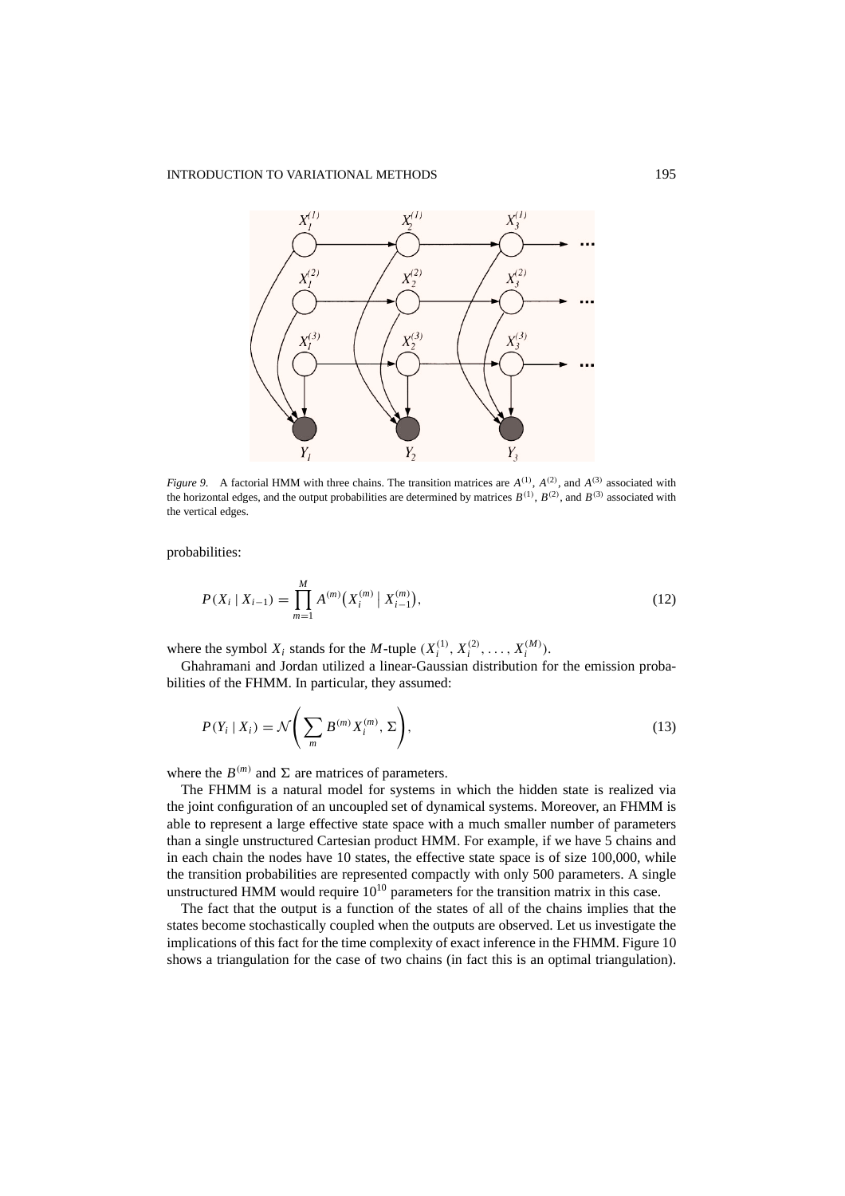

*Figure 9.* A factorial HMM with three chains. The transition matrices are  $A^{(1)}$ ,  $A^{(2)}$ , and  $A^{(3)}$  associated with the horizontal edges, and the output probabilities are determined by matrices  $B^{(1)}$ ,  $B^{(2)}$ , and  $B^{(3)}$  associated with the vertical edges.

probabilities:

$$
P(X_i | X_{i-1}) = \prod_{m=1}^{M} A^{(m)}\big(X_i^{(m)} | X_{i-1}^{(m)}\big),\tag{12}
$$

where the symbol  $X_i$  stands for the *M*-tuple  $(X_i^{(1)}, X_i^{(2)}, \ldots, X_i^{(M)})$ .

Ghahramani and Jordan utilized a linear-Gaussian distribution for the emission probabilities of the FHMM. In particular, they assumed:

$$
P(Y_i \mid X_i) = \mathcal{N}\left(\sum_{m} B^{(m)} X_i^{(m)}, \Sigma\right),\tag{13}
$$

where the  $B^{(m)}$  and  $\Sigma$  are matrices of parameters.

The FHMM is a natural model for systems in which the hidden state is realized via the joint configuration of an uncoupled set of dynamical systems. Moreover, an FHMM is able to represent a large effective state space with a much smaller number of parameters than a single unstructured Cartesian product HMM. For example, if we have 5 chains and in each chain the nodes have 10 states, the effective state space is of size 100,000, while the transition probabilities are represented compactly with only 500 parameters. A single unstructured HMM would require 10<sup>10</sup> parameters for the transition matrix in this case.

The fact that the output is a function of the states of all of the chains implies that the states become stochastically coupled when the outputs are observed. Let us investigate the implications of this fact for the time complexity of exact inference in the FHMM. Figure 10 shows a triangulation for the case of two chains (in fact this is an optimal triangulation).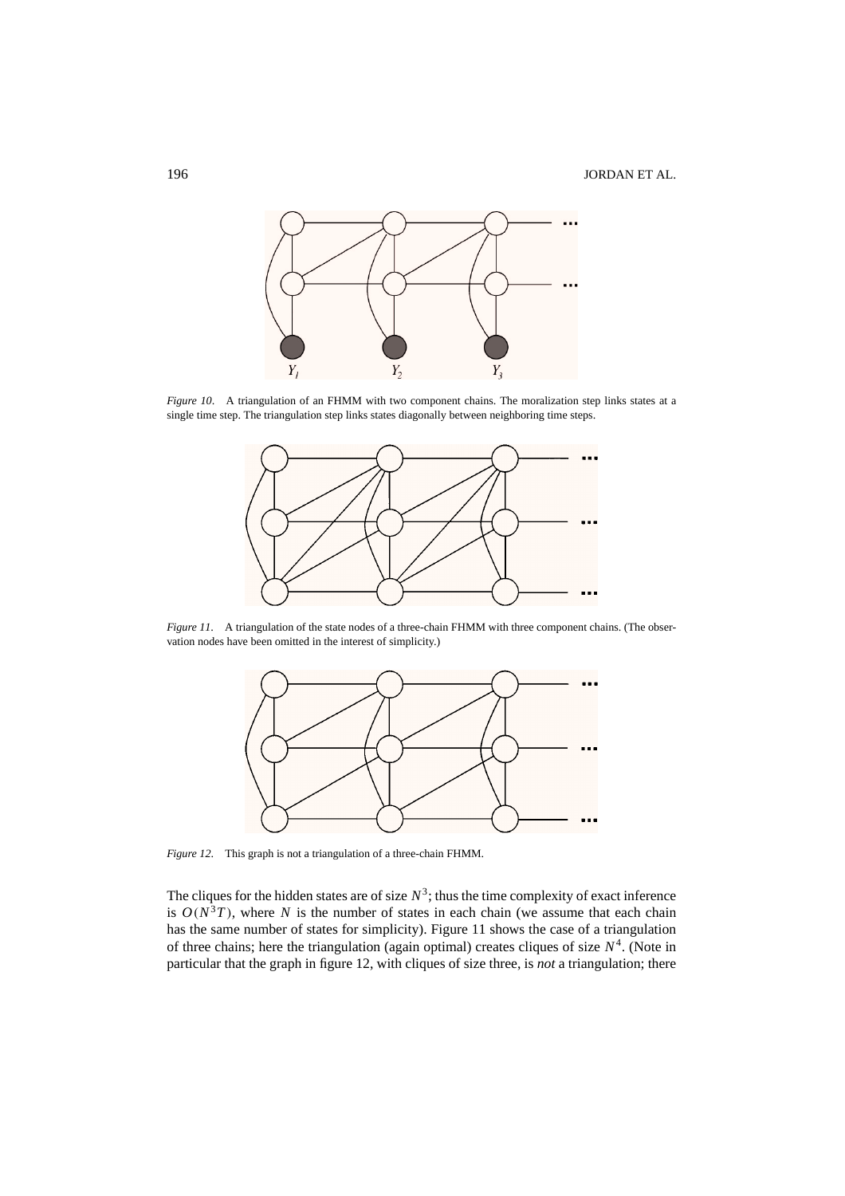

*Figure 10*. A triangulation of an FHMM with two component chains. The moralization step links states at a single time step. The triangulation step links states diagonally between neighboring time steps.



*Figure 11*. A triangulation of the state nodes of a three-chain FHMM with three component chains. (The observation nodes have been omitted in the interest of simplicity.)



*Figure 12*. This graph is not a triangulation of a three-chain FHMM.

The cliques for the hidden states are of size  $N^3$ ; thus the time complexity of exact inference is  $O(N^3T)$ , where *N* is the number of states in each chain (we assume that each chain has the same number of states for simplicity). Figure 11 shows the case of a triangulation of three chains; here the triangulation (again optimal) creates cliques of size  $N<sup>4</sup>$ . (Note in particular that the graph in figure 12, with cliques of size three, is *not* a triangulation; there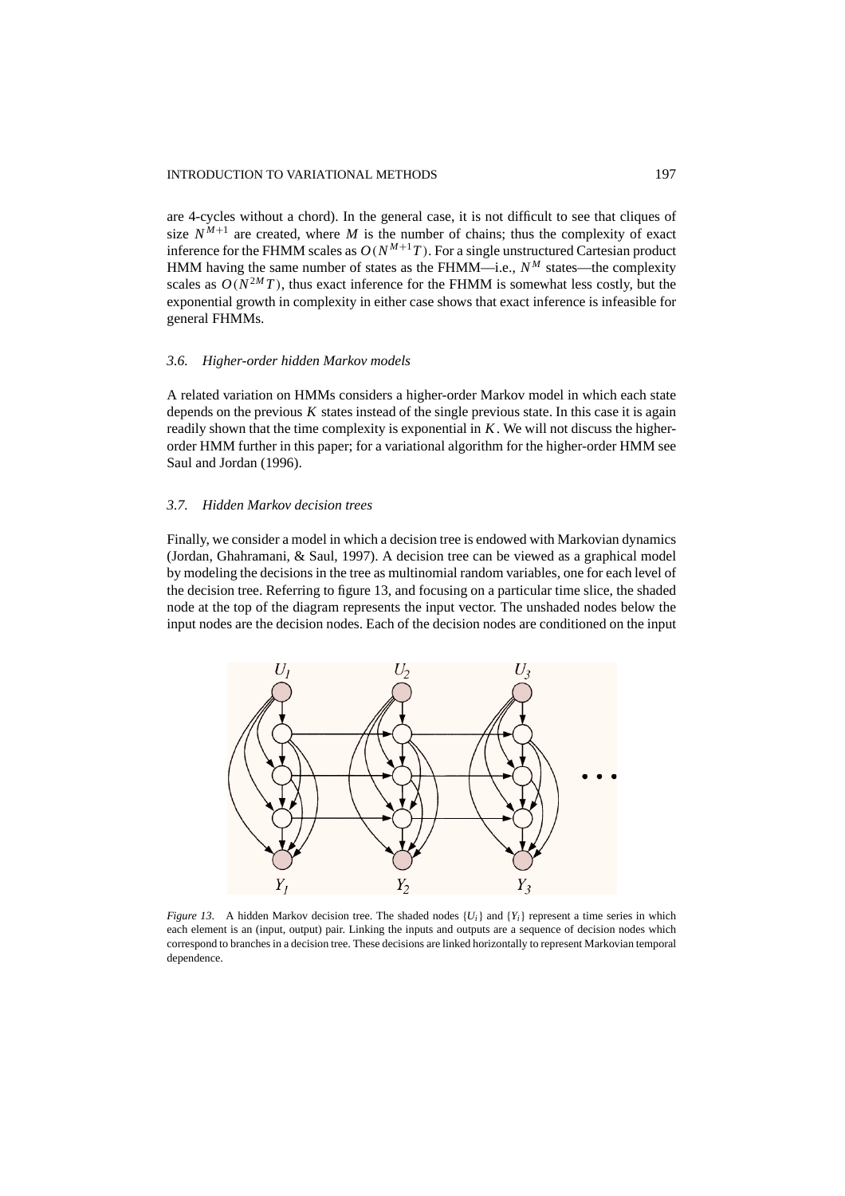are 4-cycles without a chord). In the general case, it is not difficult to see that cliques of size  $N^{M+1}$  are created, where *M* is the number of chains; thus the complexity of exact inference for the FHMM scales as  $O(N^{M+1}T)$ . For a single unstructured Cartesian product HMM having the same number of states as the FHMM—i.e.,  $N^M$  states—the complexity scales as  $O(N^{2M}T)$ , thus exact inference for the FHMM is somewhat less costly, but the exponential growth in complexity in either case shows that exact inference is infeasible for general FHMMs.

## *3.6. Higher-order hidden Markov models*

A related variation on HMMs considers a higher-order Markov model in which each state depends on the previous *K* states instead of the single previous state. In this case it is again readily shown that the time complexity is exponential in *K*. We will not discuss the higherorder HMM further in this paper; for a variational algorithm for the higher-order HMM see Saul and Jordan (1996).

## *3.7. Hidden Markov decision trees*

Finally, we consider a model in which a decision tree is endowed with Markovian dynamics (Jordan, Ghahramani, & Saul, 1997). A decision tree can be viewed as a graphical model by modeling the decisions in the tree as multinomial random variables, one for each level of the decision tree. Referring to figure 13, and focusing on a particular time slice, the shaded node at the top of the diagram represents the input vector. The unshaded nodes below the input nodes are the decision nodes. Each of the decision nodes are conditioned on the input



*Figure 13.* A hidden Markov decision tree. The shaded nodes  $\{U_i\}$  and  $\{Y_i\}$  represent a time series in which each element is an (input, output) pair. Linking the inputs and outputs are a sequence of decision nodes which correspond to branches in a decision tree. These decisions are linked horizontally to represent Markovian temporal dependence.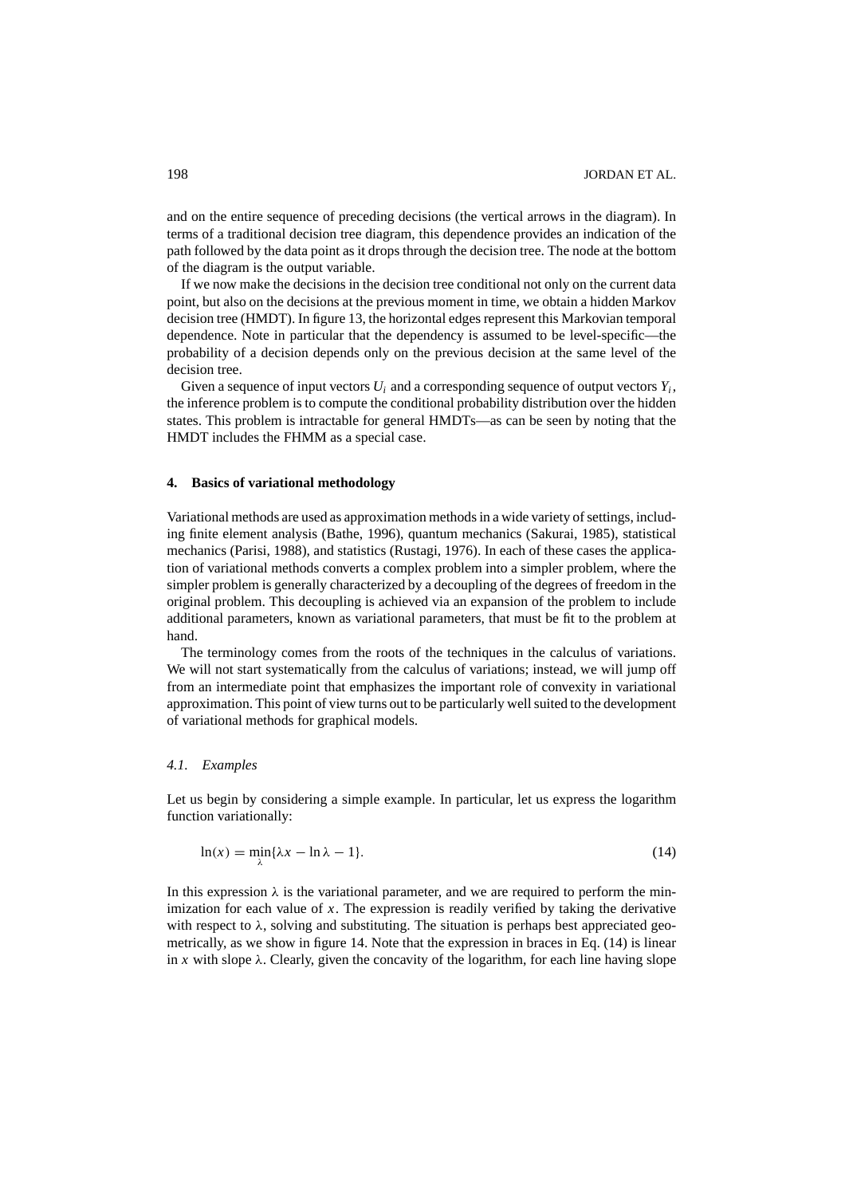and on the entire sequence of preceding decisions (the vertical arrows in the diagram). In terms of a traditional decision tree diagram, this dependence provides an indication of the path followed by the data point as it drops through the decision tree. The node at the bottom of the diagram is the output variable.

If we now make the decisions in the decision tree conditional not only on the current data point, but also on the decisions at the previous moment in time, we obtain a hidden Markov decision tree (HMDT). In figure 13, the horizontal edges represent this Markovian temporal dependence. Note in particular that the dependency is assumed to be level-specific—the probability of a decision depends only on the previous decision at the same level of the decision tree.

Given a sequence of input vectors  $U_i$  and a corresponding sequence of output vectors  $Y_i$ , the inference problem is to compute the conditional probability distribution over the hidden states. This problem is intractable for general HMDTs—as can be seen by noting that the HMDT includes the FHMM as a special case.

#### **4. Basics of variational methodology**

Variational methods are used as approximation methods in a wide variety of settings, including finite element analysis (Bathe, 1996), quantum mechanics (Sakurai, 1985), statistical mechanics (Parisi, 1988), and statistics (Rustagi, 1976). In each of these cases the application of variational methods converts a complex problem into a simpler problem, where the simpler problem is generally characterized by a decoupling of the degrees of freedom in the original problem. This decoupling is achieved via an expansion of the problem to include additional parameters, known as variational parameters, that must be fit to the problem at hand.

The terminology comes from the roots of the techniques in the calculus of variations. We will not start systematically from the calculus of variations; instead, we will jump off from an intermediate point that emphasizes the important role of convexity in variational approximation. This point of view turns out to be particularly well suited to the development of variational methods for graphical models.

## *4.1. Examples*

Let us begin by considering a simple example. In particular, let us express the logarithm function variationally:

$$
\ln(x) = \min_{\lambda} \{\lambda x - \ln \lambda - 1\}.
$$
 (14)

In this expression  $\lambda$  is the variational parameter, and we are required to perform the minimization for each value of *x*. The expression is readily verified by taking the derivative with respect to  $\lambda$ , solving and substituting. The situation is perhaps best appreciated geometrically, as we show in figure 14. Note that the expression in braces in Eq. (14) is linear in *x* with slope  $\lambda$ . Clearly, given the concavity of the logarithm, for each line having slope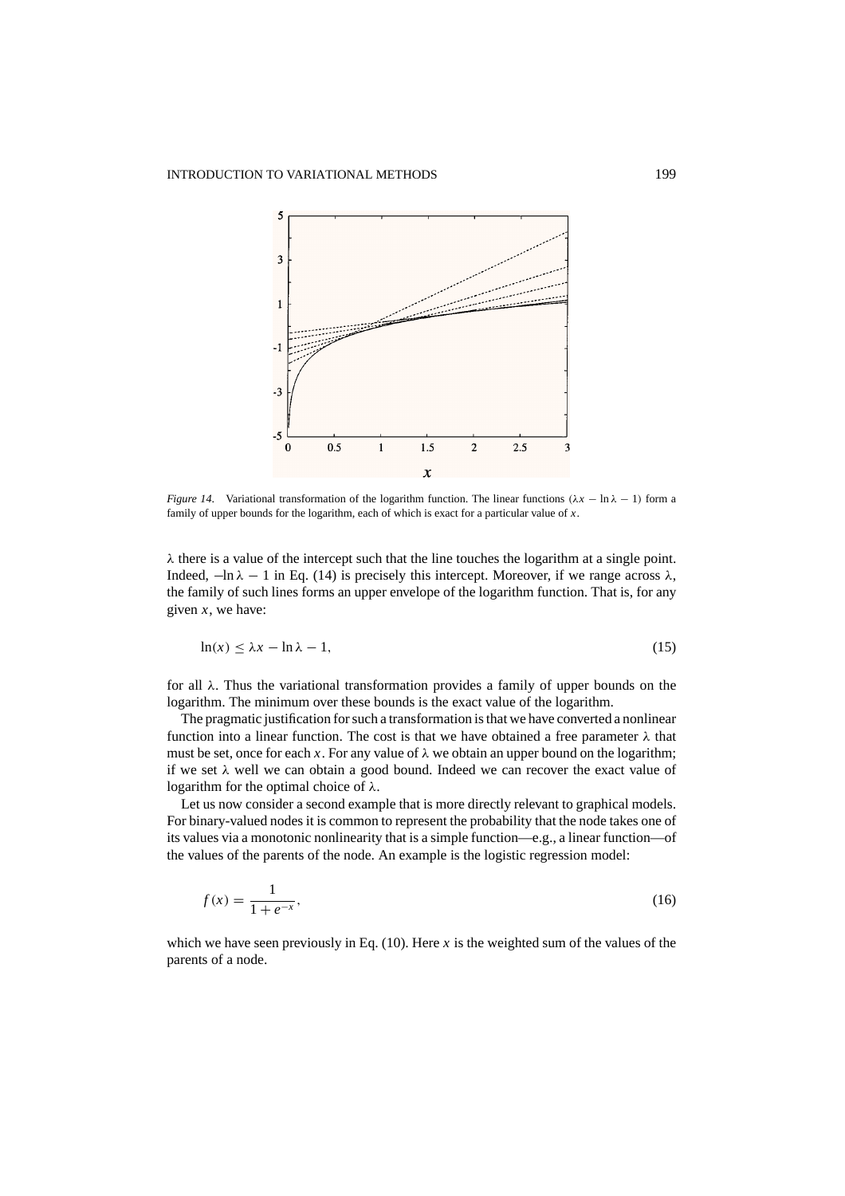

*Figure 14.* Variational transformation of the logarithm function. The linear functions  $(\lambda x - \ln \lambda - 1)$  form a family of upper bounds for the logarithm, each of which is exact for a particular value of *x*.

 $\lambda$  there is a value of the intercept such that the line touches the logarithm at a single point. Indeed,  $-\ln \lambda - 1$  in Eq. (14) is precisely this intercept. Moreover, if we range across  $\lambda$ , the family of such lines forms an upper envelope of the logarithm function. That is, for any given *x*, we have:

$$
\ln(x) \le \lambda x - \ln \lambda - 1,\tag{15}
$$

for all  $\lambda$ . Thus the variational transformation provides a family of upper bounds on the logarithm. The minimum over these bounds is the exact value of the logarithm.

The pragmatic justification for such a transformation is that we have converted a nonlinear function into a linear function. The cost is that we have obtained a free parameter  $\lambda$  that must be set, once for each *x*. For any value of  $\lambda$  we obtain an upper bound on the logarithm; if we set  $\lambda$  well we can obtain a good bound. Indeed we can recover the exact value of logarithm for the optimal choice of  $\lambda$ .

Let us now consider a second example that is more directly relevant to graphical models. For binary-valued nodes it is common to represent the probability that the node takes one of its values via a monotonic nonlinearity that is a simple function—e.g., a linear function—of the values of the parents of the node. An example is the logistic regression model:

$$
f(x) = \frac{1}{1 + e^{-x}},\tag{16}
$$

which we have seen previously in Eq.  $(10)$ . Here *x* is the weighted sum of the values of the parents of a node.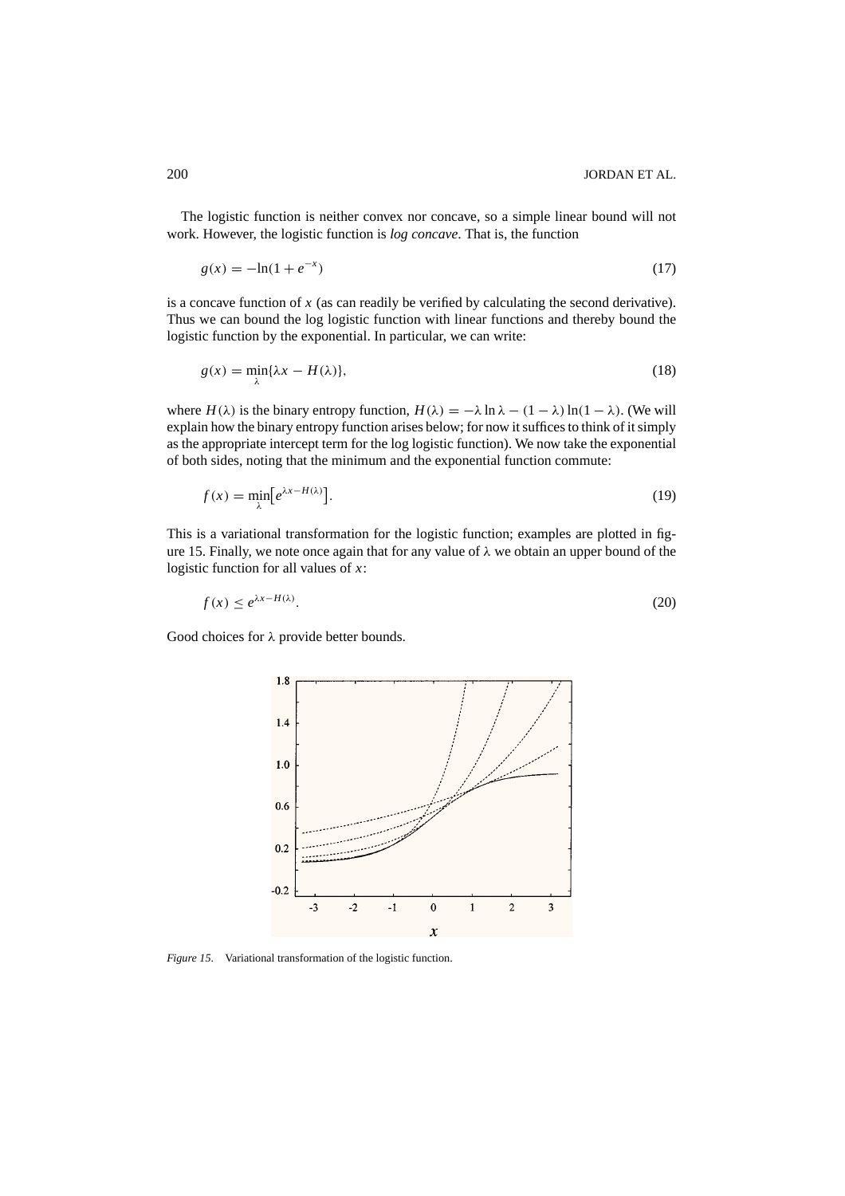The logistic function is neither convex nor concave, so a simple linear bound will not work. However, the logistic function is *log concave*. That is, the function

$$
g(x) = -\ln(1 + e^{-x})
$$
\n(17)

is a concave function of *x* (as can readily be verified by calculating the second derivative). Thus we can bound the log logistic function with linear functions and thereby bound the logistic function by the exponential. In particular, we can write:

$$
g(x) = \min_{\lambda} \{ \lambda x - H(\lambda) \},\tag{18}
$$

where  $H(\lambda)$  is the binary entropy function,  $H(\lambda) = -\lambda \ln \lambda - (1 - \lambda) \ln(1 - \lambda)$ . (We will explain how the binary entropy function arises below; for now it suffices to think of it simply as the appropriate intercept term for the log logistic function). We now take the exponential of both sides, noting that the minimum and the exponential function commute:

$$
f(x) = \min_{\lambda} \left[ e^{\lambda x - H(\lambda)} \right].
$$
 (19)

This is a variational transformation for the logistic function; examples are plotted in figure 15. Finally, we note once again that for any value of  $\lambda$  we obtain an upper bound of the logistic function for all values of *x*:

$$
f(x) \le e^{\lambda x - H(\lambda)}.\tag{20}
$$

Good choices for  $\lambda$  provide better bounds.



*Figure 15*. Variational transformation of the logistic function.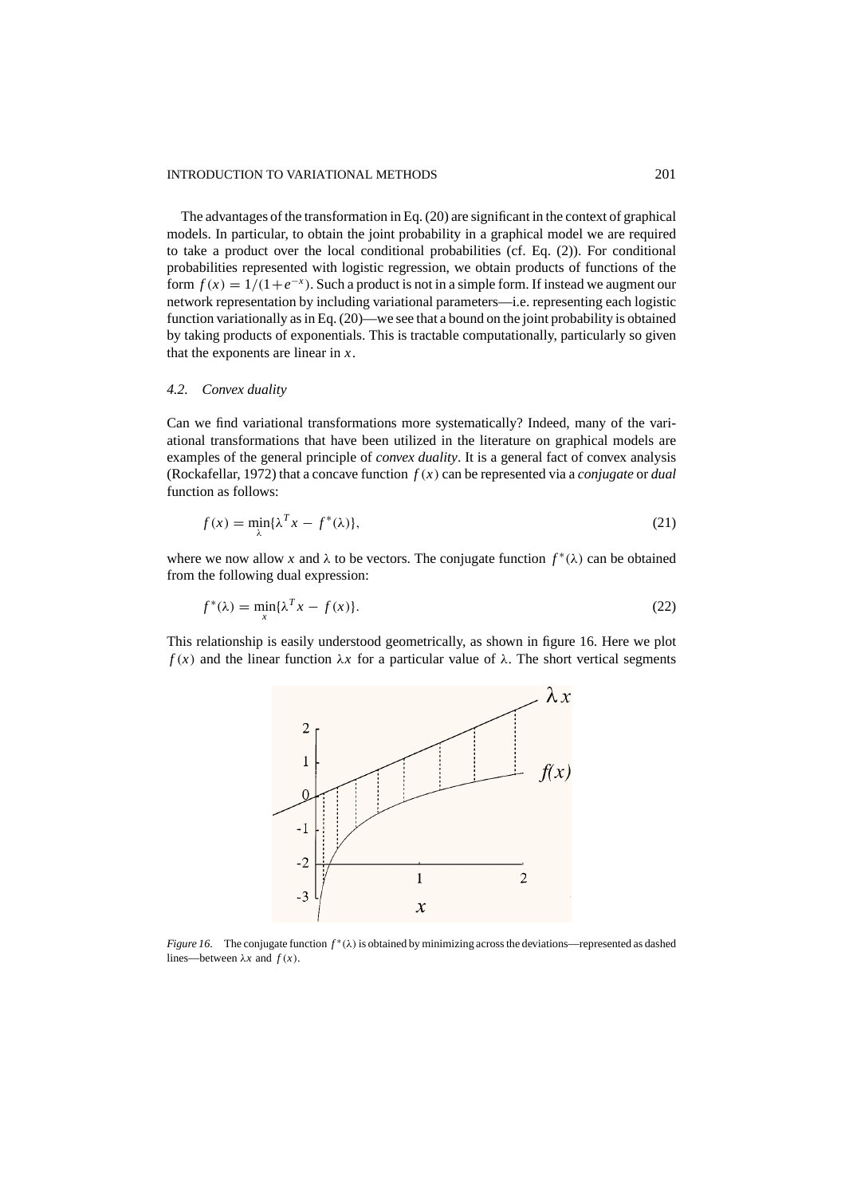### INTRODUCTION TO VARIATIONAL METHODS 201

The advantages of the transformation in Eq. (20) are significant in the context of graphical models. In particular, to obtain the joint probability in a graphical model we are required to take a product over the local conditional probabilities (cf. Eq. (2)). For conditional probabilities represented with logistic regression, we obtain products of functions of the form  $f(x) = 1/(1+e^{-x})$ . Such a product is not in a simple form. If instead we augment our network representation by including variational parameters—i.e. representing each logistic function variationally as in Eq. (20)—we see that a bound on the joint probability is obtained by taking products of exponentials. This is tractable computationally, particularly so given that the exponents are linear in *x*.

#### *4.2. Convex duality*

Can we find variational transformations more systematically? Indeed, many of the variational transformations that have been utilized in the literature on graphical models are examples of the general principle of *convex duality*. It is a general fact of convex analysis (Rockafellar, 1972) that a concave function *f* (*x*) can be represented via a *conjugate* or *dual* function as follows:

$$
f(x) = \min_{\lambda} \{\lambda^T x - f^*(\lambda)\},\tag{21}
$$

where we now allow x and  $\lambda$  to be vectors. The conjugate function  $f^*(\lambda)$  can be obtained from the following dual expression:

$$
f^*(\lambda) = \min_x \{ \lambda^T x - f(x) \}. \tag{22}
$$

This relationship is easily understood geometrically, as shown in figure 16. Here we plot *f* (*x*) and the linear function  $\lambda x$  for a particular value of  $\lambda$ . The short vertical segments



*Figure 16*. The conjugate function  $f^*(λ)$  is obtained by minimizing across the deviations—represented as dashed lines—between λ*x* and *f* (*x*).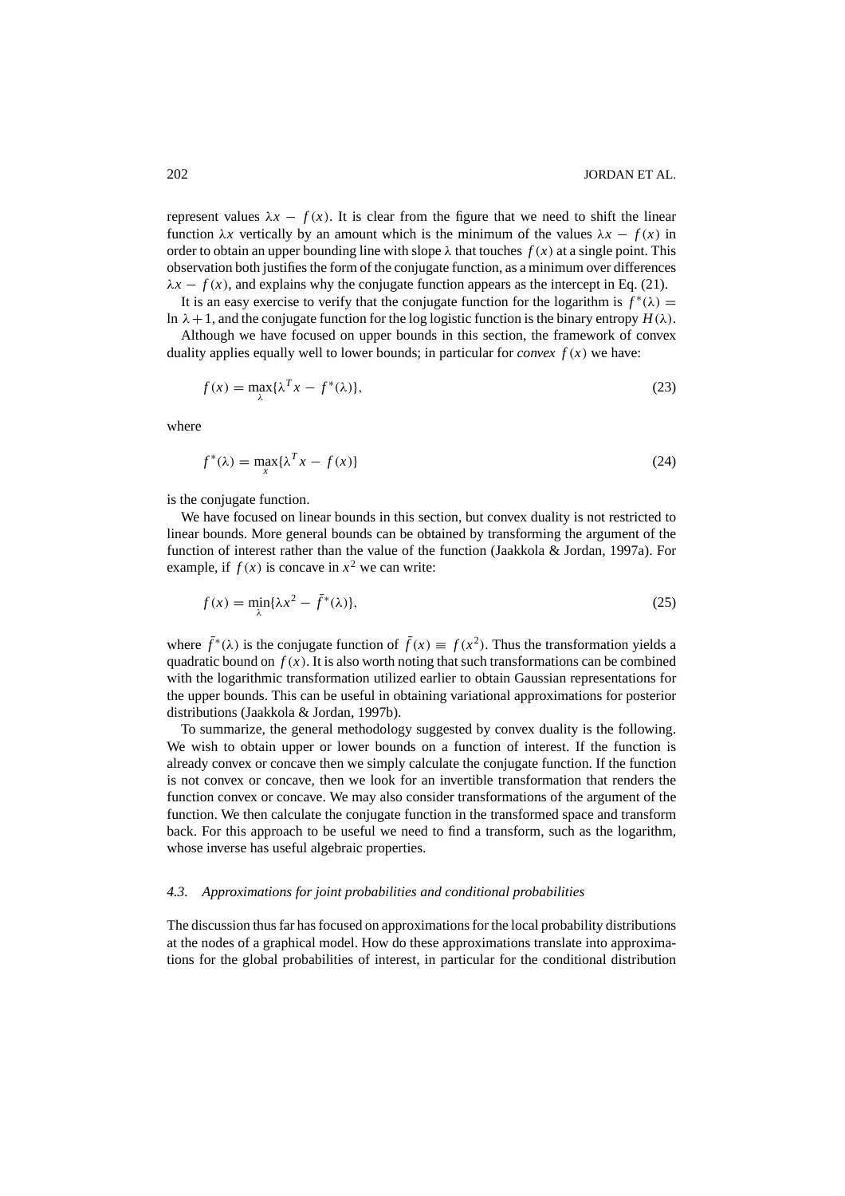represent values  $\lambda x - f(x)$ . It is clear from the figure that we need to shift the linear function  $\lambda x$  vertically by an amount which is the minimum of the values  $\lambda x - f(x)$  in order to obtain an upper bounding line with slope  $\lambda$  that touches  $f(x)$  at a single point. This observation both justifies the form of the conjugate function, as a minimum over differences  $\lambda x - f(x)$ , and explains why the conjugate function appears as the intercept in Eq. (21).

It is an easy exercise to verify that the conjugate function for the logarithm is  $f^*(\lambda)$  = ln  $\lambda + 1$ , and the conjugate function for the log logistic function is the binary entropy  $H(\lambda)$ .

Although we have focused on upper bounds in this section, the framework of convex duality applies equally well to lower bounds; in particular for *convex*  $f(x)$  we have:

$$
f(x) = \max_{\lambda} \{\lambda^T x - f^*(\lambda)\},\tag{23}
$$

where

$$
f^*(\lambda) = \max_x \{ \lambda^T x - f(x) \}
$$
 (24)

is the conjugate function.

We have focused on linear bounds in this section, but convex duality is not restricted to linear bounds. More general bounds can be obtained by transforming the argument of the function of interest rather than the value of the function (Jaakkola & Jordan, 1997a). For example, if  $f(x)$  is concave in  $x^2$  we can write:

$$
f(x) = \min_{\lambda} \{ \lambda x^2 - \bar{f}^*(\lambda) \},\tag{25}
$$

where  $\bar{f}^*(\lambda)$  is the conjugate function of  $\bar{f}(x) \equiv f(x^2)$ . Thus the transformation yields a quadratic bound on  $f(x)$ . It is also worth noting that such transformations can be combined with the logarithmic transformation utilized earlier to obtain Gaussian representations for the upper bounds. This can be useful in obtaining variational approximations for posterior distributions (Jaakkola & Jordan, 1997b).

To summarize, the general methodology suggested by convex duality is the following. We wish to obtain upper or lower bounds on a function of interest. If the function is already convex or concave then we simply calculate the conjugate function. If the function is not convex or concave, then we look for an invertible transformation that renders the function convex or concave. We may also consider transformations of the argument of the function. We then calculate the conjugate function in the transformed space and transform back. For this approach to be useful we need to find a transform, such as the logarithm, whose inverse has useful algebraic properties.

## *4.3. Approximations for joint probabilities and conditional probabilities*

The discussion thus far has focused on approximations for the local probability distributions at the nodes of a graphical model. How do these approximations translate into approximations for the global probabilities of interest, in particular for the conditional distribution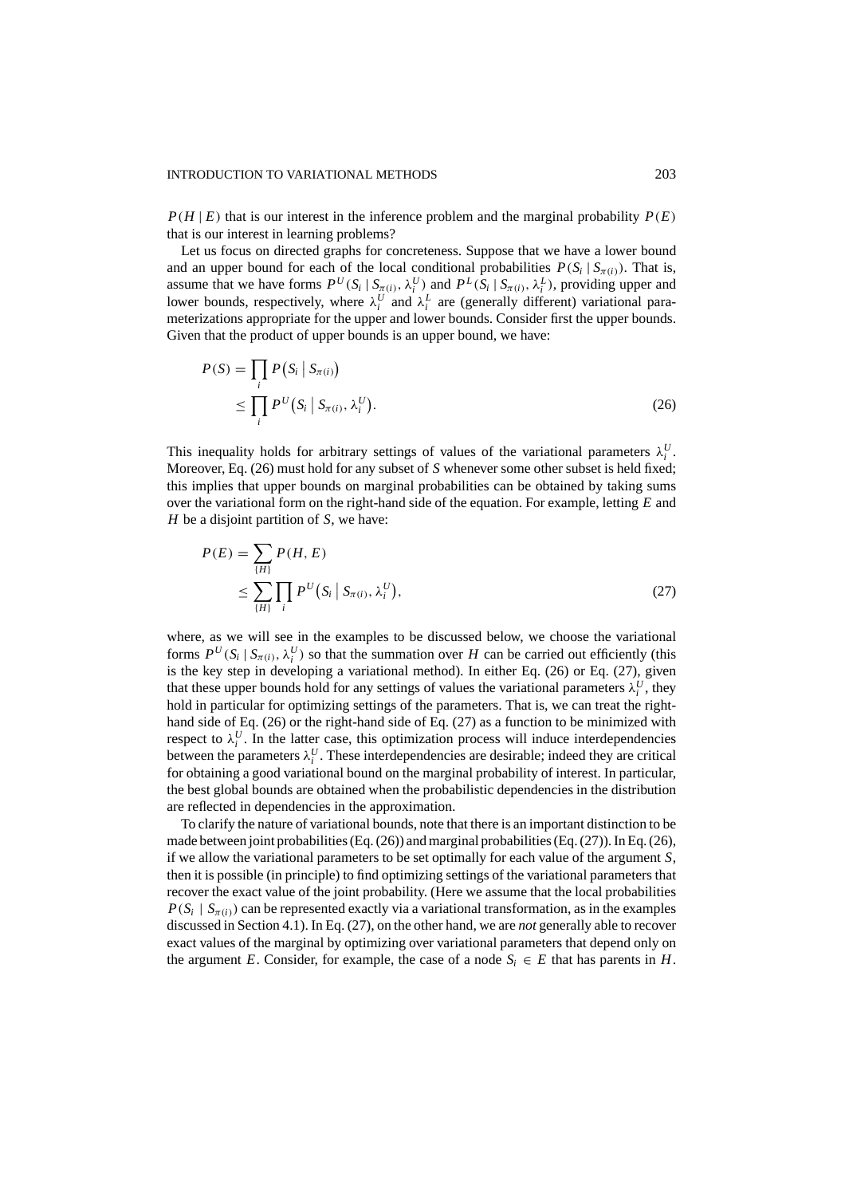$P(H \mid E)$  that is our interest in the inference problem and the marginal probability  $P(E)$ that is our interest in learning problems?

Let us focus on directed graphs for concreteness. Suppose that we have a lower bound and an upper bound for each of the local conditional probabilities  $P(S_i | S_{\pi(i)})$ . That is, assume that we have forms  $P^U(S_i | S_{\pi(i)}, \lambda_i^U)$  and  $P^L(S_i | S_{\pi(i)}, \lambda_i^L)$ , providing upper and lower bounds, respectively, where  $\lambda_i^U$  and  $\lambda_i^L$  are (generally different) variational parameterizations appropriate for the upper and lower bounds. Consider first the upper bounds. Given that the product of upper bounds is an upper bound, we have:

$$
P(S) = \prod_{i} P(S_i \mid S_{\pi(i)})
$$
  
\n
$$
\leq \prod_{i} P^{U}(S_i \mid S_{\pi(i)}, \lambda_i^U).
$$
\n(26)

This inequality holds for arbitrary settings of values of the variational parameters  $\lambda_i^U$ . Moreover, Eq. (26) must hold for any subset of *S* whenever some other subset is held fixed; this implies that upper bounds on marginal probabilities can be obtained by taking sums over the variational form on the right-hand side of the equation. For example, letting *E* and *H* be a disjoint partition of *S*, we have:

$$
P(E) = \sum_{\{H\}} P(H, E)
$$
  
 
$$
\leq \sum_{\{H\}} \prod_{i} P^{U}(S_i \mid S_{\pi(i)}, \lambda_i^U),
$$
 (27)

where, as we will see in the examples to be discussed below, we choose the variational forms  $P^U(S_i | S_{\pi(i)}, \lambda_i^U)$  so that the summation over *H* can be carried out efficiently (this is the key step in developing a variational method). In either Eq. (26) or Eq. (27), given that these upper bounds hold for any settings of values the variational parameters  $\lambda_i^U$ , they hold in particular for optimizing settings of the parameters. That is, we can treat the righthand side of Eq. (26) or the right-hand side of Eq. (27) as a function to be minimized with respect to  $\lambda_i^U$ . In the latter case, this optimization process will induce interdependencies between the parameters  $\lambda_i^U$ . These interdependencies are desirable; indeed they are critical for obtaining a good variational bound on the marginal probability of interest. In particular, the best global bounds are obtained when the probabilistic dependencies in the distribution are reflected in dependencies in the approximation.

To clarify the nature of variational bounds, note that there is an important distinction to be made between joint probabilities (Eq. (26)) and marginal probabilities (Eq. (27)). In Eq. (26), if we allow the variational parameters to be set optimally for each value of the argument *S*, then it is possible (in principle) to find optimizing settings of the variational parameters that recover the exact value of the joint probability. (Here we assume that the local probabilities  $P(S_i | S_{\pi(i)})$  can be represented exactly via a variational transformation, as in the examples discussed in Section 4.1). In Eq. (27), on the other hand, we are *not* generally able to recover exact values of the marginal by optimizing over variational parameters that depend only on the argument *E*. Consider, for example, the case of a node  $S_i \in E$  that has parents in *H*.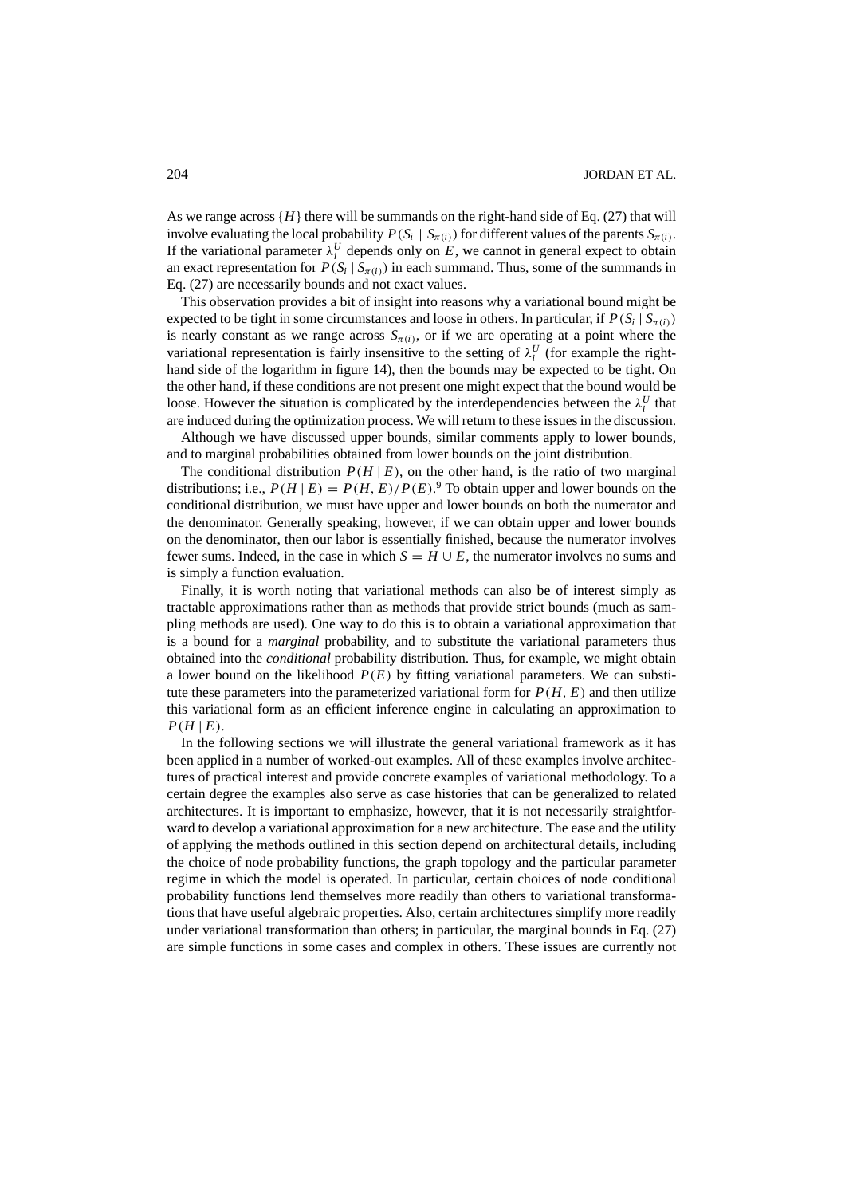As we range across  $\{H\}$  there will be summands on the right-hand side of Eq. (27) that will involve evaluating the local probability  $P(S_i | S_{\pi(i)})$  for different values of the parents  $S_{\pi(i)}$ . If the variational parameter  $\lambda_i^U$  depends only on *E*, we cannot in general expect to obtain an exact representation for  $P(S_i | S_{\pi(i)})$  in each summand. Thus, some of the summands in Eq. (27) are necessarily bounds and not exact values.

This observation provides a bit of insight into reasons why a variational bound might be expected to be tight in some circumstances and loose in others. In particular, if  $P(S_i | S_{\pi(i)})$ is nearly constant as we range across  $S_{\pi(i)}$ , or if we are operating at a point where the variational representation is fairly insensitive to the setting of  $\lambda_i^U$  (for example the righthand side of the logarithm in figure 14), then the bounds may be expected to be tight. On the other hand, if these conditions are not present one might expect that the bound would be loose. However the situation is complicated by the interdependencies between the  $\lambda_i^U$  that are induced during the optimization process. We will return to these issues in the discussion.

Although we have discussed upper bounds, similar comments apply to lower bounds, and to marginal probabilities obtained from lower bounds on the joint distribution.

The conditional distribution  $P(H | E)$ , on the other hand, is the ratio of two marginal distributions; i.e.,  $P(H | E) = P(H, E)/P(E)$ .<sup>9</sup> To obtain upper and lower bounds on the conditional distribution, we must have upper and lower bounds on both the numerator and the denominator. Generally speaking, however, if we can obtain upper and lower bounds on the denominator, then our labor is essentially finished, because the numerator involves fewer sums. Indeed, in the case in which  $S = H \cup E$ , the numerator involves no sums and is simply a function evaluation.

Finally, it is worth noting that variational methods can also be of interest simply as tractable approximations rather than as methods that provide strict bounds (much as sampling methods are used). One way to do this is to obtain a variational approximation that is a bound for a *marginal* probability, and to substitute the variational parameters thus obtained into the *conditional* probability distribution. Thus, for example, we might obtain a lower bound on the likelihood  $P(E)$  by fitting variational parameters. We can substitute these parameters into the parameterized variational form for  $P(H, E)$  and then utilize this variational form as an efficient inference engine in calculating an approximation to  $P(H|E)$ .

In the following sections we will illustrate the general variational framework as it has been applied in a number of worked-out examples. All of these examples involve architectures of practical interest and provide concrete examples of variational methodology. To a certain degree the examples also serve as case histories that can be generalized to related architectures. It is important to emphasize, however, that it is not necessarily straightforward to develop a variational approximation for a new architecture. The ease and the utility of applying the methods outlined in this section depend on architectural details, including the choice of node probability functions, the graph topology and the particular parameter regime in which the model is operated. In particular, certain choices of node conditional probability functions lend themselves more readily than others to variational transformations that have useful algebraic properties. Also, certain architectures simplify more readily under variational transformation than others; in particular, the marginal bounds in Eq. (27) are simple functions in some cases and complex in others. These issues are currently not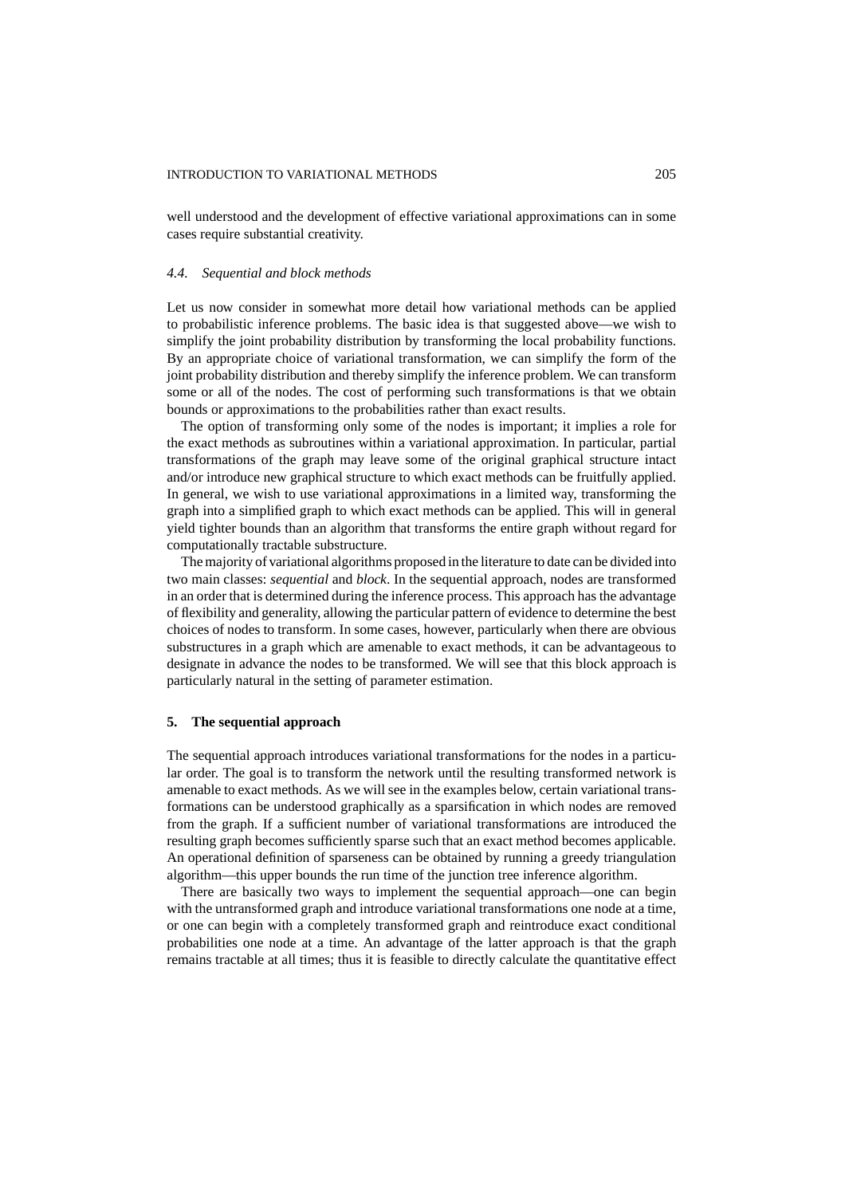well understood and the development of effective variational approximations can in some cases require substantial creativity.

#### *4.4. Sequential and block methods*

Let us now consider in somewhat more detail how variational methods can be applied to probabilistic inference problems. The basic idea is that suggested above—we wish to simplify the joint probability distribution by transforming the local probability functions. By an appropriate choice of variational transformation, we can simplify the form of the joint probability distribution and thereby simplify the inference problem. We can transform some or all of the nodes. The cost of performing such transformations is that we obtain bounds or approximations to the probabilities rather than exact results.

The option of transforming only some of the nodes is important; it implies a role for the exact methods as subroutines within a variational approximation. In particular, partial transformations of the graph may leave some of the original graphical structure intact and/or introduce new graphical structure to which exact methods can be fruitfully applied. In general, we wish to use variational approximations in a limited way, transforming the graph into a simplified graph to which exact methods can be applied. This will in general yield tighter bounds than an algorithm that transforms the entire graph without regard for computationally tractable substructure.

The majority of variational algorithms proposed in the literature to date can be divided into two main classes: *sequential* and *block*. In the sequential approach, nodes are transformed in an order that is determined during the inference process. This approach has the advantage of flexibility and generality, allowing the particular pattern of evidence to determine the best choices of nodes to transform. In some cases, however, particularly when there are obvious substructures in a graph which are amenable to exact methods, it can be advantageous to designate in advance the nodes to be transformed. We will see that this block approach is particularly natural in the setting of parameter estimation.

## **5. The sequential approach**

The sequential approach introduces variational transformations for the nodes in a particular order. The goal is to transform the network until the resulting transformed network is amenable to exact methods. As we will see in the examples below, certain variational transformations can be understood graphically as a sparsification in which nodes are removed from the graph. If a sufficient number of variational transformations are introduced the resulting graph becomes sufficiently sparse such that an exact method becomes applicable. An operational definition of sparseness can be obtained by running a greedy triangulation algorithm—this upper bounds the run time of the junction tree inference algorithm.

There are basically two ways to implement the sequential approach—one can begin with the untransformed graph and introduce variational transformations one node at a time, or one can begin with a completely transformed graph and reintroduce exact conditional probabilities one node at a time. An advantage of the latter approach is that the graph remains tractable at all times; thus it is feasible to directly calculate the quantitative effect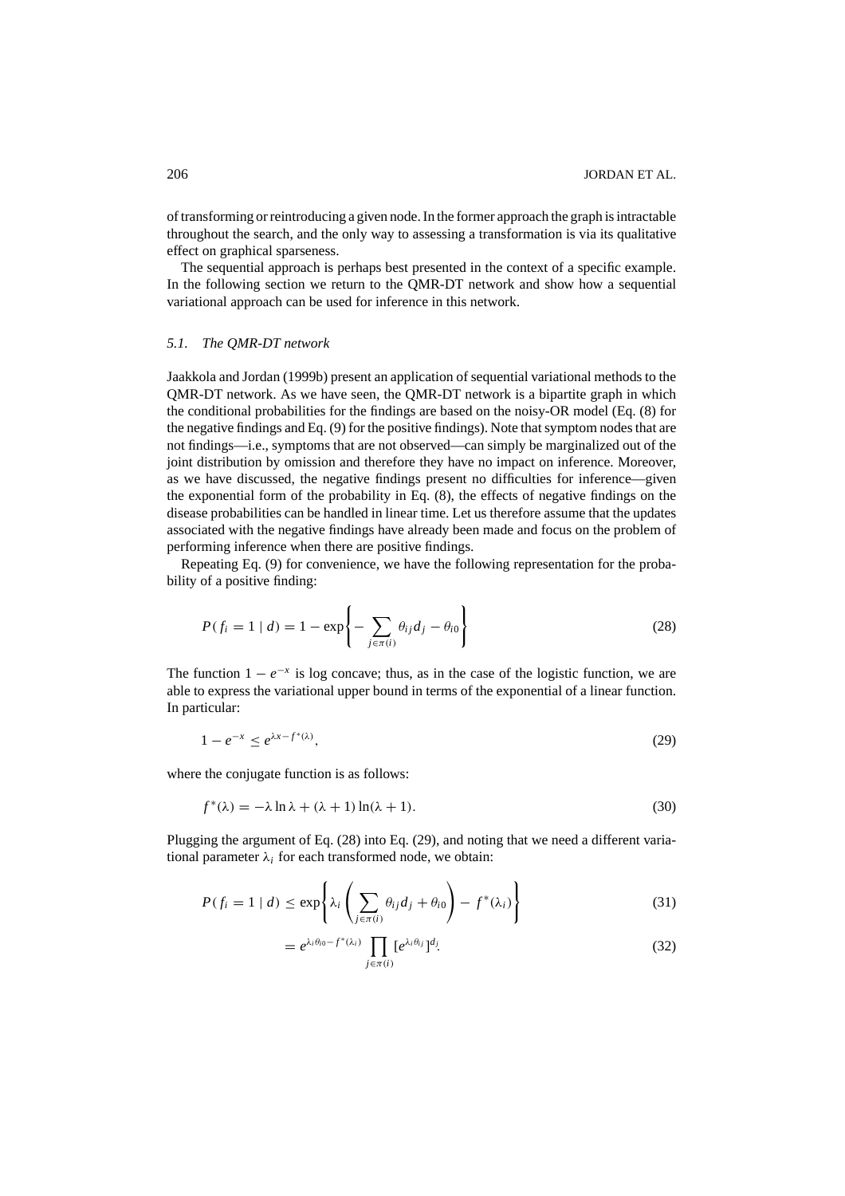of transforming or reintroducing a given node. In the former approach the graph is intractable throughout the search, and the only way to assessing a transformation is via its qualitative effect on graphical sparseness.

The sequential approach is perhaps best presented in the context of a specific example. In the following section we return to the QMR-DT network and show how a sequential variational approach can be used for inference in this network.

#### *5.1. The QMR-DT network*

Jaakkola and Jordan (1999b) present an application of sequential variational methods to the QMR-DT network. As we have seen, the QMR-DT network is a bipartite graph in which the conditional probabilities for the findings are based on the noisy-OR model (Eq. (8) for the negative findings and Eq. (9) for the positive findings). Note that symptom nodes that are not findings—i.e., symptoms that are not observed—can simply be marginalized out of the joint distribution by omission and therefore they have no impact on inference. Moreover, as we have discussed, the negative findings present no difficulties for inference—given the exponential form of the probability in Eq. (8), the effects of negative findings on the disease probabilities can be handled in linear time. Let us therefore assume that the updates associated with the negative findings have already been made and focus on the problem of performing inference when there are positive findings.

Repeating Eq. (9) for convenience, we have the following representation for the probability of a positive finding:

$$
P(f_i = 1 | d) = 1 - \exp\left\{-\sum_{j \in \pi(i)} \theta_{ij} d_j - \theta_{i0}\right\}
$$
 (28)

The function  $1 - e^{-x}$  is log concave; thus, as in the case of the logistic function, we are able to express the variational upper bound in terms of the exponential of a linear function. In particular:

$$
1 - e^{-x} \le e^{\lambda x - f^*(\lambda)},\tag{29}
$$

where the conjugate function is as follows:

$$
f^*(\lambda) = -\lambda \ln \lambda + (\lambda + 1) \ln(\lambda + 1). \tag{30}
$$

Plugging the argument of Eq. (28) into Eq. (29), and noting that we need a different variational parameter  $\lambda_i$  for each transformed node, we obtain:

$$
P(f_i = 1 | d) \le \exp\left\{\lambda_i \left(\sum_{j \in \pi(i)} \theta_{ij} d_j + \theta_{i0}\right) - f^*(\lambda_i)\right\}
$$
(31)

$$
= e^{\lambda_i \theta_{i0} - f^*(\lambda_i)} \prod_{j \in \pi(i)} [e^{\lambda_i \theta_{ij}}]^{d_j}.
$$
\n(32)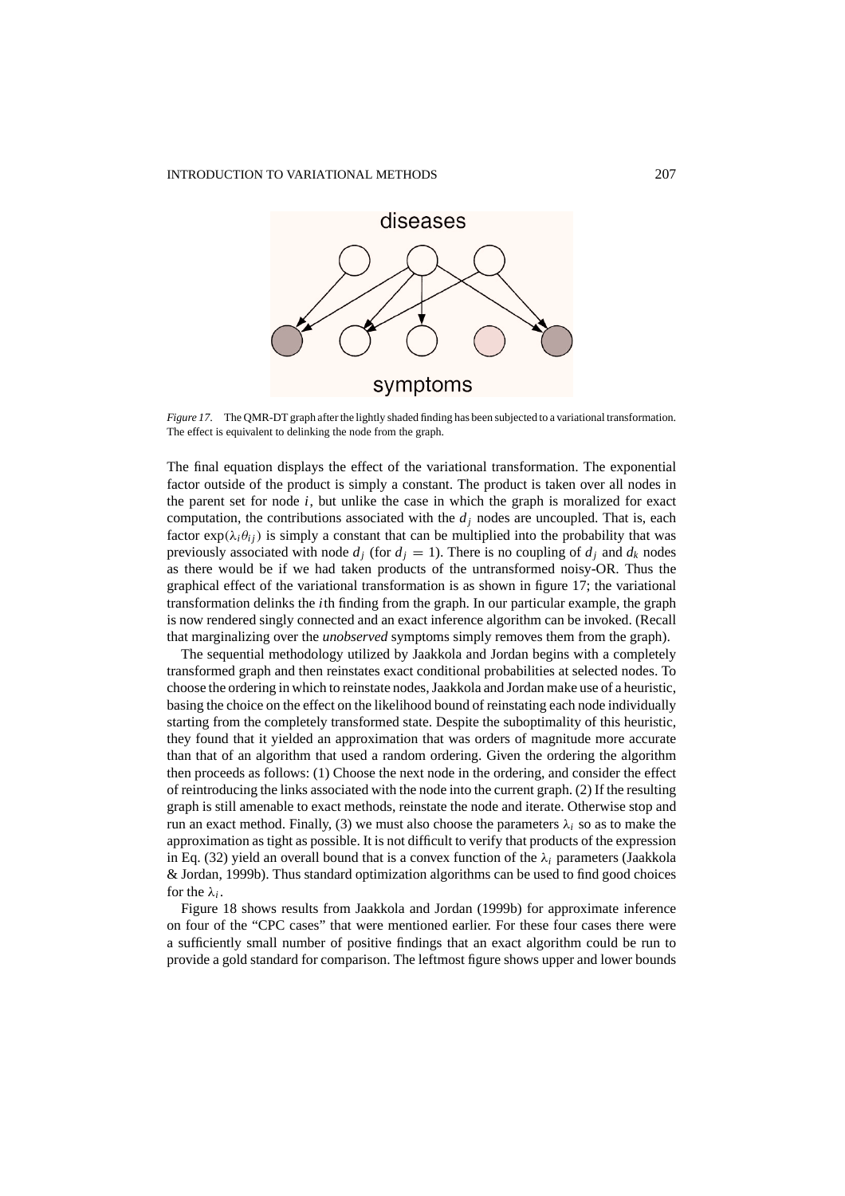

*Figure 17.* The QMR-DT graph after the lightly shaded finding has been subjected to a variational transformation. The effect is equivalent to delinking the node from the graph.

The final equation displays the effect of the variational transformation. The exponential factor outside of the product is simply a constant. The product is taken over all nodes in the parent set for node *i*, but unlike the case in which the graph is moralized for exact computation, the contributions associated with the  $d_i$  nodes are uncoupled. That is, each factor  $\exp(\lambda_i \theta_{ij})$  is simply a constant that can be multiplied into the probability that was previously associated with node  $d_i$  (for  $d_i = 1$ ). There is no coupling of  $d_i$  and  $d_k$  nodes as there would be if we had taken products of the untransformed noisy-OR. Thus the graphical effect of the variational transformation is as shown in figure 17; the variational transformation delinks the *i*th finding from the graph. In our particular example, the graph is now rendered singly connected and an exact inference algorithm can be invoked. (Recall that marginalizing over the *unobserved* symptoms simply removes them from the graph).

The sequential methodology utilized by Jaakkola and Jordan begins with a completely transformed graph and then reinstates exact conditional probabilities at selected nodes. To choose the ordering in which to reinstate nodes, Jaakkola and Jordan make use of a heuristic, basing the choice on the effect on the likelihood bound of reinstating each node individually starting from the completely transformed state. Despite the suboptimality of this heuristic, they found that it yielded an approximation that was orders of magnitude more accurate than that of an algorithm that used a random ordering. Given the ordering the algorithm then proceeds as follows: (1) Choose the next node in the ordering, and consider the effect of reintroducing the links associated with the node into the current graph. (2) If the resulting graph is still amenable to exact methods, reinstate the node and iterate. Otherwise stop and run an exact method. Finally, (3) we must also choose the parameters λ*<sup>i</sup>* so as to make the approximation as tight as possible. It is not difficult to verify that products of the expression in Eq. (32) yield an overall bound that is a convex function of the  $\lambda_i$  parameters (Jaakkola & Jordan, 1999b). Thus standard optimization algorithms can be used to find good choices for the  $\lambda_i$ .

Figure 18 shows results from Jaakkola and Jordan (1999b) for approximate inference on four of the "CPC cases" that were mentioned earlier. For these four cases there were a sufficiently small number of positive findings that an exact algorithm could be run to provide a gold standard for comparison. The leftmost figure shows upper and lower bounds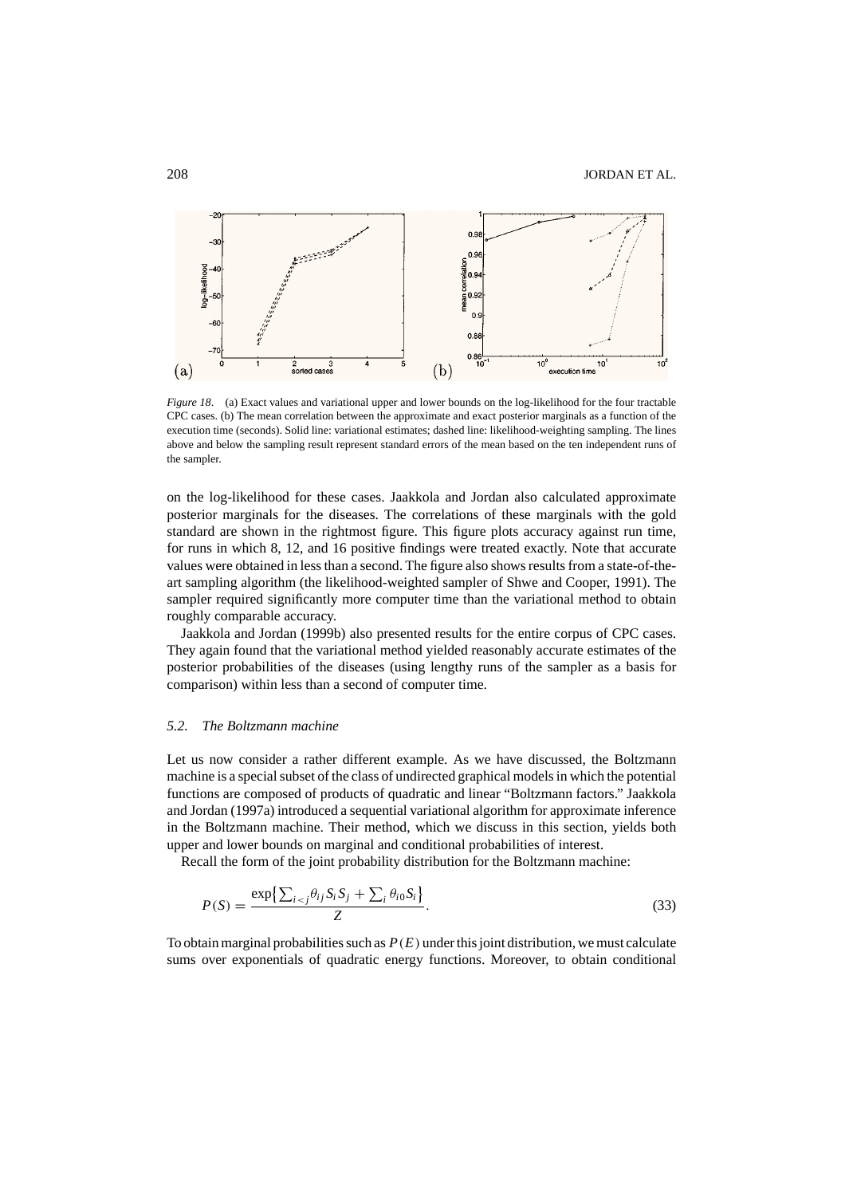

*Figure 18.* (a) Exact values and variational upper and lower bounds on the log-likelihood for the four tractable CPC cases. (b) The mean correlation between the approximate and exact posterior marginals as a function of the execution time (seconds). Solid line: variational estimates; dashed line: likelihood-weighting sampling. The lines above and below the sampling result represent standard errors of the mean based on the ten independent runs of the sampler.

on the log-likelihood for these cases. Jaakkola and Jordan also calculated approximate posterior marginals for the diseases. The correlations of these marginals with the gold standard are shown in the rightmost figure. This figure plots accuracy against run time, for runs in which 8, 12, and 16 positive findings were treated exactly. Note that accurate values were obtained in less than a second. The figure also shows results from a state-of-theart sampling algorithm (the likelihood-weighted sampler of Shwe and Cooper, 1991). The sampler required significantly more computer time than the variational method to obtain roughly comparable accuracy.

Jaakkola and Jordan (1999b) also presented results for the entire corpus of CPC cases. They again found that the variational method yielded reasonably accurate estimates of the posterior probabilities of the diseases (using lengthy runs of the sampler as a basis for comparison) within less than a second of computer time.

## *5.2. The Boltzmann machine*

Let us now consider a rather different example. As we have discussed, the Boltzmann machine is a special subset of the class of undirected graphical models in which the potential functions are composed of products of quadratic and linear "Boltzmann factors." Jaakkola and Jordan (1997a) introduced a sequential variational algorithm for approximate inference in the Boltzmann machine. Their method, which we discuss in this section, yields both upper and lower bounds on marginal and conditional probabilities of interest.

Recall the form of the joint probability distribution for the Boltzmann machine:

$$
P(S) = \frac{\exp\left\{\sum_{i < j} \theta_{ij} S_i S_j + \sum_i \theta_{i0} S_i\right\}}{Z}.\tag{33}
$$

To obtain marginal probabilities such as *P*(*E*) under this joint distribution, we must calculate sums over exponentials of quadratic energy functions. Moreover, to obtain conditional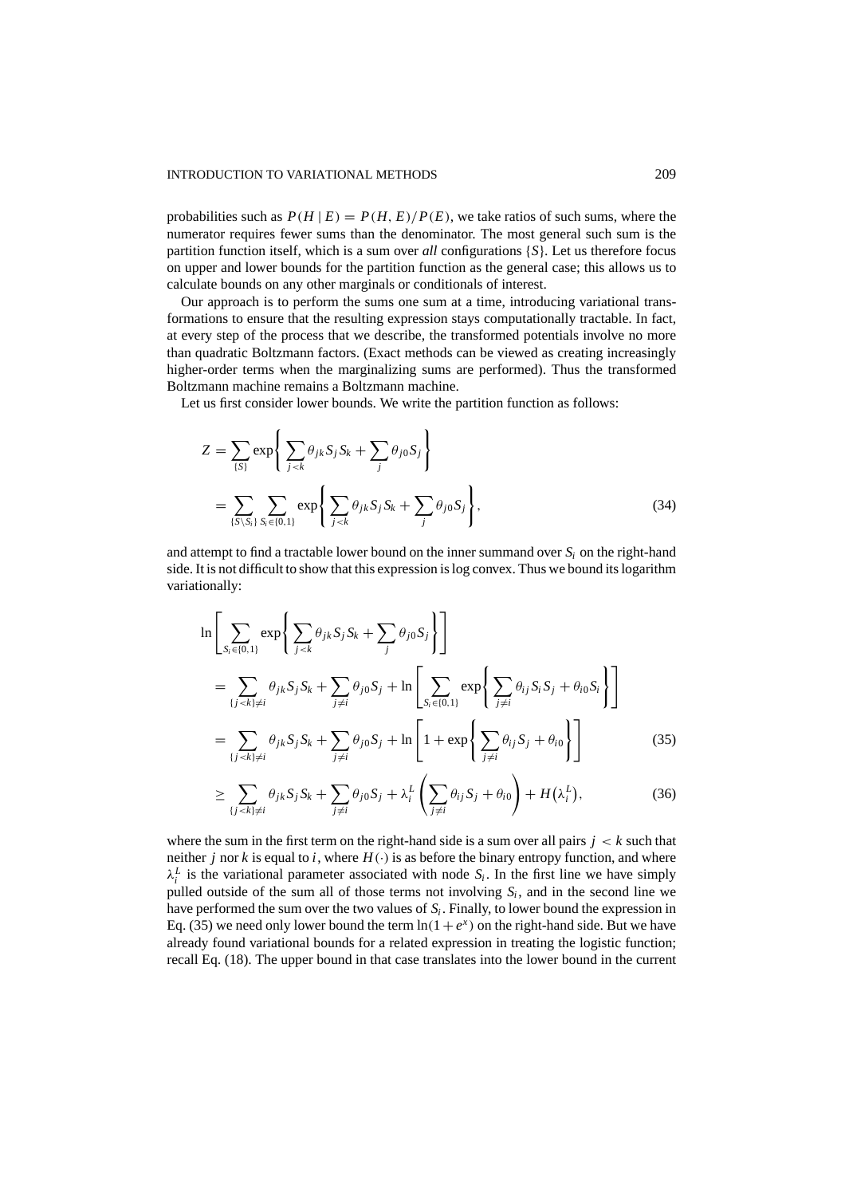probabilities such as  $P(H | E) = P(H, E)/P(E)$ , we take ratios of such sums, where the numerator requires fewer sums than the denominator. The most general such sum is the partition function itself, which is a sum over *all* configurations {*S*}. Let us therefore focus on upper and lower bounds for the partition function as the general case; this allows us to calculate bounds on any other marginals or conditionals of interest.

Our approach is to perform the sums one sum at a time, introducing variational transformations to ensure that the resulting expression stays computationally tractable. In fact, at every step of the process that we describe, the transformed potentials involve no more than quadratic Boltzmann factors. (Exact methods can be viewed as creating increasingly higher-order terms when the marginalizing sums are performed). Thus the transformed Boltzmann machine remains a Boltzmann machine.

Let us first consider lower bounds. We write the partition function as follows:

$$
Z = \sum_{\{S\}} \exp\left\{\sum_{j < k} \theta_{jk} S_j S_k + \sum_j \theta_{j0} S_j\right\}
$$
\n
$$
= \sum_{\{S\setminus S_i\}} \sum_{S_i \in \{0,1\}} \exp\left\{\sum_{j < k} \theta_{jk} S_j S_k + \sum_j \theta_{j0} S_j\right\},\tag{34}
$$

and attempt to find a tractable lower bound on the inner summand over  $S_i$  on the right-hand side. It is not difficult to show that this expression is log convex. Thus we bound its logarithm variationally:

$$
\ln \left[ \sum_{S_i \in \{0,1\}} \exp \left\{ \sum_{j < k} \theta_{jk} S_j S_k + \sum_j \theta_{j0} S_j \right\} \right]
$$
\n
$$
= \sum_{\{j < k\} \neq i} \theta_{jk} S_j S_k + \sum_{j \neq i} \theta_{j0} S_j + \ln \left[ \sum_{S_i \in \{0,1\}} \exp \left\{ \sum_{j \neq i} \theta_{ij} S_i S_j + \theta_{i0} S_i \right\} \right]
$$
\n
$$
= \sum_{\{j < k\} \neq i} \theta_{jk} S_j S_k + \sum_{j \neq i} \theta_{j0} S_j + \ln \left[ 1 + \exp \left\{ \sum_{j \neq i} \theta_{ij} S_j + \theta_{i0} \right\} \right]
$$
\n(35)

$$
\geq \sum_{\{j < k\} \neq i} \theta_{jk} S_j S_k + \sum_{j \neq i} \theta_{j0} S_j + \lambda_i^L \left( \sum_{j \neq i} \theta_{ij} S_j + \theta_{i0} \right) + H(\lambda_i^L),\tag{36}
$$

where the sum in the first term on the right-hand side is a sum over all pairs  $j < k$  such that neither *j* nor *k* is equal to *i*, where  $H(\cdot)$  is as before the binary entropy function, and where  $\lambda_i^L$  is the variational parameter associated with node  $S_i$ . In the first line we have simply pulled outside of the sum all of those terms not involving  $S_i$ , and in the second line we have performed the sum over the two values of  $S_i$ . Finally, to lower bound the expression in Eq. (35) we need only lower bound the term  $\ln(1 + e^x)$  on the right-hand side. But we have already found variational bounds for a related expression in treating the logistic function; recall Eq. (18). The upper bound in that case translates into the lower bound in the current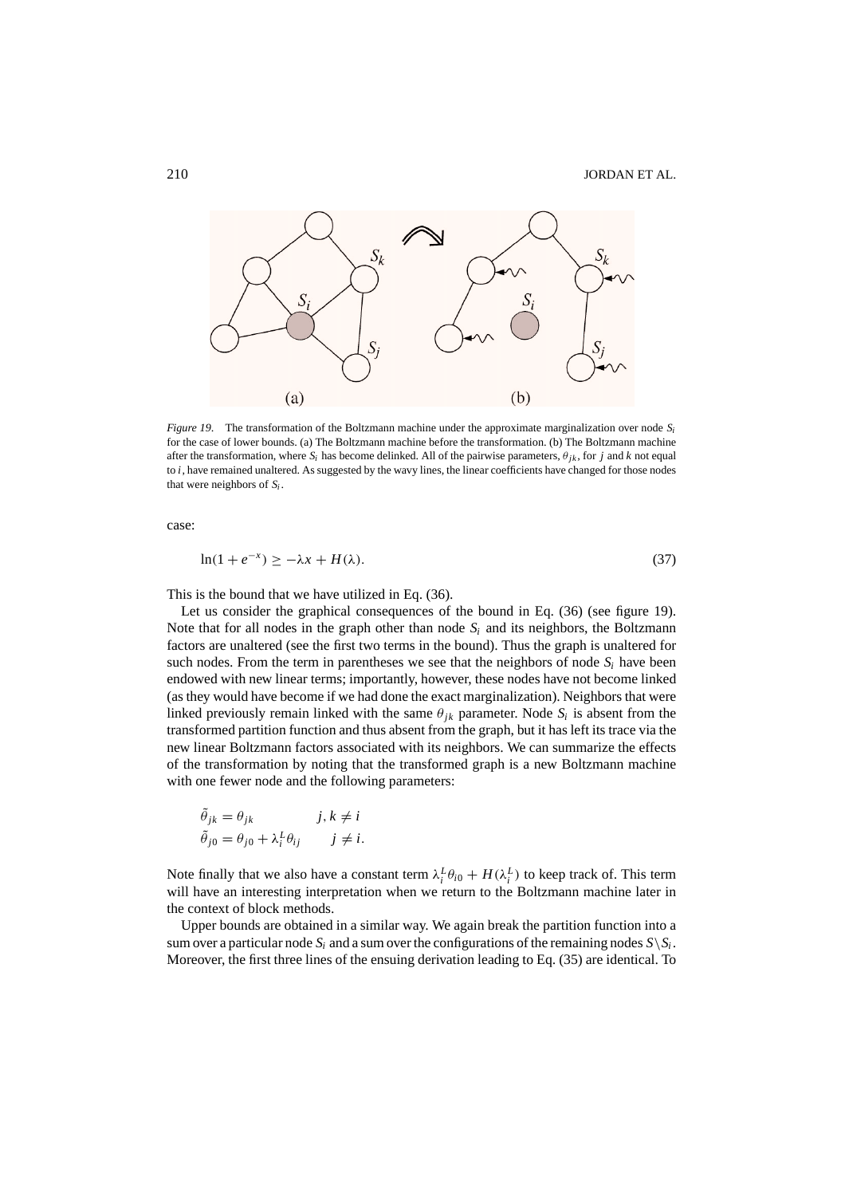

*Figure 19*. The transformation of the Boltzmann machine under the approximate marginalization over node *Si* for the case of lower bounds. (a) The Boltzmann machine before the transformation. (b) The Boltzmann machine after the transformation, where  $S_i$  has become delinked. All of the pairwise parameters,  $\theta_{jk}$ , for *j* and *k* not equal to *i*, have remained unaltered. As suggested by the wavy lines, the linear coefficients have changed for those nodes that were neighbors of  $S_i$ .

case:

$$
\ln(1 + e^{-x}) \ge -\lambda x + H(\lambda). \tag{37}
$$

This is the bound that we have utilized in Eq. (36).

Let us consider the graphical consequences of the bound in Eq. (36) (see figure 19). Note that for all nodes in the graph other than node  $S_i$  and its neighbors, the Boltzmann factors are unaltered (see the first two terms in the bound). Thus the graph is unaltered for such nodes. From the term in parentheses we see that the neighbors of node  $S_i$  have been endowed with new linear terms; importantly, however, these nodes have not become linked (as they would have become if we had done the exact marginalization). Neighbors that were linked previously remain linked with the same  $\theta_{ik}$  parameter. Node  $S_i$  is absent from the transformed partition function and thus absent from the graph, but it has left its trace via the new linear Boltzmann factors associated with its neighbors. We can summarize the effects of the transformation by noting that the transformed graph is a new Boltzmann machine with one fewer node and the following parameters:

$$
\begin{aligned}\n\tilde{\theta}_{jk} &= \theta_{jk} & j, k \neq i \\
\tilde{\theta}_{j0} &= \theta_{j0} + \lambda_i^L \theta_{ij} & j \neq i.\n\end{aligned}
$$

Note finally that we also have a constant term  $\lambda_i^L \theta_{i0} + H(\lambda_i^L)$  to keep track of. This term will have an interesting interpretation when we return to the Boltzmann machine later in the context of block methods.

Upper bounds are obtained in a similar way. We again break the partition function into a sum over a particular node  $S_i$  and a sum over the configurations of the remaining nodes  $S\setminus S_i$ . Moreover, the first three lines of the ensuing derivation leading to Eq. (35) are identical. To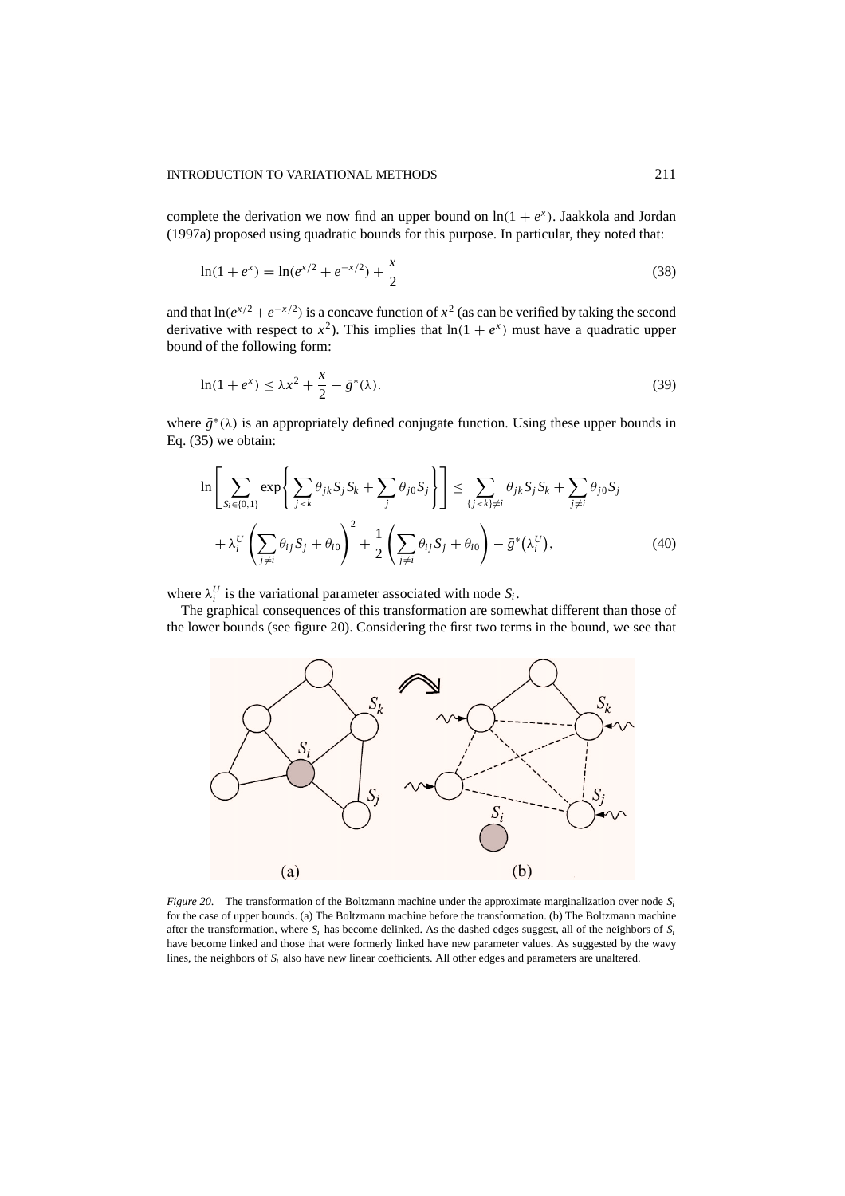complete the derivation we now find an upper bound on  $ln(1 + e^x)$ . Jaakkola and Jordan (1997a) proposed using quadratic bounds for this purpose. In particular, they noted that:

$$
\ln(1 + e^x) = \ln(e^{x/2} + e^{-x/2}) + \frac{x}{2}
$$
\n(38)

and that  $ln(e^{x/2} + e^{-x/2})$  is a concave function of  $x^2$  (as can be verified by taking the second derivative with respect to  $x^2$ ). This implies that  $ln(1 + e^x)$  must have a quadratic upper bound of the following form:

$$
\ln(1 + e^x) \le \lambda x^2 + \frac{x}{2} - \bar{g}^*(\lambda). \tag{39}
$$

where  $\bar{g}^*(\lambda)$  is an appropriately defined conjugate function. Using these upper bounds in Eq. (35) we obtain:

$$
\ln \left[ \sum_{S_i \in \{0,1\}} \exp \left\{ \sum_{j < k} \theta_{jk} S_j S_k + \sum_j \theta_{j0} S_j \right\} \right] \le \sum_{\{j < k\} \neq i} \theta_{jk} S_j S_k + \sum_{j \neq i} \theta_{j0} S_j
$$
\n
$$
+ \lambda_i^U \left( \sum_{j \neq i} \theta_{ij} S_j + \theta_{i0} \right)^2 + \frac{1}{2} \left( \sum_{j \neq i} \theta_{ij} S_j + \theta_{i0} \right) - \bar{g}^* (\lambda_i^U), \tag{40}
$$

where  $\lambda_i^U$  is the variational parameter associated with node  $S_i$ .

The graphical consequences of this transformation are somewhat different than those of the lower bounds (see figure 20). Considering the first two terms in the bound, we see that



*Figure 20*. The transformation of the Boltzmann machine under the approximate marginalization over node *Si* for the case of upper bounds. (a) The Boltzmann machine before the transformation. (b) The Boltzmann machine after the transformation, where  $S_i$  has become delinked. As the dashed edges suggest, all of the neighbors of  $S_i$ have become linked and those that were formerly linked have new parameter values. As suggested by the wavy lines, the neighbors of  $S_i$  also have new linear coefficients. All other edges and parameters are unaltered.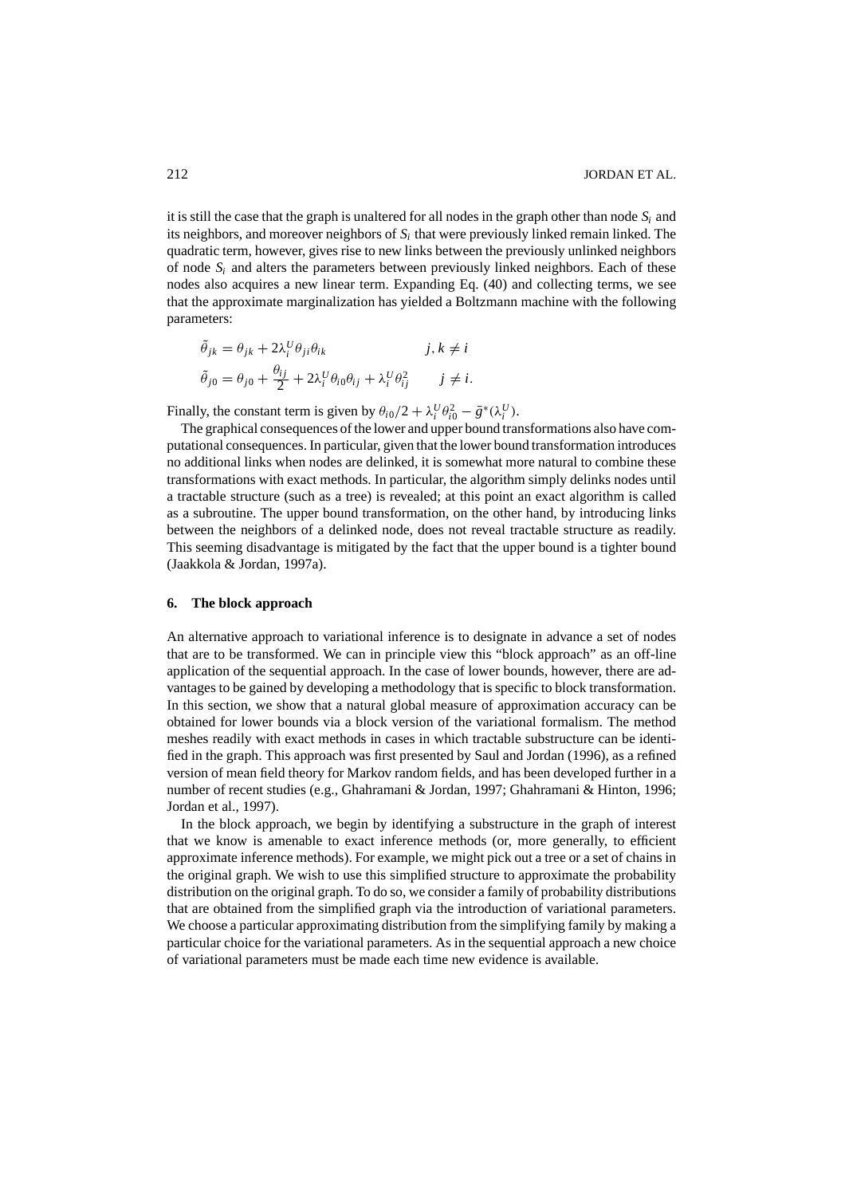it is still the case that the graph is unaltered for all nodes in the graph other than node  $S_i$  and its neighbors, and moreover neighbors of *Si* that were previously linked remain linked. The quadratic term, however, gives rise to new links between the previously unlinked neighbors of node  $S_i$  and alters the parameters between previously linked neighbors. Each of these nodes also acquires a new linear term. Expanding Eq. (40) and collecting terms, we see that the approximate marginalization has yielded a Boltzmann machine with the following parameters:

$$
\begin{aligned}\n\tilde{\theta}_{jk} &= \theta_{jk} + 2\lambda_i^U \theta_{ji} \theta_{ik} & j, k \neq i \\
\tilde{\theta}_{j0} &= \theta_{j0} + \frac{\theta_{ij}}{2} + 2\lambda_i^U \theta_{i0} \theta_{ij} + \lambda_i^U \theta_{ij}^2 & j \neq i.\n\end{aligned}
$$

Finally, the constant term is given by  $\theta_{i0}/2 + \lambda_i^U \theta_{i0}^2 - \bar{g}^*(\lambda_i^U)$ .

The graphical consequences of the lower and upper bound transformations also have computational consequences. In particular, given that the lower bound transformation introduces no additional links when nodes are delinked, it is somewhat more natural to combine these transformations with exact methods. In particular, the algorithm simply delinks nodes until a tractable structure (such as a tree) is revealed; at this point an exact algorithm is called as a subroutine. The upper bound transformation, on the other hand, by introducing links between the neighbors of a delinked node, does not reveal tractable structure as readily. This seeming disadvantage is mitigated by the fact that the upper bound is a tighter bound (Jaakkola & Jordan, 1997a).

## **6. The block approach**

An alternative approach to variational inference is to designate in advance a set of nodes that are to be transformed. We can in principle view this "block approach" as an off-line application of the sequential approach. In the case of lower bounds, however, there are advantages to be gained by developing a methodology that is specific to block transformation. In this section, we show that a natural global measure of approximation accuracy can be obtained for lower bounds via a block version of the variational formalism. The method meshes readily with exact methods in cases in which tractable substructure can be identified in the graph. This approach was first presented by Saul and Jordan (1996), as a refined version of mean field theory for Markov random fields, and has been developed further in a number of recent studies (e.g., Ghahramani & Jordan, 1997; Ghahramani & Hinton, 1996; Jordan et al., 1997).

In the block approach, we begin by identifying a substructure in the graph of interest that we know is amenable to exact inference methods (or, more generally, to efficient approximate inference methods). For example, we might pick out a tree or a set of chains in the original graph. We wish to use this simplified structure to approximate the probability distribution on the original graph. To do so, we consider a family of probability distributions that are obtained from the simplified graph via the introduction of variational parameters. We choose a particular approximating distribution from the simplifying family by making a particular choice for the variational parameters. As in the sequential approach a new choice of variational parameters must be made each time new evidence is available.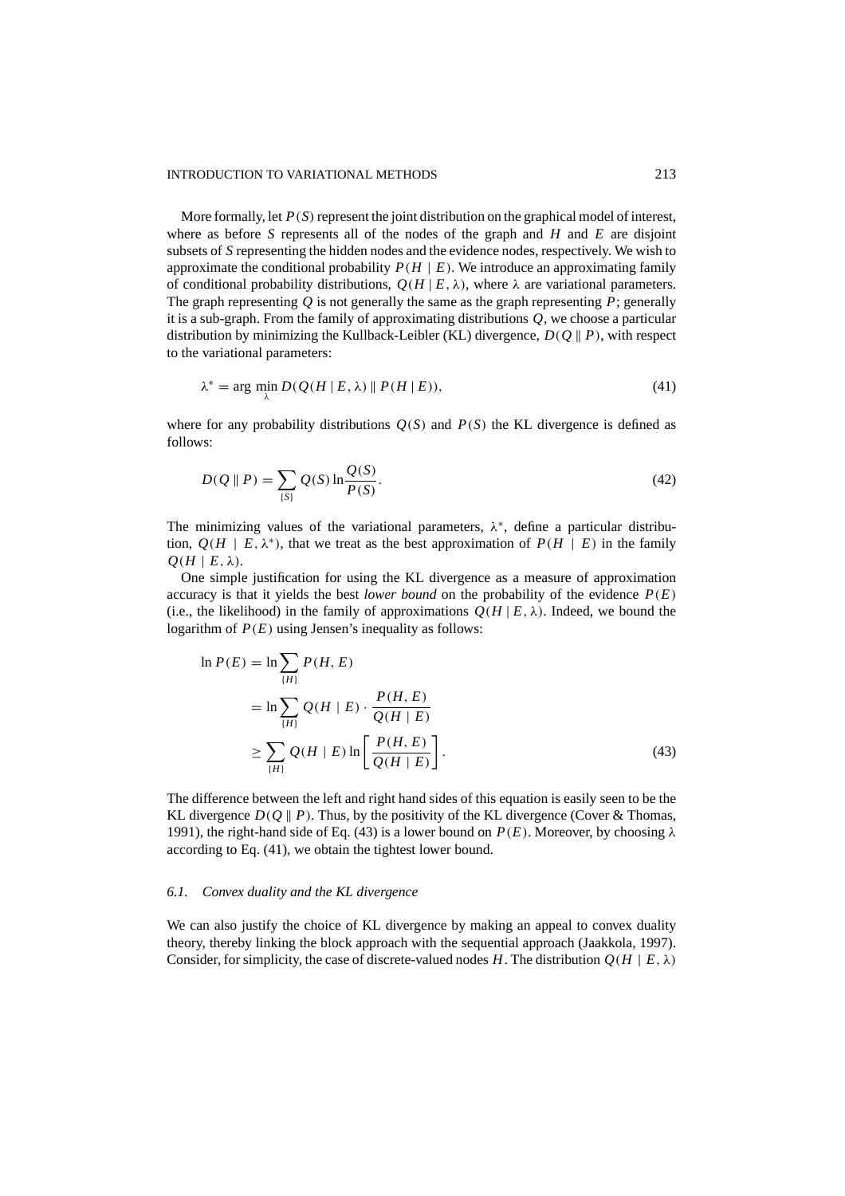#### INTRODUCTION TO VARIATIONAL METHODS 213

More formally, let  $P(S)$  represent the joint distribution on the graphical model of interest, where as before *S* represents all of the nodes of the graph and  $H$  and  $E$  are disjoint subsets of *S* representing the hidden nodes and the evidence nodes, respectively. We wish to approximate the conditional probability  $P(H \mid E)$ . We introduce an approximating family of conditional probability distributions,  $Q(H | E, \lambda)$ , where  $\lambda$  are variational parameters. The graph representing *Q* is not generally the same as the graph representing *P*; generally it is a sub-graph. From the family of approximating distributions *Q*, we choose a particular distribution by minimizing the Kullback-Leibler (KL) divergence,  $D(Q \parallel P)$ , with respect to the variational parameters:

$$
\lambda^* = \arg\min_{\lambda} D(Q(H \mid E, \lambda) \parallel P(H \mid E)),\tag{41}
$$

where for any probability distributions  $Q(S)$  and  $P(S)$  the KL divergence is defined as follows:

$$
D(Q \parallel P) = \sum_{\{S\}} Q(S) \ln \frac{Q(S)}{P(S)}.
$$
\n(42)

The minimizing values of the variational parameters,  $\lambda^*$ , define a particular distribution,  $Q(H \mid E, \lambda^*)$ , that we treat as the best approximation of  $P(H \mid E)$  in the family  $Q(H \mid E, \lambda)$ .

One simple justification for using the KL divergence as a measure of approximation accuracy is that it yields the best *lower bound* on the probability of the evidence  $P(E)$ (i.e., the likelihood) in the family of approximations  $Q(H | E, \lambda)$ . Indeed, we bound the logarithm of  $P(E)$  using Jensen's inequality as follows:

$$
\ln P(E) = \ln \sum_{\{H\}} P(H, E)
$$
  
= 
$$
\ln \sum_{\{H\}} Q(H \mid E) \cdot \frac{P(H, E)}{Q(H \mid E)}
$$
  

$$
\geq \sum_{\{H\}} Q(H \mid E) \ln \left[ \frac{P(H, E)}{Q(H \mid E)} \right].
$$
 (43)

The difference between the left and right hand sides of this equation is easily seen to be the KL divergence  $D(Q \parallel P)$ . Thus, by the positivity of the KL divergence (Cover & Thomas, 1991), the right-hand side of Eq. (43) is a lower bound on  $P(E)$ . Moreover, by choosing  $\lambda$ according to Eq. (41), we obtain the tightest lower bound.

# *6.1. Convex duality and the KL divergence*

We can also justify the choice of KL divergence by making an appeal to convex duality theory, thereby linking the block approach with the sequential approach (Jaakkola, 1997). Consider, for simplicity, the case of discrete-valued nodes *H*. The distribution  $Q(H \mid E, \lambda)$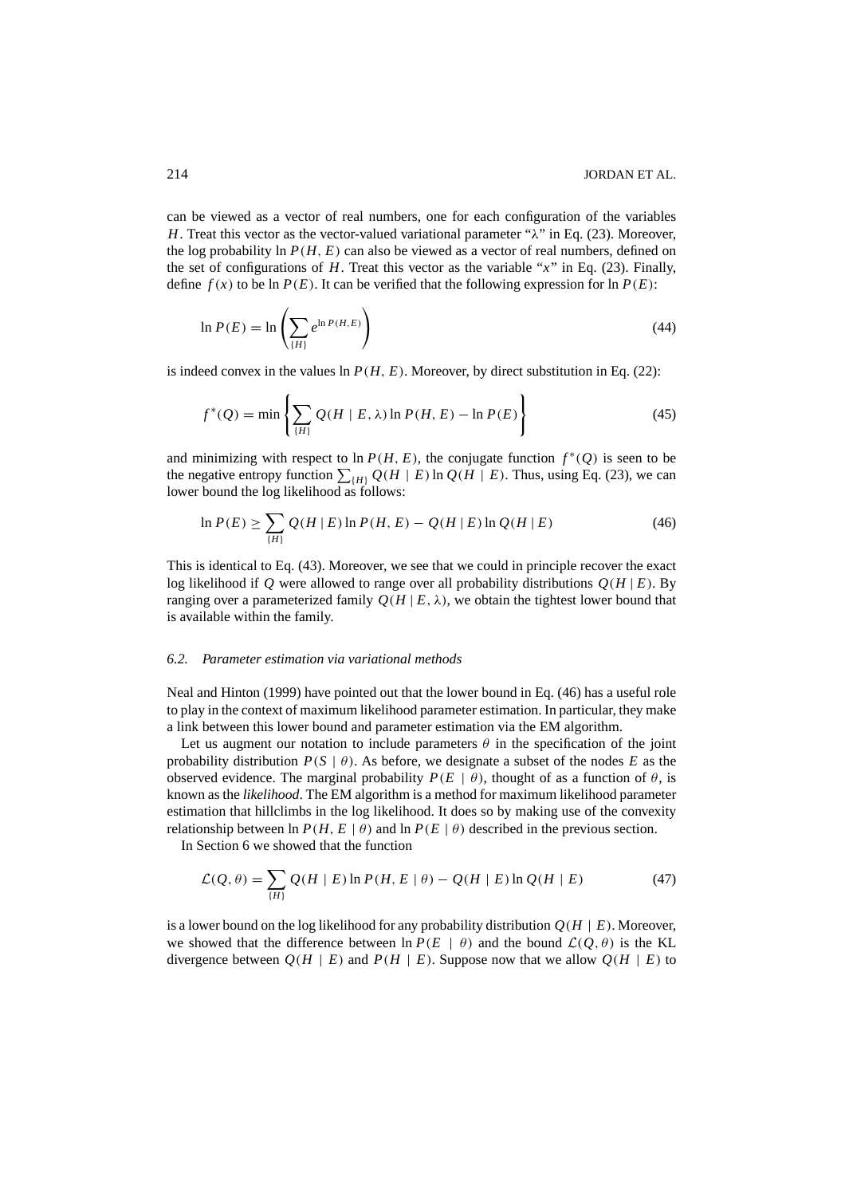can be viewed as a vector of real numbers, one for each configuration of the variables *H*. Treat this vector as the vector-valued variational parameter " $\lambda$ " in Eq. (23). Moreover, the log probability  $\ln P(H, E)$  can also be viewed as a vector of real numbers, defined on the set of configurations of *H*. Treat this vector as the variable "*x*" in Eq. (23). Finally, define  $f(x)$  to be ln  $P(E)$ . It can be verified that the following expression for ln  $P(E)$ :

$$
\ln P(E) = \ln \left( \sum_{\{H\}} e^{\ln P(H,E)} \right) \tag{44}
$$

is indeed convex in the values  $\ln P(H, E)$ . Moreover, by direct substitution in Eq. (22):

$$
f^*(Q) = \min \left\{ \sum_{\{H\}} Q(H \mid E, \lambda) \ln P(H, E) - \ln P(E) \right\}
$$
 (45)

and minimizing with respect to ln  $P(H, E)$ , the conjugate function  $f^*(Q)$  is seen to be the negative entropy function  $\sum_{\{H\}} Q(H \mid E) \ln Q(H \mid E)$ . Thus, using Eq. (23), we can lower bound the log likelihood as follows:

$$
\ln P(E) \ge \sum_{\{H\}} Q(H \mid E) \ln P(H, E) - Q(H \mid E) \ln Q(H \mid E) \tag{46}
$$

This is identical to Eq. (43). Moreover, we see that we could in principle recover the exact log likelihood if *Q* were allowed to range over all probability distributions  $Q(H | E)$ . By ranging over a parameterized family  $Q(H | E, \lambda)$ , we obtain the tightest lower bound that is available within the family.

#### *6.2. Parameter estimation via variational methods*

Neal and Hinton (1999) have pointed out that the lower bound in Eq. (46) has a useful role to play in the context of maximum likelihood parameter estimation. In particular, they make a link between this lower bound and parameter estimation via the EM algorithm.

Let us augment our notation to include parameters  $\theta$  in the specification of the joint probability distribution  $P(S | \theta)$ . As before, we designate a subset of the nodes *E* as the observed evidence. The marginal probability  $P(E | \theta)$ , thought of as a function of  $\theta$ , is known as the *likelihood*. The EM algorithm is a method for maximum likelihood parameter estimation that hillclimbs in the log likelihood. It does so by making use of the convexity relationship between ln  $P(H, E | \theta)$  and ln  $P(E | \theta)$  described in the previous section.

In Section 6 we showed that the function

$$
\mathcal{L}(Q,\theta) = \sum_{\{H\}} Q(H \mid E) \ln P(H, E \mid \theta) - Q(H \mid E) \ln Q(H \mid E)
$$
 (47)

is a lower bound on the log likelihood for any probability distribution  $Q(H | E)$ . Moreover, we showed that the difference between  $\ln P(E \mid \theta)$  and the bound  $\mathcal{L}(Q, \theta)$  is the KL divergence between  $Q(H \mid E)$  and  $P(H \mid E)$ . Suppose now that we allow  $Q(H \mid E)$  to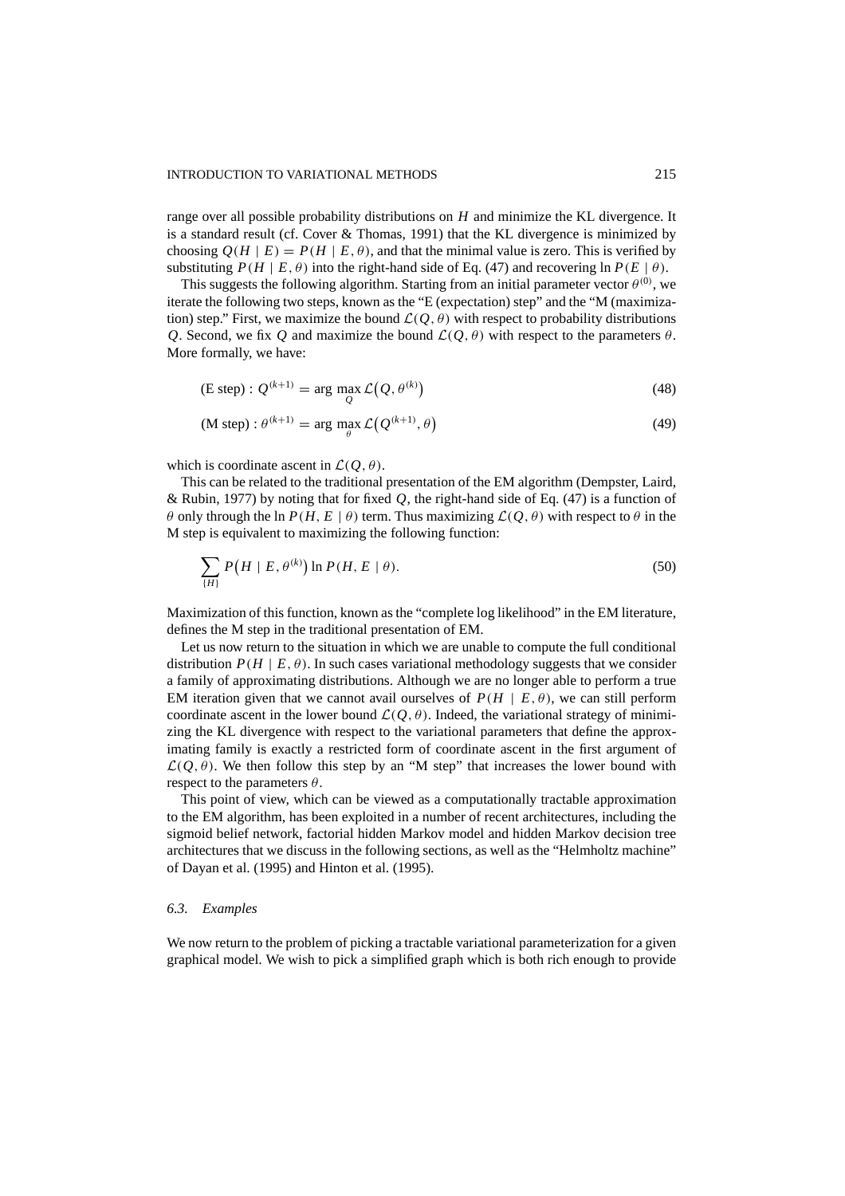range over all possible probability distributions on *H* and minimize the KL divergence. It is a standard result (cf. Cover & Thomas, 1991) that the KL divergence is minimized by choosing  $O(H \mid E) = P(H \mid E, \theta)$ , and that the minimal value is zero. This is verified by substituting  $P(H \mid E, \theta)$  into the right-hand side of Eq. (47) and recovering ln  $P(E \mid \theta)$ .

This suggests the following algorithm. Starting from an initial parameter vector  $\theta^{(0)}$ , we iterate the following two steps, known as the "E (expectation) step" and the "M (maximization) step." First, we maximize the bound  $\mathcal{L}(Q, \theta)$  with respect to probability distributions *Q*. Second, we fix *Q* and maximize the bound  $\mathcal{L}(O, \theta)$  with respect to the parameters  $\theta$ . More formally, we have:

$$
\text{(E step)}: \mathcal{Q}^{(k+1)} = \arg\max_{\mathcal{Q}} \mathcal{L}(Q, \theta^{(k)}) \tag{48}
$$

$$
\text{(M step)}: \theta^{(k+1)} = \arg\max_{\theta} \mathcal{L}\big(Q^{(k+1)}, \theta\big) \tag{49}
$$

which is coordinate ascent in  $\mathcal{L}(Q, \theta)$ .

This can be related to the traditional presentation of the EM algorithm (Dempster, Laird, & Rubin, 1977) by noting that for fixed *Q*, the right-hand side of Eq. (47) is a function of θ only through the ln *P*(*H*, *E* | θ ) term. Thus maximizing L(*Q*,θ) with respect to θ in the M step is equivalent to maximizing the following function:

$$
\sum_{\{H\}} P\left(H \mid E, \theta^{(k)}\right) \ln P(H, E \mid \theta). \tag{50}
$$

Maximization of this function, known as the "complete log likelihood" in the EM literature, defines the M step in the traditional presentation of EM.

Let us now return to the situation in which we are unable to compute the full conditional distribution  $P(H \mid E, \theta)$ . In such cases variational methodology suggests that we consider a family of approximating distributions. Although we are no longer able to perform a true EM iteration given that we cannot avail ourselves of  $P(H | E, \theta)$ , we can still perform coordinate ascent in the lower bound  $\mathcal{L}(Q, \theta)$ . Indeed, the variational strategy of minimizing the KL divergence with respect to the variational parameters that define the approximating family is exactly a restricted form of coordinate ascent in the first argument of  $\mathcal{L}(Q,\theta)$ . We then follow this step by an "M step" that increases the lower bound with respect to the parameters  $\theta$ .

This point of view, which can be viewed as a computationally tractable approximation to the EM algorithm, has been exploited in a number of recent architectures, including the sigmoid belief network, factorial hidden Markov model and hidden Markov decision tree architectures that we discuss in the following sections, as well as the "Helmholtz machine" of Dayan et al. (1995) and Hinton et al. (1995).

# *6.3. Examples*

We now return to the problem of picking a tractable variational parameterization for a given graphical model. We wish to pick a simplified graph which is both rich enough to provide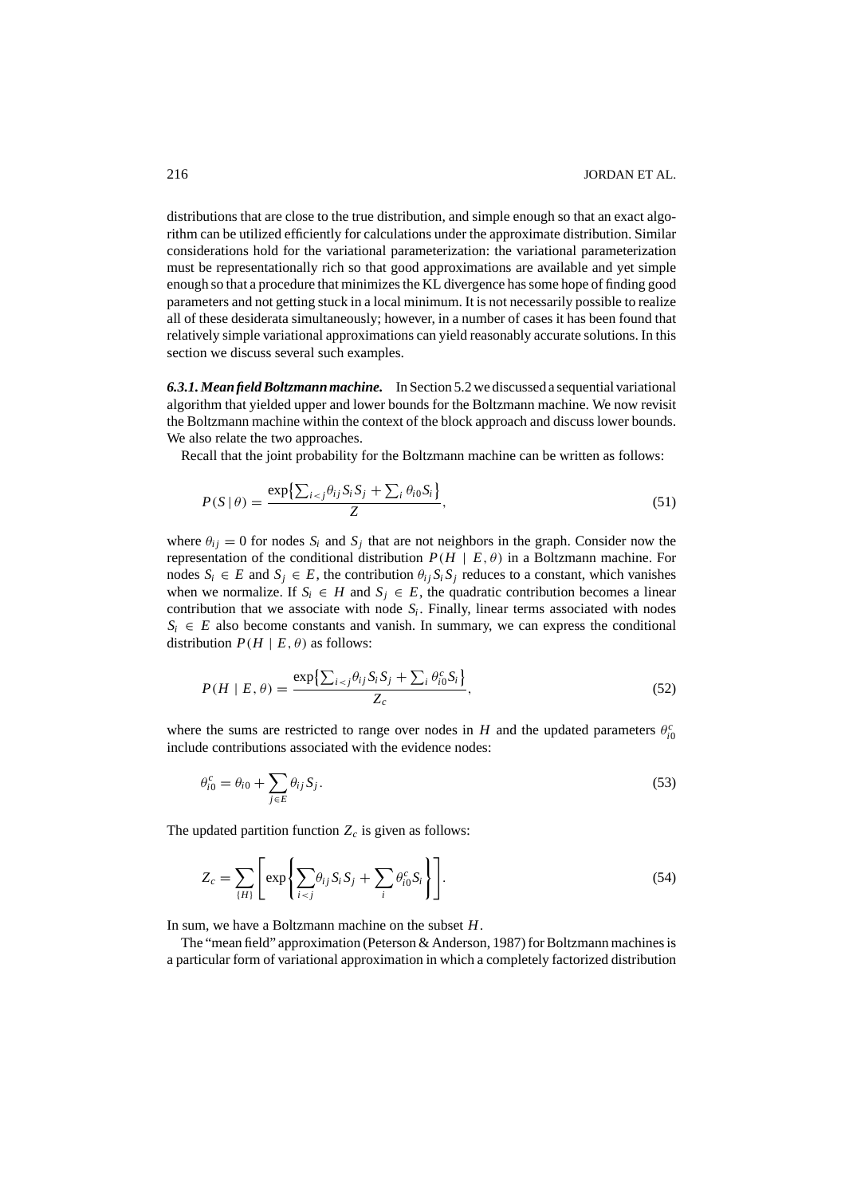distributions that are close to the true distribution, and simple enough so that an exact algorithm can be utilized efficiently for calculations under the approximate distribution. Similar considerations hold for the variational parameterization: the variational parameterization must be representationally rich so that good approximations are available and yet simple enough so that a procedure that minimizes the KL divergence has some hope of finding good parameters and not getting stuck in a local minimum. It is not necessarily possible to realize all of these desiderata simultaneously; however, in a number of cases it has been found that relatively simple variational approximations can yield reasonably accurate solutions. In this section we discuss several such examples.

*6.3.1. Mean field Boltzmann machine.* In Section 5.2 we discussed a sequential variational algorithm that yielded upper and lower bounds for the Boltzmann machine. We now revisit the Boltzmann machine within the context of the block approach and discuss lower bounds. We also relate the two approaches.

Recall that the joint probability for the Boltzmann machine can be written as follows:

$$
P(S | \theta) = \frac{\exp\left\{\sum_{i < j} \theta_{ij} S_i S_j + \sum_i \theta_{i0} S_i\right\}}{Z},\tag{51}
$$

where  $\theta_{ij} = 0$  for nodes  $S_i$  and  $S_j$  that are not neighbors in the graph. Consider now the representation of the conditional distribution  $P(H | E, \theta)$  in a Boltzmann machine. For nodes  $S_i \in E$  and  $S_j \in E$ , the contribution  $\theta_{ij} S_i S_j$  reduces to a constant, which vanishes when we normalize. If  $S_i \in H$  and  $S_j \in E$ , the quadratic contribution becomes a linear contribution that we associate with node  $S_i$ . Finally, linear terms associated with nodes  $S_i \in E$  also become constants and vanish. In summary, we can express the conditional distribution  $P(H \mid E, \theta)$  as follows:

$$
P(H \mid E, \theta) = \frac{\exp\left\{\sum_{i < j} \theta_{ij} S_i S_j + \sum_i \theta_{i0}^c S_i\right\}}{Z_c},\tag{52}
$$

where the sums are restricted to range over nodes in *H* and the updated parameters  $\theta_{i0}^c$ include contributions associated with the evidence nodes:

$$
\theta_{i0}^c = \theta_{i0} + \sum_{j \in E} \theta_{ij} S_j. \tag{53}
$$

The updated partition function  $Z_c$  is given as follows:

$$
Z_c = \sum_{\{H\}} \left[ \exp\left\{ \sum_{i < j} \theta_{ij} S_i S_j + \sum_i \theta_{i0}^c S_i \right\} \right]. \tag{54}
$$

In sum, we have a Boltzmann machine on the subset *H*.

The "mean field" approximation (Peterson & Anderson, 1987) for Boltzmann machines is a particular form of variational approximation in which a completely factorized distribution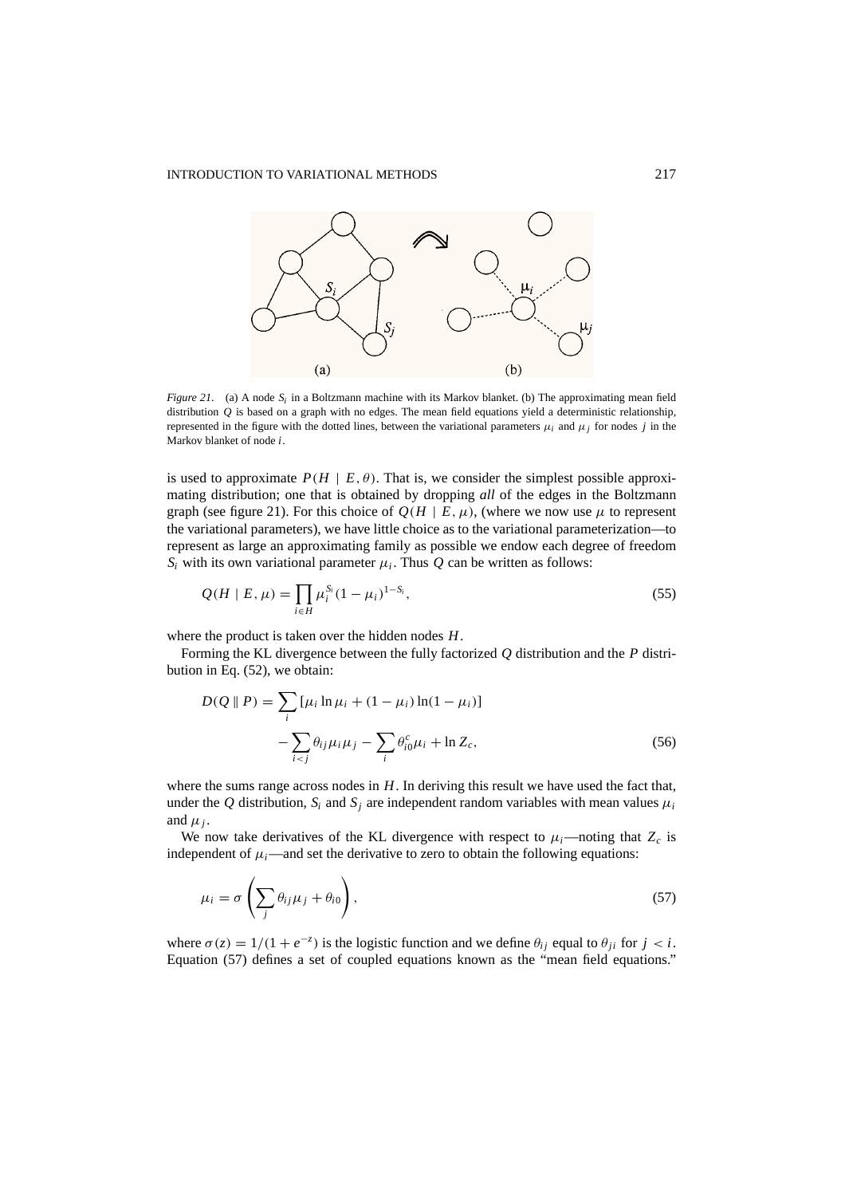

*Figure 21.* (a) A node  $S_i$  in a Boltzmann machine with its Markov blanket. (b) The approximating mean field distribution *Q* is based on a graph with no edges. The mean field equations yield a deterministic relationship, represented in the figure with the dotted lines, between the variational parameters  $\mu_i$  and  $\mu_j$  for nodes *j* in the Markov blanket of node *i*.

is used to approximate  $P(H \mid E, \theta)$ . That is, we consider the simplest possible approximating distribution; one that is obtained by dropping *all* of the edges in the Boltzmann graph (see figure 21). For this choice of  $Q(H \mid E, \mu)$ , (where we now use  $\mu$  to represent the variational parameters), we have little choice as to the variational parameterization—to represent as large an approximating family as possible we endow each degree of freedom  $S_i$  with its own variational parameter  $\mu_i$ . Thus  $Q$  can be written as follows:

$$
Q(H \mid E, \mu) = \prod_{i \in H} \mu_i^{S_i} (1 - \mu_i)^{1 - S_i},\tag{55}
$$

where the product is taken over the hidden nodes *H*.

Forming the KL divergence between the fully factorized *Q* distribution and the *P* distribution in Eq. (52), we obtain:

$$
D(Q \parallel P) = \sum_{i} [\mu_i \ln \mu_i + (1 - \mu_i) \ln(1 - \mu_i)] - \sum_{i < j} \theta_{ij} \mu_i \mu_j - \sum_{i} \theta_{i0}^c \mu_i + \ln Z_c,\tag{56}
$$

where the sums range across nodes in *H*. In deriving this result we have used the fact that, under the Q distribution,  $S_i$  and  $S_j$  are independent random variables with mean values  $\mu_i$ and  $\mu_i$ .

We now take derivatives of the KL divergence with respect to  $\mu_i$ —noting that  $Z_c$  is independent of  $\mu_i$ —and set the derivative to zero to obtain the following equations:

$$
\mu_i = \sigma \left( \sum_j \theta_{ij} \mu_j + \theta_{i0} \right),\tag{57}
$$

where  $\sigma(z) = 1/(1 + e^{-z})$  is the logistic function and we define  $\theta_{ij}$  equal to  $\theta_{ji}$  for  $j < i$ . Equation (57) defines a set of coupled equations known as the "mean field equations."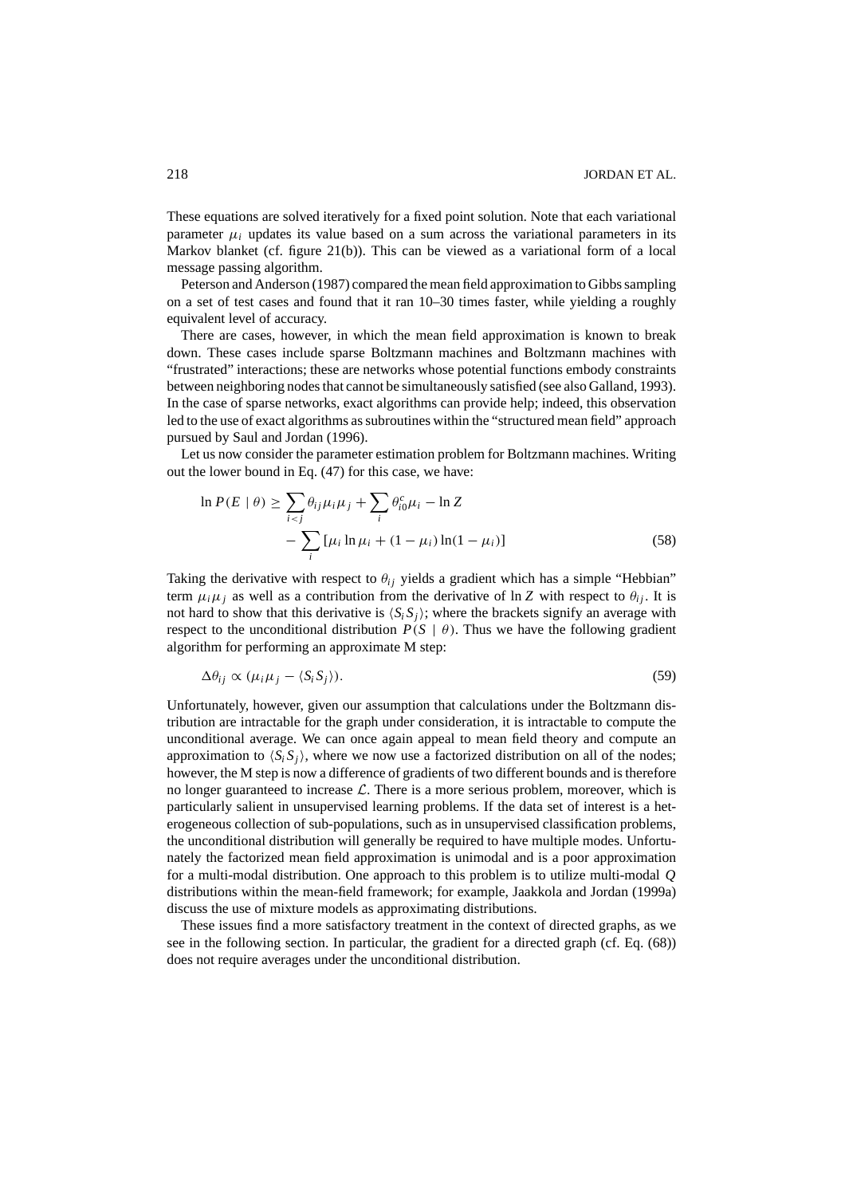These equations are solved iteratively for a fixed point solution. Note that each variational parameter  $\mu_i$  updates its value based on a sum across the variational parameters in its Markov blanket (cf. figure 21(b)). This can be viewed as a variational form of a local message passing algorithm.

Peterson and Anderson (1987) compared the mean field approximation to Gibbs sampling on a set of test cases and found that it ran 10–30 times faster, while yielding a roughly equivalent level of accuracy.

There are cases, however, in which the mean field approximation is known to break down. These cases include sparse Boltzmann machines and Boltzmann machines with "frustrated" interactions; these are networks whose potential functions embody constraints between neighboring nodes that cannot be simultaneously satisfied (see also Galland, 1993). In the case of sparse networks, exact algorithms can provide help; indeed, this observation led to the use of exact algorithms as subroutines within the "structured mean field" approach pursued by Saul and Jordan (1996).

Let us now consider the parameter estimation problem for Boltzmann machines. Writing out the lower bound in Eq. (47) for this case, we have:

$$
\ln P(E \mid \theta) \ge \sum_{i < j} \theta_{ij} \mu_i \mu_j + \sum_i \theta_{i0}^c \mu_i - \ln Z - \sum_i [\mu_i \ln \mu_i + (1 - \mu_i) \ln(1 - \mu_i)] \tag{58}
$$

Taking the derivative with respect to  $\theta_{ij}$  yields a gradient which has a simple "Hebbian" term  $\mu_i \mu_j$  as well as a contribution from the derivative of ln *Z* with respect to  $\theta_{ij}$ . It is not hard to show that this derivative is  $\langle S_i S_j \rangle$ ; where the brackets signify an average with respect to the unconditional distribution  $P(S | \theta)$ . Thus we have the following gradient algorithm for performing an approximate M step:

$$
\Delta \theta_{ij} \propto (\mu_i \mu_j - \langle S_i S_j \rangle). \tag{59}
$$

Unfortunately, however, given our assumption that calculations under the Boltzmann distribution are intractable for the graph under consideration, it is intractable to compute the unconditional average. We can once again appeal to mean field theory and compute an approximation to  $\langle S_i S_j \rangle$ , where we now use a factorized distribution on all of the nodes; however, the M step is now a difference of gradients of two different bounds and is therefore no longer guaranteed to increase  $\mathcal{L}$ . There is a more serious problem, moreover, which is particularly salient in unsupervised learning problems. If the data set of interest is a heterogeneous collection of sub-populations, such as in unsupervised classification problems, the unconditional distribution will generally be required to have multiple modes. Unfortunately the factorized mean field approximation is unimodal and is a poor approximation for a multi-modal distribution. One approach to this problem is to utilize multi-modal *Q* distributions within the mean-field framework; for example, Jaakkola and Jordan (1999a) discuss the use of mixture models as approximating distributions.

These issues find a more satisfactory treatment in the context of directed graphs, as we see in the following section. In particular, the gradient for a directed graph (cf. Eq. (68)) does not require averages under the unconditional distribution.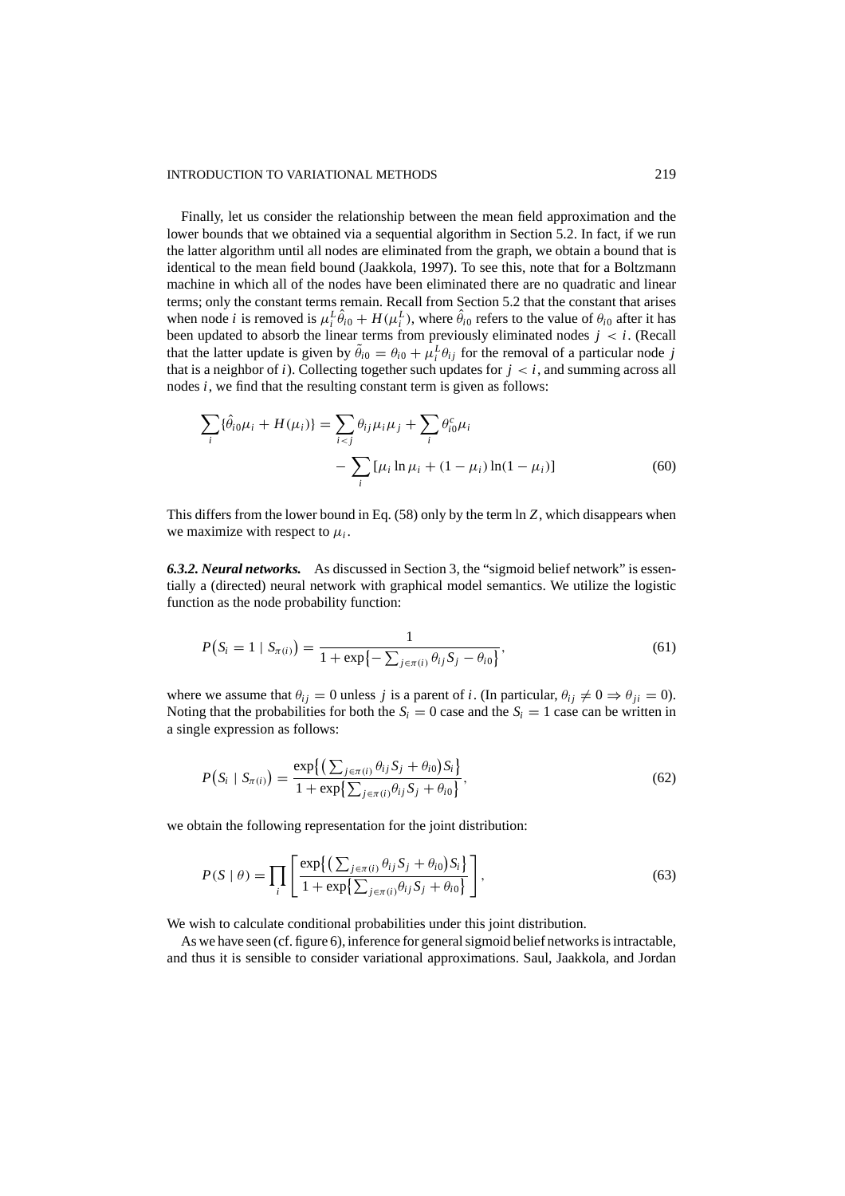#### INTRODUCTION TO VARIATIONAL METHODS 219

Finally, let us consider the relationship between the mean field approximation and the lower bounds that we obtained via a sequential algorithm in Section 5.2. In fact, if we run the latter algorithm until all nodes are eliminated from the graph, we obtain a bound that is identical to the mean field bound (Jaakkola, 1997). To see this, note that for a Boltzmann machine in which all of the nodes have been eliminated there are no quadratic and linear terms; only the constant terms remain. Recall from Section 5.2 that the constant that arises when node *i* is removed is  $\mu_i^L \hat{\theta}_{i0} + H(\mu_i^L)$ , where  $\hat{\theta}_{i0}$  refers to the value of  $\theta_{i0}$  after it has been updated to absorb the linear terms from previously eliminated nodes  $j < i$ . (Recall that the latter update is given by  $\tilde{\theta}_{i0} = \theta_{i0} + \mu_i^L \theta_{ij}$  for the removal of a particular node *j* that is a neighbor of *i*). Collecting together such updates for  $j \lt i$ , and summing across all nodes *i*, we find that the resulting constant term is given as follows:

$$
\sum_{i} {\hat{\theta}_{i0}\mu_{i} + H(\mu_{i})} = \sum_{i < j} \theta_{ij}\mu_{i}\mu_{j} + \sum_{i} \theta_{i0}^{c}\mu_{i} - \sum_{i} [\mu_{i} \ln \mu_{i} + (1 - \mu_{i}) \ln(1 - \mu_{i})] \tag{60}
$$

This differs from the lower bound in Eq. (58) only by the term ln *Z*, which disappears when we maximize with respect to  $\mu_i$ .

*6.3.2. Neural networks.* As discussed in Section 3, the "sigmoid belief network" is essentially a (directed) neural network with graphical model semantics. We utilize the logistic function as the node probability function:

$$
P(S_i = 1 | S_{\pi(i)}) = \frac{1}{1 + \exp\{-\sum_{j \in \pi(i)} \theta_{ij} S_j - \theta_{i0}\}},
$$
\n(61)

where we assume that  $\theta_{ij} = 0$  unless *j* is a parent of *i*. (In particular,  $\theta_{ij} \neq 0 \Rightarrow \theta_{ji} = 0$ ). Noting that the probabilities for both the  $S_i = 0$  case and the  $S_i = 1$  case can be written in a single expression as follows:

$$
P(S_i \mid S_{\pi(i)}) = \frac{\exp\{(\sum_{j \in \pi(i)} \theta_{ij} S_j + \theta_{i0}) S_i\}}{1 + \exp\{\sum_{j \in \pi(i)} \theta_{ij} S_j + \theta_{i0}\}},
$$
(62)

we obtain the following representation for the joint distribution:

$$
P(S \mid \theta) = \prod_{i} \left[ \frac{\exp\left\{ \left( \sum_{j \in \pi(i)} \theta_{ij} S_j + \theta_{i0} \right) S_i \right\}}{1 + \exp\left\{ \sum_{j \in \pi(i)} \theta_{ij} S_j + \theta_{i0} \right\}} \right],\tag{63}
$$

We wish to calculate conditional probabilities under this joint distribution.

As we have seen (cf. figure 6), inference for general sigmoid belief networks is intractable, and thus it is sensible to consider variational approximations. Saul, Jaakkola, and Jordan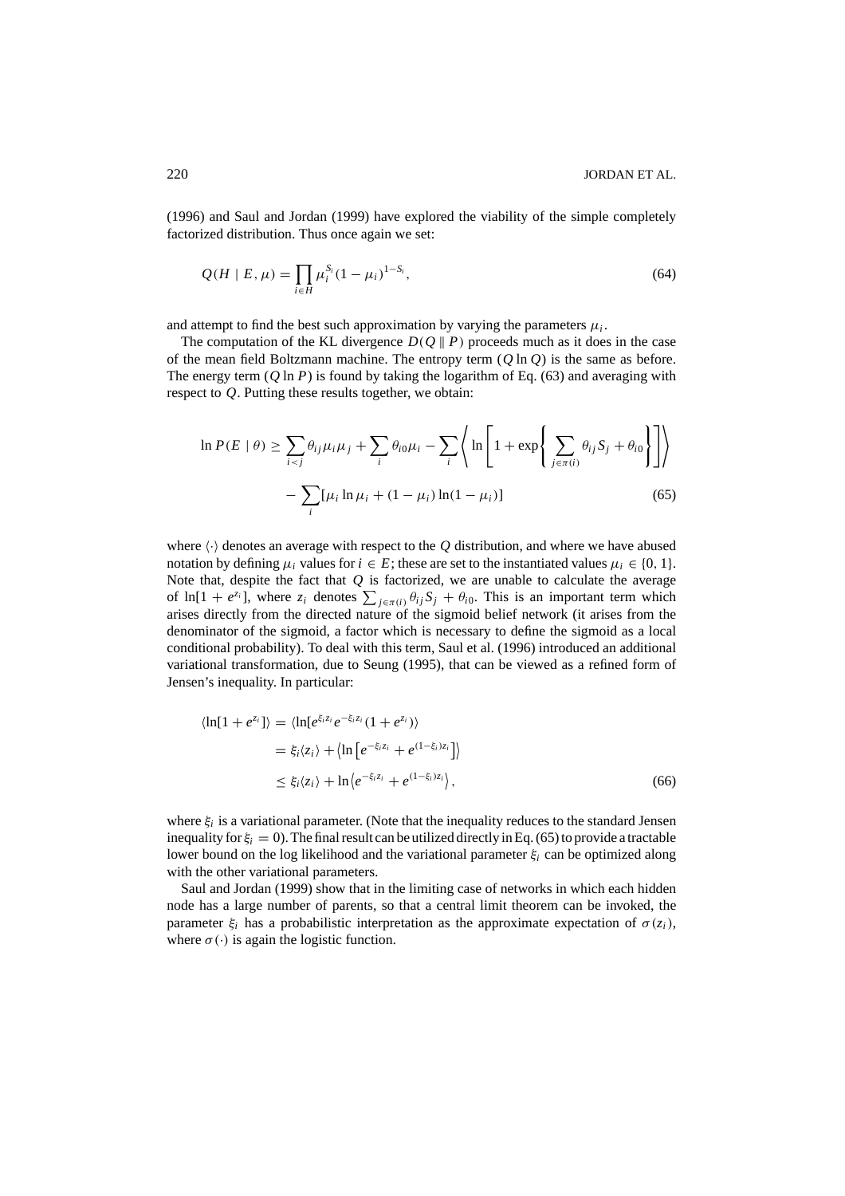(1996) and Saul and Jordan (1999) have explored the viability of the simple completely factorized distribution. Thus once again we set:

$$
Q(H \mid E, \mu) = \prod_{i \in H} \mu_i^{S_i} (1 - \mu_i)^{1 - S_i},\tag{64}
$$

and attempt to find the best such approximation by varying the parameters  $\mu_i$ .

The computation of the KL divergence  $D(Q \parallel P)$  proceeds much as it does in the case of the mean field Boltzmann machine. The entropy term (*Q* ln *Q*) is the same as before. The energy term  $(Q \ln P)$  is found by taking the logarithm of Eq. (63) and averaging with respect to *Q*. Putting these results together, we obtain:

$$
\ln P(E \mid \theta) \ge \sum_{i < j} \theta_{ij} \mu_i \mu_j + \sum_i \theta_{i0} \mu_i - \sum_i \left\langle \ln \left[ 1 + \exp \left\{ \sum_{j \in \pi(i)} \theta_{ij} S_j + \theta_{i0} \right\} \right] \right\rangle
$$
\n
$$
- \sum_i [\mu_i \ln \mu_i + (1 - \mu_i) \ln(1 - \mu_i)] \tag{65}
$$

where  $\langle \cdot \rangle$  denotes an average with respect to the *Q* distribution, and where we have abused notation by defining  $\mu_i$  values for  $i \in E$ ; these are set to the instantiated values  $\mu_i \in \{0, 1\}$ . Note that, despite the fact that  $Q$  is factorized, we are unable to calculate the average of ln[1 +  $e^{z_i}$ ], where  $z_i$  denotes  $\sum_{j \in \pi(i)} \theta_{ij} S_j + \theta_{i0}$ . This is an important term which arises directly from the directed nature of the sigmoid belief network (it arises from the denominator of the sigmoid, a factor which is necessary to define the sigmoid as a local conditional probability). To deal with this term, Saul et al. (1996) introduced an additional variational transformation, due to Seung (1995), that can be viewed as a refined form of Jensen's inequality. In particular:

$$
\langle \ln[1 + e^{z_i}] \rangle = \langle \ln[e^{\xi_i z_i} e^{-\xi_i z_i} (1 + e^{z_i}) \rangle
$$
  

$$
= \xi_i \langle z_i \rangle + \langle \ln[e^{-\xi_i z_i} + e^{(1 - \xi_i) z_i}] \rangle
$$
  

$$
\leq \xi_i \langle z_i \rangle + \ln \langle e^{-\xi_i z_i} + e^{(1 - \xi_i) z_i} \rangle,
$$
 (66)

where  $\xi_i$  is a variational parameter. (Note that the inequality reduces to the standard Jensen inequality for  $\xi$ <sub>*i*</sub> = 0). The final result can be utilized directly in Eq. (65) to provide a tractable lower bound on the log likelihood and the variational parameter ξ*<sup>i</sup>* can be optimized along with the other variational parameters.

Saul and Jordan (1999) show that in the limiting case of networks in which each hidden node has a large number of parents, so that a central limit theorem can be invoked, the parameter  $\xi$ <sup>*i*</sup> has a probabilistic interpretation as the approximate expectation of  $\sigma(z_i)$ , where  $\sigma(\cdot)$  is again the logistic function.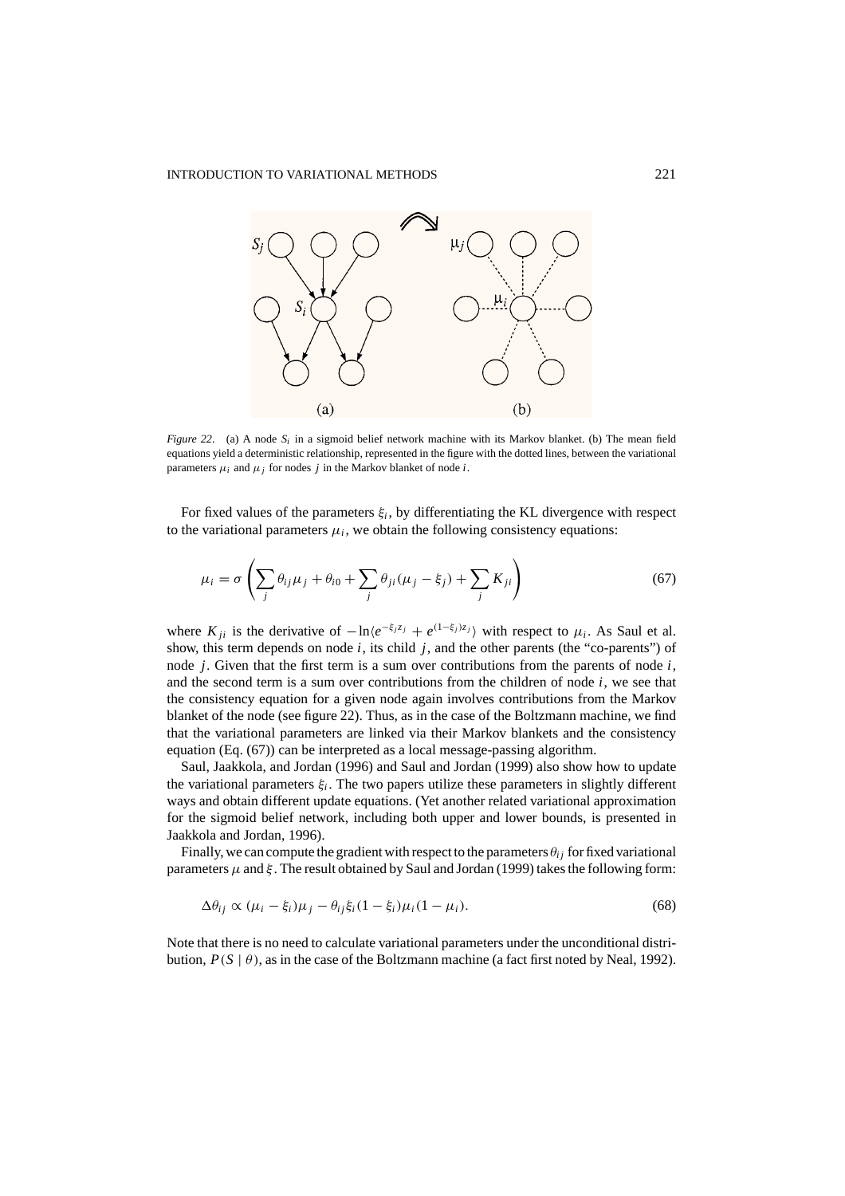

*Figure* 22. (a) A node  $S_i$  in a sigmoid belief network machine with its Markov blanket. (b) The mean field equations yield a deterministic relationship, represented in the figure with the dotted lines, between the variational parameters  $\mu_i$  and  $\mu_j$  for nodes *j* in the Markov blanket of node *i*.

For fixed values of the parameters  $\xi_i$ , by differentiating the KL divergence with respect to the variational parameters  $\mu_i$ , we obtain the following consistency equations:

$$
\mu_i = \sigma \left( \sum_j \theta_{ij} \mu_j + \theta_{i0} + \sum_j \theta_{ji} (\mu_j - \xi_j) + \sum_j K_{ji} \right) \tag{67}
$$

where  $K_{ii}$  is the derivative of  $-\ln\langle e^{-\xi_j z_j} + e^{(1-\xi_j)z_j} \rangle$  with respect to  $\mu_i$ . As Saul et al. show, this term depends on node *i*, its child *j*, and the other parents (the "co-parents") of node  $j$ . Given that the first term is a sum over contributions from the parents of node  $i$ , and the second term is a sum over contributions from the children of node *i*, we see that the consistency equation for a given node again involves contributions from the Markov blanket of the node (see figure 22). Thus, as in the case of the Boltzmann machine, we find that the variational parameters are linked via their Markov blankets and the consistency equation (Eq. (67)) can be interpreted as a local message-passing algorithm.

Saul, Jaakkola, and Jordan (1996) and Saul and Jordan (1999) also show how to update the variational parameters  $\xi_i$ . The two papers utilize these parameters in slightly different ways and obtain different update equations. (Yet another related variational approximation for the sigmoid belief network, including both upper and lower bounds, is presented in Jaakkola and Jordan, 1996).

Finally, we can compute the gradient with respect to the parameters  $\theta_{ij}$  for fixed variational parameters  $\mu$  and  $\xi$ . The result obtained by Saul and Jordan (1999) takes the following form:

$$
\Delta \theta_{ij} \propto (\mu_i - \xi_i) \mu_j - \theta_{ij} \xi_i (1 - \xi_i) \mu_i (1 - \mu_i). \tag{68}
$$

Note that there is no need to calculate variational parameters under the unconditional distribution,  $P(S | \theta)$ , as in the case of the Boltzmann machine (a fact first noted by Neal, 1992).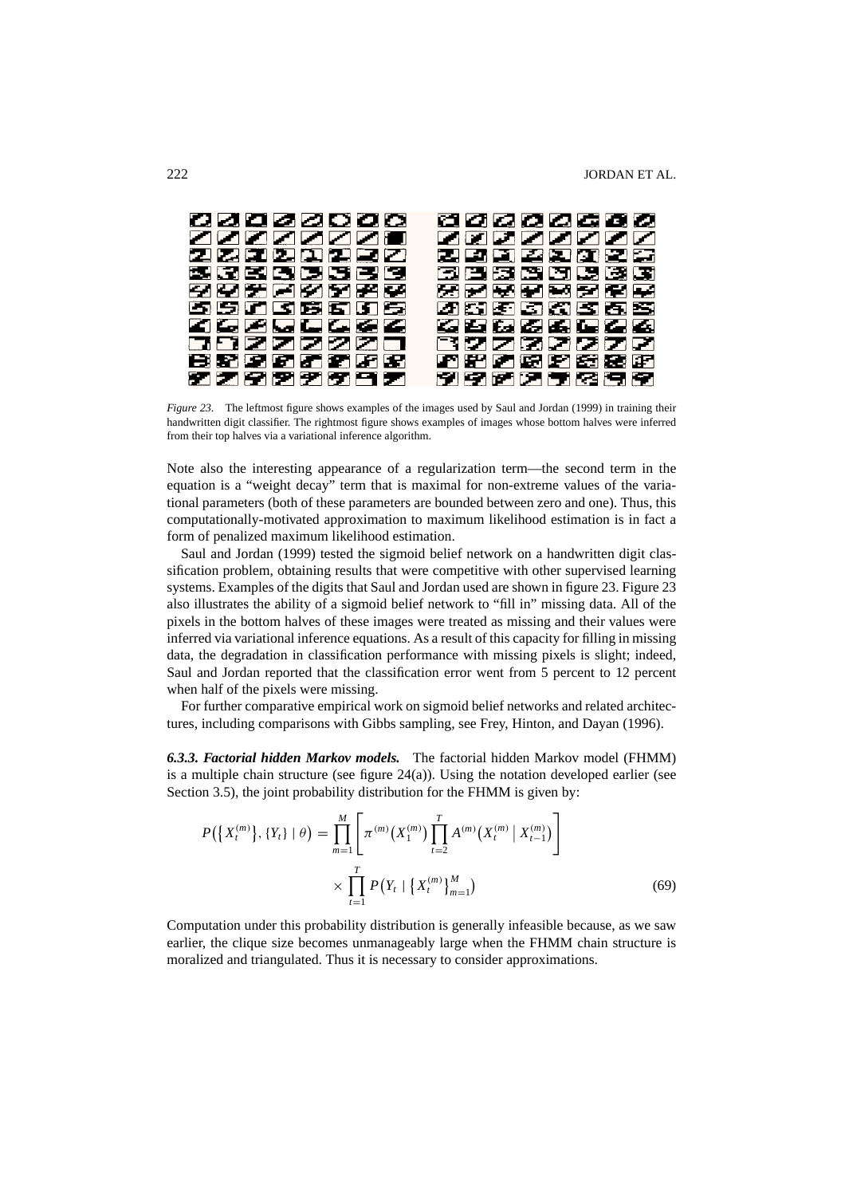

*Figure 23*. The leftmost figure shows examples of the images used by Saul and Jordan (1999) in training their handwritten digit classifier. The rightmost figure shows examples of images whose bottom halves were inferred from their top halves via a variational inference algorithm.

Note also the interesting appearance of a regularization term—the second term in the equation is a "weight decay" term that is maximal for non-extreme values of the variational parameters (both of these parameters are bounded between zero and one). Thus, this computationally-motivated approximation to maximum likelihood estimation is in fact a form of penalized maximum likelihood estimation.

Saul and Jordan (1999) tested the sigmoid belief network on a handwritten digit classification problem, obtaining results that were competitive with other supervised learning systems. Examples of the digits that Saul and Jordan used are shown in figure 23. Figure 23 also illustrates the ability of a sigmoid belief network to "fill in" missing data. All of the pixels in the bottom halves of these images were treated as missing and their values were inferred via variational inference equations. As a result of this capacity for filling in missing data, the degradation in classification performance with missing pixels is slight; indeed, Saul and Jordan reported that the classification error went from 5 percent to 12 percent when half of the pixels were missing.

For further comparative empirical work on sigmoid belief networks and related architectures, including comparisons with Gibbs sampling, see Frey, Hinton, and Dayan (1996).

*6.3.3. Factorial hidden Markov models.* The factorial hidden Markov model (FHMM) is a multiple chain structure (see figure  $24(a)$ ). Using the notation developed earlier (see Section 3.5), the joint probability distribution for the FHMM is given by:

$$
P(\lbrace X_t^{(m)}\rbrace, \lbrace Y_t \rbrace | \theta) = \prod_{m=1}^{M} \left[ \pi^{(m)}(X_1^{(m)}) \prod_{t=2}^{T} A^{(m)}(X_t^{(m)} | X_{t-1}^{(m)}) \right] \times \prod_{t=1}^{T} P(Y_t | \lbrace X_t^{(m)} \rbrace_{m=1}^{M})
$$
(69)

Computation under this probability distribution is generally infeasible because, as we saw earlier, the clique size becomes unmanageably large when the FHMM chain structure is moralized and triangulated. Thus it is necessary to consider approximations.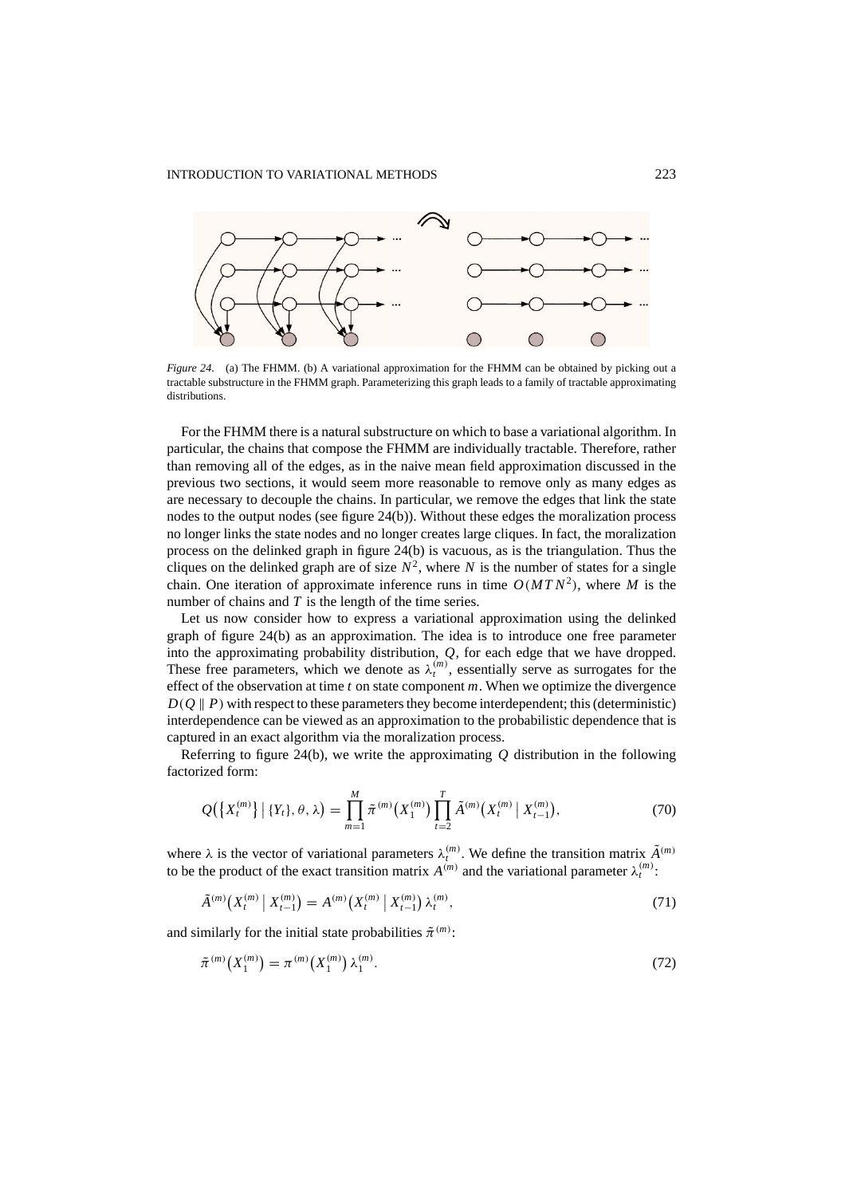

*Figure 24*. (a) The FHMM. (b) A variational approximation for the FHMM can be obtained by picking out a tractable substructure in the FHMM graph. Parameterizing this graph leads to a family of tractable approximating distributions.

For the FHMM there is a natural substructure on which to base a variational algorithm. In particular, the chains that compose the FHMM are individually tractable. Therefore, rather than removing all of the edges, as in the naive mean field approximation discussed in the previous two sections, it would seem more reasonable to remove only as many edges as are necessary to decouple the chains. In particular, we remove the edges that link the state nodes to the output nodes (see figure 24(b)). Without these edges the moralization process no longer links the state nodes and no longer creates large cliques. In fact, the moralization process on the delinked graph in figure 24(b) is vacuous, as is the triangulation. Thus the cliques on the delinked graph are of size  $N^2$ , where *N* is the number of states for a single chain. One iteration of approximate inference runs in time  $O(MTN^2)$ , where *M* is the number of chains and *T* is the length of the time series.

Let us now consider how to express a variational approximation using the delinked graph of figure 24(b) as an approximation. The idea is to introduce one free parameter into the approximating probability distribution, *Q*, for each edge that we have dropped. These free parameters, which we denote as  $\lambda_t^{(m)}$ , essentially serve as surrogates for the effect of the observation at time *t* on state component *m*. When we optimize the divergence  $D(Q \parallel P)$  with respect to these parameters they become interdependent; this (deterministic) interdependence can be viewed as an approximation to the probabilistic dependence that is captured in an exact algorithm via the moralization process.

Referring to figure 24(b), we write the approximating *Q* distribution in the following factorized form:

$$
Q(\lbrace X_t^{(m)} \rbrace | \lbrace Y_t \rbrace, \theta, \lambda) = \prod_{m=1}^{M} \tilde{\pi}^{(m)}(X_1^{(m)}) \prod_{t=2}^{T} \tilde{A}^{(m)}(X_t^{(m)} | X_{t-1}^{(m)}), \tag{70}
$$

where  $\lambda$  is the vector of variational parameters  $\lambda_t^{(m)}$ . We define the transition matrix  $\tilde{A}^{(m)}$ to be the product of the exact transition matrix  $A^{(m)}$  and the variational parameter  $\lambda_t^{(m)}$ :

$$
\tilde{A}^{(m)}\left(X_t^{(m)}\,\big|\,X_{t-1}^{(m)}\right) = A^{(m)}\left(X_t^{(m)}\,\big|\,X_{t-1}^{(m)}\right)\lambda_t^{(m)},\tag{71}
$$

and similarly for the initial state probabilities  $\tilde{\pi}^{(m)}$ :

$$
\tilde{\pi}^{(m)}(X_1^{(m)}) = \pi^{(m)}(X_1^{(m)}) \lambda_1^{(m)}.
$$
\n(72)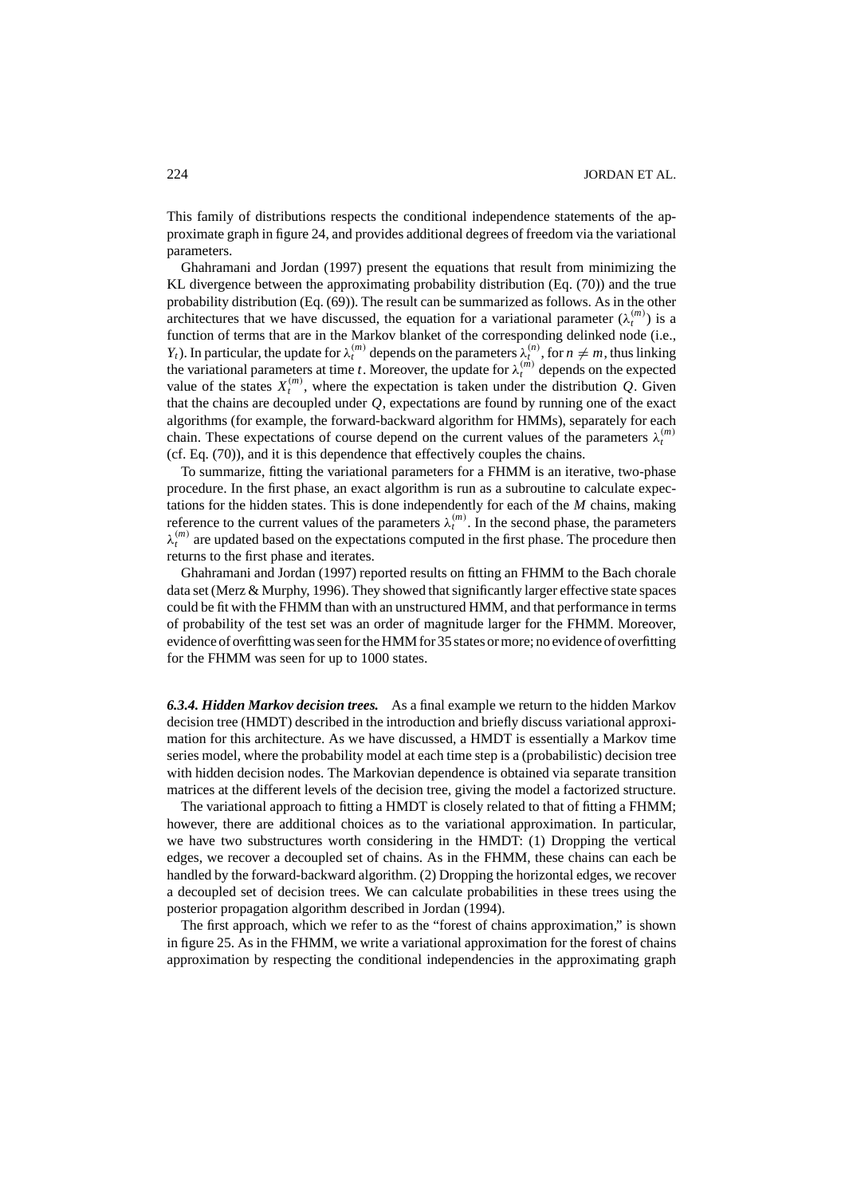This family of distributions respects the conditional independence statements of the approximate graph in figure 24, and provides additional degrees of freedom via the variational parameters.

Ghahramani and Jordan (1997) present the equations that result from minimizing the KL divergence between the approximating probability distribution (Eq. (70)) and the true probability distribution (Eq. (69)). The result can be summarized as follows. As in the other architectures that we have discussed, the equation for a variational parameter  $(\lambda_t^{(m)})$  is a function of terms that are in the Markov blanket of the corresponding delinked node (i.e., *Y<sub>t</sub>*). In particular, the update for  $\lambda_t^{(m)}$  depends on the parameters  $\lambda_t^{(n)}$ , for  $n \neq m$ , thus linking the variational parameters at time *t*. Moreover, the update for  $\lambda_t^{(m)}$  depends on the expected value of the states  $X_t^{(m)}$ , where the expectation is taken under the distribution *Q*. Given that the chains are decoupled under *Q*, expectations are found by running one of the exact algorithms (for example, the forward-backward algorithm for HMMs), separately for each chain. These expectations of course depend on the current values of the parameters  $\lambda_t^{(m)}$ (cf. Eq. (70)), and it is this dependence that effectively couples the chains.

To summarize, fitting the variational parameters for a FHMM is an iterative, two-phase procedure. In the first phase, an exact algorithm is run as a subroutine to calculate expectations for the hidden states. This is done independently for each of the *M* chains, making reference to the current values of the parameters  $\lambda_t^{(m)}$ . In the second phase, the parameters  $\lambda_t^{(m)}$  are updated based on the expectations computed in the first phase. The procedure then returns to the first phase and iterates.

Ghahramani and Jordan (1997) reported results on fitting an FHMM to the Bach chorale data set (Merz & Murphy, 1996). They showed that significantly larger effective state spaces could be fit with the FHMM than with an unstructured HMM, and that performance in terms of probability of the test set was an order of magnitude larger for the FHMM. Moreover, evidence of overfitting was seen for the HMM for 35 states or more; no evidence of overfitting for the FHMM was seen for up to 1000 states.

*6.3.4. Hidden Markov decision trees.* As a final example we return to the hidden Markov decision tree (HMDT) described in the introduction and briefly discuss variational approximation for this architecture. As we have discussed, a HMDT is essentially a Markov time series model, where the probability model at each time step is a (probabilistic) decision tree with hidden decision nodes. The Markovian dependence is obtained via separate transition matrices at the different levels of the decision tree, giving the model a factorized structure.

The variational approach to fitting a HMDT is closely related to that of fitting a FHMM; however, there are additional choices as to the variational approximation. In particular, we have two substructures worth considering in the HMDT: (1) Dropping the vertical edges, we recover a decoupled set of chains. As in the FHMM, these chains can each be handled by the forward-backward algorithm. (2) Dropping the horizontal edges, we recover a decoupled set of decision trees. We can calculate probabilities in these trees using the posterior propagation algorithm described in Jordan (1994).

The first approach, which we refer to as the "forest of chains approximation," is shown in figure 25. As in the FHMM, we write a variational approximation for the forest of chains approximation by respecting the conditional independencies in the approximating graph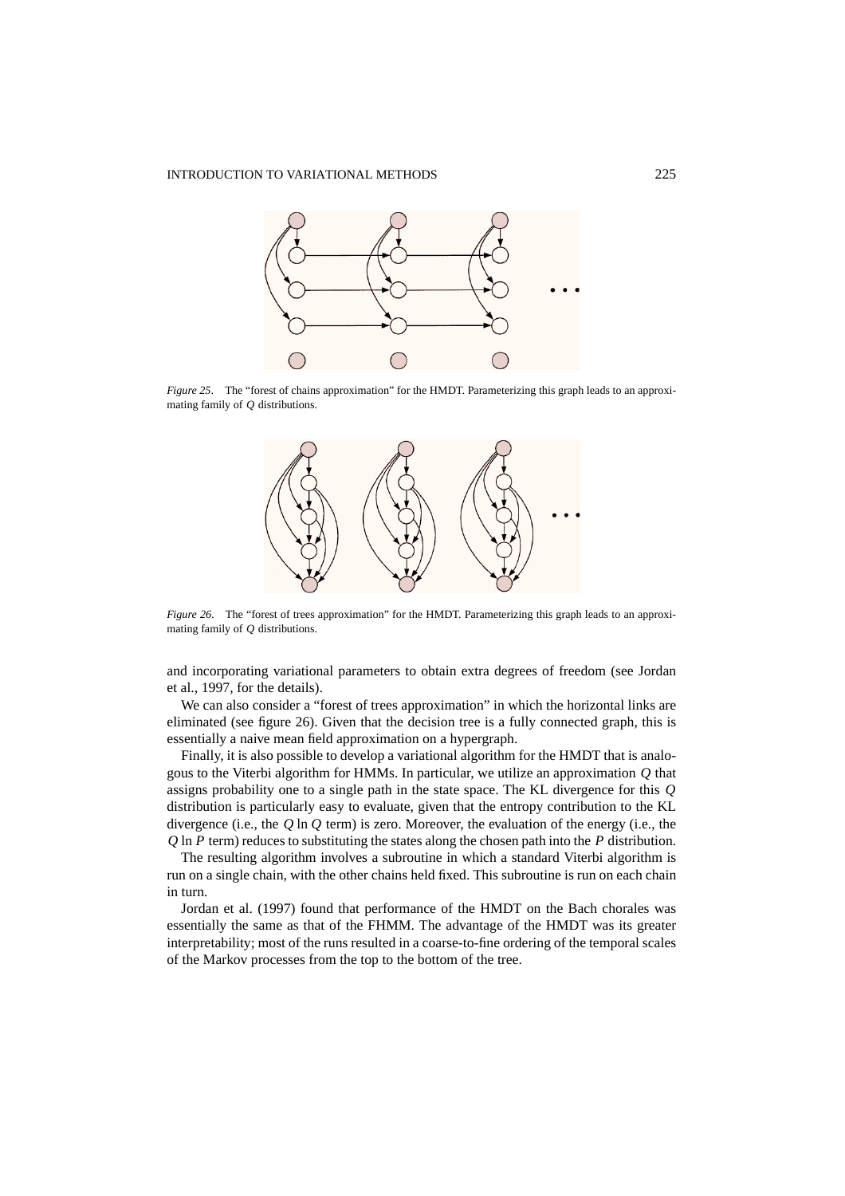

*Figure 25.* The "forest of chains approximation" for the HMDT. Parameterizing this graph leads to an approximating family of *Q* distributions.



*Figure 26*. The "forest of trees approximation" for the HMDT. Parameterizing this graph leads to an approximating family of *Q* distributions.

and incorporating variational parameters to obtain extra degrees of freedom (see Jordan et al., 1997, for the details).

We can also consider a "forest of trees approximation" in which the horizontal links are eliminated (see figure 26). Given that the decision tree is a fully connected graph, this is essentially a naive mean field approximation on a hypergraph.

Finally, it is also possible to develop a variational algorithm for the HMDT that is analogous to the Viterbi algorithm for HMMs. In particular, we utilize an approximation *Q* that assigns probability one to a single path in the state space. The KL divergence for this *Q* distribution is particularly easy to evaluate, given that the entropy contribution to the KL divergence (i.e., the *Q* ln *Q* term) is zero. Moreover, the evaluation of the energy (i.e., the *Q* ln *P* term) reduces to substituting the states along the chosen path into the *P* distribution.

The resulting algorithm involves a subroutine in which a standard Viterbi algorithm is run on a single chain, with the other chains held fixed. This subroutine is run on each chain in turn.

Jordan et al. (1997) found that performance of the HMDT on the Bach chorales was essentially the same as that of the FHMM. The advantage of the HMDT was its greater interpretability; most of the runs resulted in a coarse-to-fine ordering of the temporal scales of the Markov processes from the top to the bottom of the tree.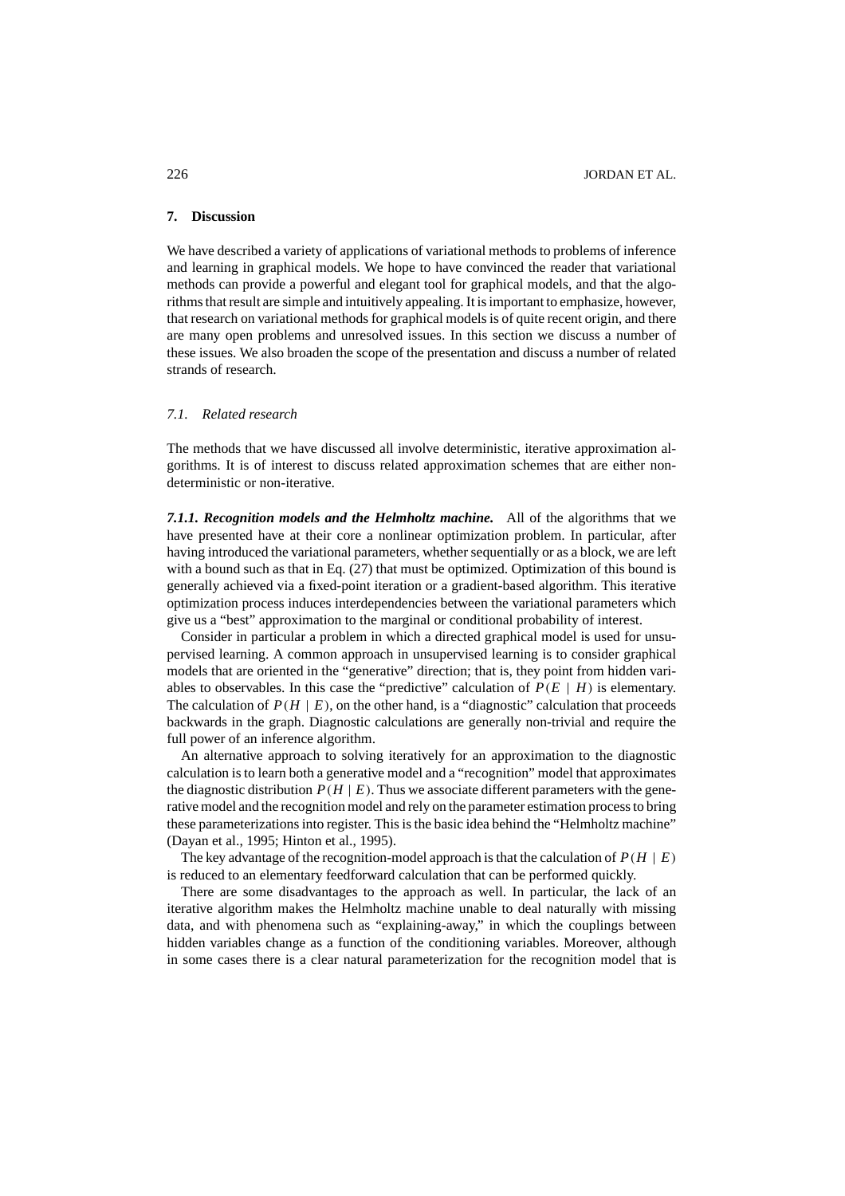#### **7. Discussion**

We have described a variety of applications of variational methods to problems of inference and learning in graphical models. We hope to have convinced the reader that variational methods can provide a powerful and elegant tool for graphical models, and that the algorithms that result are simple and intuitively appealing. It is important to emphasize, however, that research on variational methods for graphical models is of quite recent origin, and there are many open problems and unresolved issues. In this section we discuss a number of these issues. We also broaden the scope of the presentation and discuss a number of related strands of research.

# *7.1. Related research*

The methods that we have discussed all involve deterministic, iterative approximation algorithms. It is of interest to discuss related approximation schemes that are either nondeterministic or non-iterative.

*7.1.1. Recognition models and the Helmholtz machine.* All of the algorithms that we have presented have at their core a nonlinear optimization problem. In particular, after having introduced the variational parameters, whether sequentially or as a block, we are left with a bound such as that in Eq. (27) that must be optimized. Optimization of this bound is generally achieved via a fixed-point iteration or a gradient-based algorithm. This iterative optimization process induces interdependencies between the variational parameters which give us a "best" approximation to the marginal or conditional probability of interest.

Consider in particular a problem in which a directed graphical model is used for unsupervised learning. A common approach in unsupervised learning is to consider graphical models that are oriented in the "generative" direction; that is, they point from hidden variables to observables. In this case the "predictive" calculation of  $P(E | H)$  is elementary. The calculation of  $P(H \mid E)$ , on the other hand, is a "diagnostic" calculation that proceeds backwards in the graph. Diagnostic calculations are generally non-trivial and require the full power of an inference algorithm.

An alternative approach to solving iteratively for an approximation to the diagnostic calculation is to learn both a generative model and a "recognition" model that approximates the diagnostic distribution  $P(H | E)$ . Thus we associate different parameters with the generative model and the recognition model and rely on the parameter estimation process to bring these parameterizations into register. This is the basic idea behind the "Helmholtz machine" (Dayan et al., 1995; Hinton et al., 1995).

The key advantage of the recognition-model approach is that the calculation of  $P(H | E)$ is reduced to an elementary feedforward calculation that can be performed quickly.

There are some disadvantages to the approach as well. In particular, the lack of an iterative algorithm makes the Helmholtz machine unable to deal naturally with missing data, and with phenomena such as "explaining-away," in which the couplings between hidden variables change as a function of the conditioning variables. Moreover, although in some cases there is a clear natural parameterization for the recognition model that is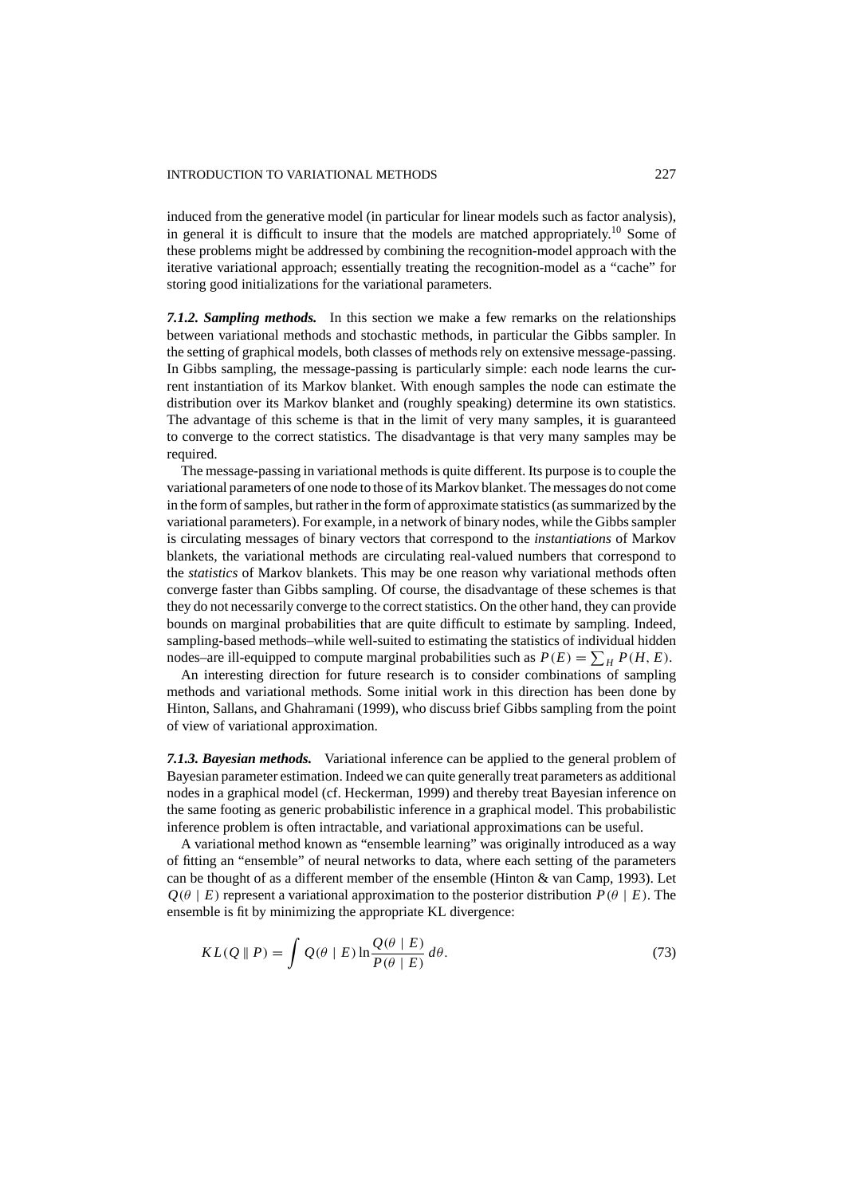#### INTRODUCTION TO VARIATIONAL METHODS 227

induced from the generative model (in particular for linear models such as factor analysis), in general it is difficult to insure that the models are matched appropriately.10 Some of these problems might be addressed by combining the recognition-model approach with the iterative variational approach; essentially treating the recognition-model as a "cache" for storing good initializations for the variational parameters.

*7.1.2. Sampling methods.* In this section we make a few remarks on the relationships between variational methods and stochastic methods, in particular the Gibbs sampler. In the setting of graphical models, both classes of methods rely on extensive message-passing. In Gibbs sampling, the message-passing is particularly simple: each node learns the current instantiation of its Markov blanket. With enough samples the node can estimate the distribution over its Markov blanket and (roughly speaking) determine its own statistics. The advantage of this scheme is that in the limit of very many samples, it is guaranteed to converge to the correct statistics. The disadvantage is that very many samples may be required.

The message-passing in variational methods is quite different. Its purpose is to couple the variational parameters of one node to those of its Markov blanket. The messages do not come in the form of samples, but rather in the form of approximate statistics (as summarized by the variational parameters). For example, in a network of binary nodes, while the Gibbs sampler is circulating messages of binary vectors that correspond to the *instantiations* of Markov blankets, the variational methods are circulating real-valued numbers that correspond to the *statistics* of Markov blankets. This may be one reason why variational methods often converge faster than Gibbs sampling. Of course, the disadvantage of these schemes is that they do not necessarily converge to the correct statistics. On the other hand, they can provide bounds on marginal probabilities that are quite difficult to estimate by sampling. Indeed, sampling-based methods–while well-suited to estimating the statistics of individual hidden nodes–are ill-equipped to compute marginal probabilities such as  $P(E) = \sum_{H} P(H, E)$ .

An interesting direction for future research is to consider combinations of sampling methods and variational methods. Some initial work in this direction has been done by Hinton, Sallans, and Ghahramani (1999), who discuss brief Gibbs sampling from the point of view of variational approximation.

*7.1.3. Bayesian methods.* Variational inference can be applied to the general problem of Bayesian parameter estimation. Indeed we can quite generally treat parameters as additional nodes in a graphical model (cf. Heckerman, 1999) and thereby treat Bayesian inference on the same footing as generic probabilistic inference in a graphical model. This probabilistic inference problem is often intractable, and variational approximations can be useful.

A variational method known as "ensemble learning" was originally introduced as a way of fitting an "ensemble" of neural networks to data, where each setting of the parameters can be thought of as a different member of the ensemble (Hinton & van Camp, 1993). Let  $Q(\theta | E)$  represent a variational approximation to the posterior distribution  $P(\theta | E)$ . The ensemble is fit by minimizing the appropriate KL divergence:

$$
KL(Q \parallel P) = \int Q(\theta \mid E) \ln \frac{Q(\theta \mid E)}{P(\theta \mid E)} d\theta.
$$
\n(73)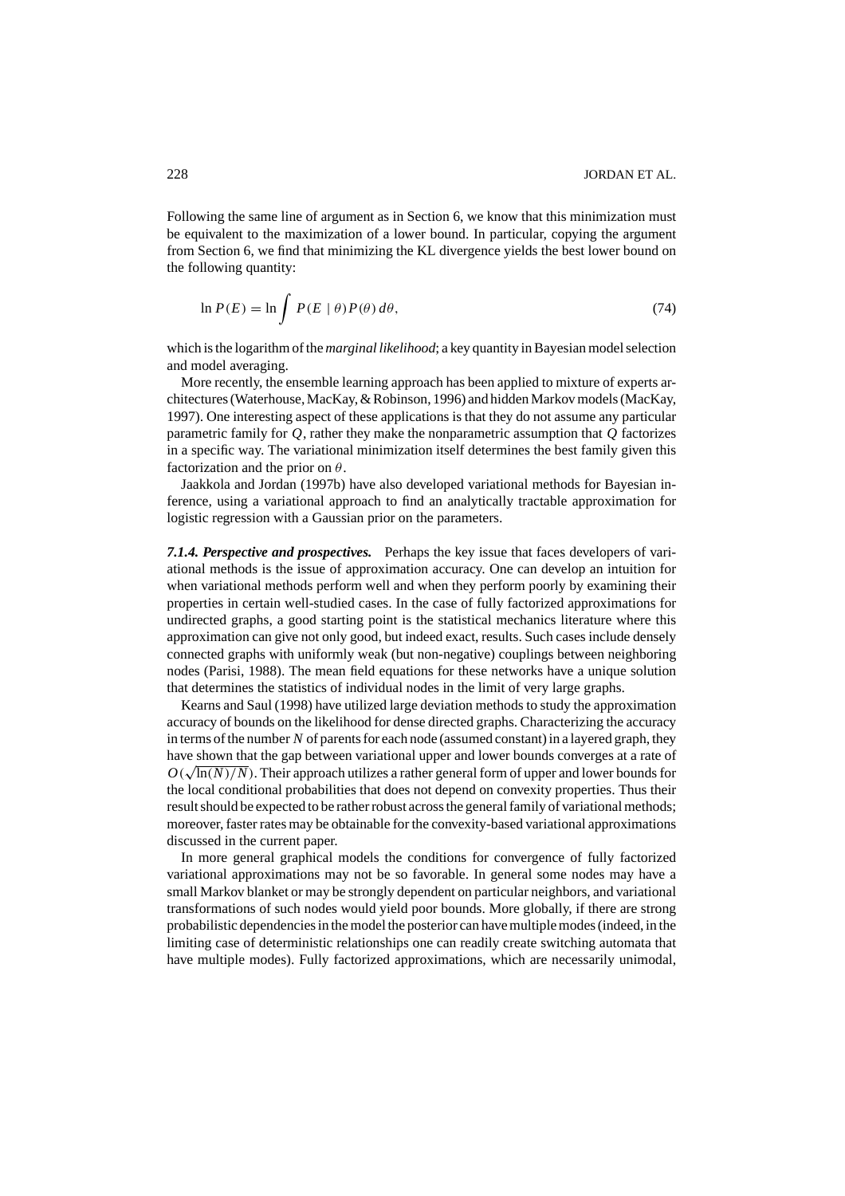Following the same line of argument as in Section 6, we know that this minimization must be equivalent to the maximization of a lower bound. In particular, copying the argument from Section 6, we find that minimizing the KL divergence yields the best lower bound on the following quantity:

$$
\ln P(E) = \ln \int P(E \mid \theta) P(\theta) d\theta,
$$
\n(74)

which is the logarithm of the *marginal likelihood*; a key quantity in Bayesian model selection and model averaging.

More recently, the ensemble learning approach has been applied to mixture of experts architectures (Waterhouse, MacKay, & Robinson, 1996) and hidden Markov models (MacKay, 1997). One interesting aspect of these applications is that they do not assume any particular parametric family for *Q*, rather they make the nonparametric assumption that *Q* factorizes in a specific way. The variational minimization itself determines the best family given this factorization and the prior on  $\theta$ .

Jaakkola and Jordan (1997b) have also developed variational methods for Bayesian inference, using a variational approach to find an analytically tractable approximation for logistic regression with a Gaussian prior on the parameters.

*7.1.4. Perspective and prospectives.* Perhaps the key issue that faces developers of variational methods is the issue of approximation accuracy. One can develop an intuition for when variational methods perform well and when they perform poorly by examining their properties in certain well-studied cases. In the case of fully factorized approximations for undirected graphs, a good starting point is the statistical mechanics literature where this approximation can give not only good, but indeed exact, results. Such cases include densely connected graphs with uniformly weak (but non-negative) couplings between neighboring nodes (Parisi, 1988). The mean field equations for these networks have a unique solution that determines the statistics of individual nodes in the limit of very large graphs.

Kearns and Saul (1998) have utilized large deviation methods to study the approximation accuracy of bounds on the likelihood for dense directed graphs. Characterizing the accuracy in terms of the number *N* of parents for each node (assumed constant) in a layered graph, they have shown that the gap between variational upper and lower bounds converges at a rate of rave shown that the gap between variational upper and lower bounds converges at a rate of  $O(\sqrt{\ln(N)/N})$ . Their approach utilizes a rather general form of upper and lower bounds for the local conditional probabilities that does not depend on convexity properties. Thus their result should be expected to be rather robust across the general family of variational methods; moreover, faster rates may be obtainable for the convexity-based variational approximations discussed in the current paper.

In more general graphical models the conditions for convergence of fully factorized variational approximations may not be so favorable. In general some nodes may have a small Markov blanket or may be strongly dependent on particular neighbors, and variational transformations of such nodes would yield poor bounds. More globally, if there are strong probabilistic dependencies in the model the posterior can have multiple modes (indeed, in the limiting case of deterministic relationships one can readily create switching automata that have multiple modes). Fully factorized approximations, which are necessarily unimodal,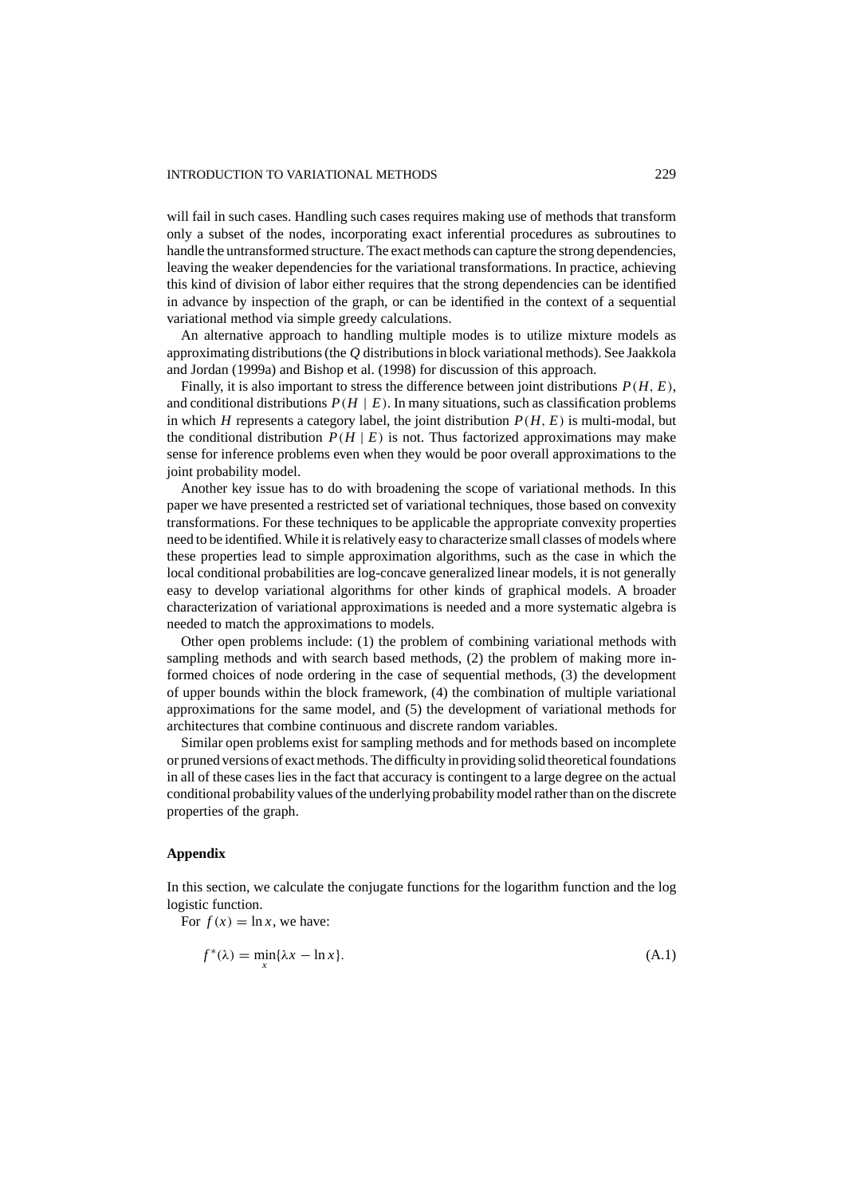#### INTRODUCTION TO VARIATIONAL METHODS 229

will fail in such cases. Handling such cases requires making use of methods that transform only a subset of the nodes, incorporating exact inferential procedures as subroutines to handle the untransformed structure. The exact methods can capture the strong dependencies, leaving the weaker dependencies for the variational transformations. In practice, achieving this kind of division of labor either requires that the strong dependencies can be identified in advance by inspection of the graph, or can be identified in the context of a sequential variational method via simple greedy calculations.

An alternative approach to handling multiple modes is to utilize mixture models as approximating distributions (the *Q* distributions in block variational methods). See Jaakkola and Jordan (1999a) and Bishop et al. (1998) for discussion of this approach.

Finally, it is also important to stress the difference between joint distributions  $P(H, E)$ , and conditional distributions  $P(H \mid E)$ . In many situations, such as classification problems in which *H* represents a category label, the joint distribution  $P(H, E)$  is multi-modal, but the conditional distribution  $P(H | E)$  is not. Thus factorized approximations may make sense for inference problems even when they would be poor overall approximations to the joint probability model.

Another key issue has to do with broadening the scope of variational methods. In this paper we have presented a restricted set of variational techniques, those based on convexity transformations. For these techniques to be applicable the appropriate convexity properties need to be identified. While it is relatively easy to characterize small classes of models where these properties lead to simple approximation algorithms, such as the case in which the local conditional probabilities are log-concave generalized linear models, it is not generally easy to develop variational algorithms for other kinds of graphical models. A broader characterization of variational approximations is needed and a more systematic algebra is needed to match the approximations to models.

Other open problems include: (1) the problem of combining variational methods with sampling methods and with search based methods, (2) the problem of making more informed choices of node ordering in the case of sequential methods, (3) the development of upper bounds within the block framework, (4) the combination of multiple variational approximations for the same model, and (5) the development of variational methods for architectures that combine continuous and discrete random variables.

Similar open problems exist for sampling methods and for methods based on incomplete or pruned versions of exact methods. The difficulty in providing solid theoretical foundations in all of these cases lies in the fact that accuracy is contingent to a large degree on the actual conditional probability values of the underlying probability model rather than on the discrete properties of the graph.

## **Appendix**

In this section, we calculate the conjugate functions for the logarithm function and the log logistic function.

For  $f(x) = \ln x$ , we have:

$$
f^*(\lambda) = \min_x \{ \lambda x - \ln x \}. \tag{A.1}
$$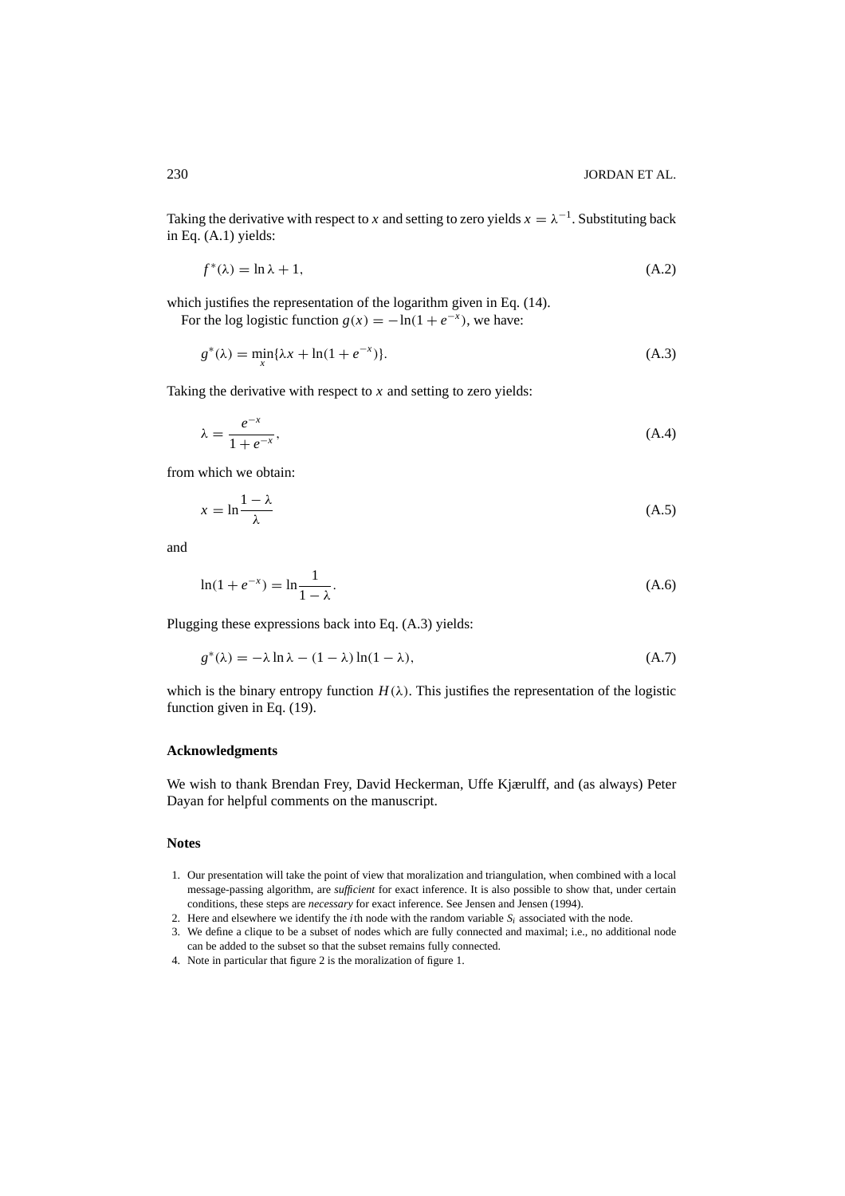Taking the derivative with respect to *x* and setting to zero yields  $x = \lambda^{-1}$ . Substituting back in Eq. (A.1) yields:

$$
f^*(\lambda) = \ln \lambda + 1,\tag{A.2}
$$

which justifies the representation of the logarithm given in Eq.  $(14)$ . For the log logistic function  $g(x) = -\ln(1 + e^{-x})$ , we have:

$$
g^*(\lambda) = \min_{x} \{ \lambda x + \ln(1 + e^{-x}) \}. \tag{A.3}
$$

Taking the derivative with respect to *x* and setting to zero yields:

$$
\lambda = \frac{e^{-x}}{1 + e^{-x}},\tag{A.4}
$$

from which we obtain:

$$
x = \ln \frac{1 - \lambda}{\lambda} \tag{A.5}
$$

and

$$
\ln(1 + e^{-x}) = \ln \frac{1}{1 - \lambda}.
$$
\n(A.6)

Plugging these expressions back into Eq. (A.3) yields:

$$
g^*(\lambda) = -\lambda \ln \lambda - (1 - \lambda) \ln(1 - \lambda),\tag{A.7}
$$

which is the binary entropy function  $H(\lambda)$ . This justifies the representation of the logistic function given in Eq. (19).

# **Acknowledgments**

We wish to thank Brendan Frey, David Heckerman, Uffe Kjærulff, and (as always) Peter Dayan for helpful comments on the manuscript.

## **Notes**

- 1. Our presentation will take the point of view that moralization and triangulation, when combined with a local message-passing algorithm, are *sufficient* for exact inference. It is also possible to show that, under certain conditions, these steps are *necessary* for exact inference. See Jensen and Jensen (1994).
- 2. Here and elsewhere we identify the  $i$ th node with the random variable  $S_i$  associated with the node.
- 3. We define a clique to be a subset of nodes which are fully connected and maximal; i.e., no additional node can be added to the subset so that the subset remains fully connected.
- 4. Note in particular that figure 2 is the moralization of figure 1.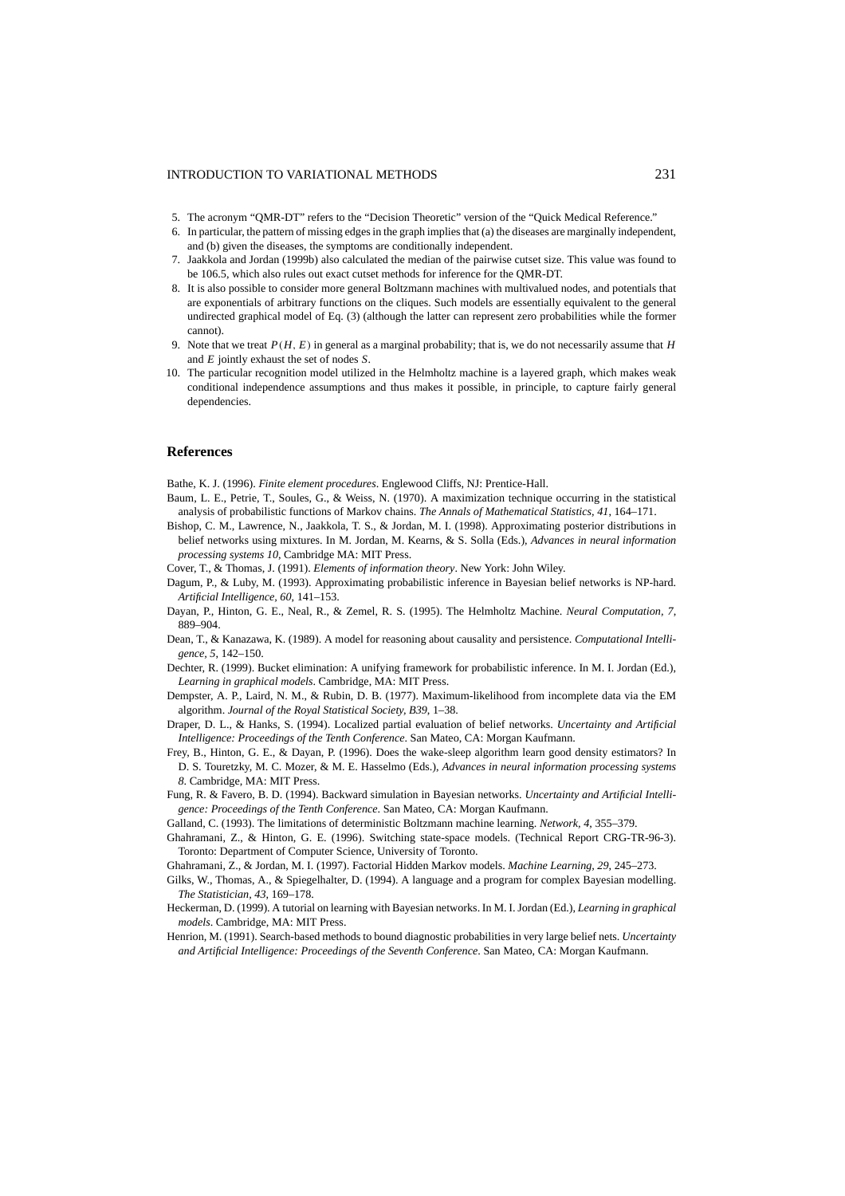#### INTRODUCTION TO VARIATIONAL METHODS 231

- 5. The acronym "QMR-DT" refers to the "Decision Theoretic" version of the "Quick Medical Reference."
- 6. In particular, the pattern of missing edges in the graph implies that (a) the diseases are marginally independent, and (b) given the diseases, the symptoms are conditionally independent.
- 7. Jaakkola and Jordan (1999b) also calculated the median of the pairwise cutset size. This value was found to be 106.5, which also rules out exact cutset methods for inference for the QMR-DT.
- 8. It is also possible to consider more general Boltzmann machines with multivalued nodes, and potentials that are exponentials of arbitrary functions on the cliques. Such models are essentially equivalent to the general undirected graphical model of Eq. (3) (although the latter can represent zero probabilities while the former cannot).
- 9. Note that we treat *P*(*H*, *E*) in general as a marginal probability; that is, we do not necessarily assume that *H* and *E* jointly exhaust the set of nodes *S*.
- 10. The particular recognition model utilized in the Helmholtz machine is a layered graph, which makes weak conditional independence assumptions and thus makes it possible, in principle, to capture fairly general dependencies.

## **References**

Bathe, K. J. (1996). *Finite element procedures*. Englewood Cliffs, NJ: Prentice-Hall.

- Baum, L. E., Petrie, T., Soules, G., & Weiss, N. (1970). A maximization technique occurring in the statistical analysis of probabilistic functions of Markov chains. *The Annals of Mathematical Statistics, 41*, 164–171.
- Bishop, C. M., Lawrence, N., Jaakkola, T. S., & Jordan, M. I. (1998). Approximating posterior distributions in belief networks using mixtures. In M. Jordan, M. Kearns, & S. Solla (Eds.), *Advances in neural information processing systems 10*, Cambridge MA: MIT Press.
- Cover, T., & Thomas, J. (1991). *Elements of information theory*. New York: John Wiley.
- Dagum, P., & Luby, M. (1993). Approximating probabilistic inference in Bayesian belief networks is NP-hard. *Artificial Intelligence, 60*, 141–153.
- Dayan, P., Hinton, G. E., Neal, R., & Zemel, R. S. (1995). The Helmholtz Machine. *Neural Computation, 7*, 889–904.
- Dean, T., & Kanazawa, K. (1989). A model for reasoning about causality and persistence. *Computational Intelligence, 5*, 142–150.
- Dechter, R. (1999). Bucket elimination: A unifying framework for probabilistic inference. In M. I. Jordan (Ed.), *Learning in graphical models*. Cambridge, MA: MIT Press.
- Dempster, A. P., Laird, N. M., & Rubin, D. B. (1977). Maximum-likelihood from incomplete data via the EM algorithm. *Journal of the Royal Statistical Society, B39*, 1–38.
- Draper, D. L., & Hanks, S. (1994). Localized partial evaluation of belief networks. *Uncertainty and Artificial Intelligence: Proceedings of the Tenth Conference*. San Mateo, CA: Morgan Kaufmann.
- Frey, B., Hinton, G. E., & Dayan, P. (1996). Does the wake-sleep algorithm learn good density estimators? In D. S. Touretzky, M. C. Mozer, & M. E. Hasselmo (Eds.), *Advances in neural information processing systems 8*. Cambridge, MA: MIT Press.
- Fung, R. & Favero, B. D. (1994). Backward simulation in Bayesian networks. *Uncertainty and Artificial Intelligence: Proceedings of the Tenth Conference*. San Mateo, CA: Morgan Kaufmann.
- Galland, C. (1993). The limitations of deterministic Boltzmann machine learning. *Network, 4*, 355–379.
- Ghahramani, Z., & Hinton, G. E. (1996). Switching state-space models. (Technical Report CRG-TR-96-3). Toronto: Department of Computer Science, University of Toronto.
- Ghahramani, Z., & Jordan, M. I. (1997). Factorial Hidden Markov models. *Machine Learning, 29*, 245–273.
- Gilks, W., Thomas, A., & Spiegelhalter, D. (1994). A language and a program for complex Bayesian modelling. *The Statistician, 43*, 169–178.
- Heckerman, D. (1999). A tutorial on learning with Bayesian networks. In M. I. Jordan (Ed.), *Learning in graphical models*. Cambridge, MA: MIT Press.
- Henrion, M. (1991). Search-based methods to bound diagnostic probabilities in very large belief nets. *Uncertainty and Artificial Intelligence: Proceedings of the Seventh Conference*. San Mateo, CA: Morgan Kaufmann.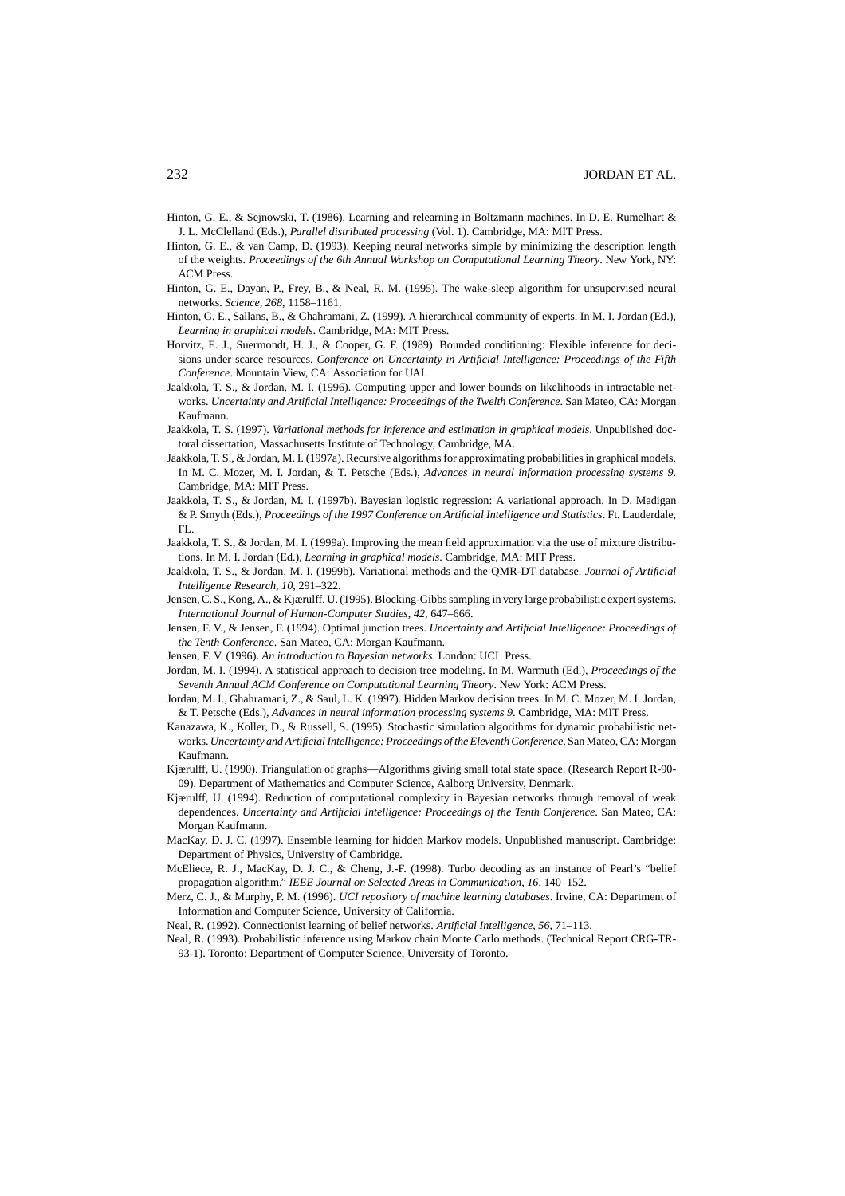- Hinton, G. E., & Sejnowski, T. (1986). Learning and relearning in Boltzmann machines. In D. E. Rumelhart & J. L. McClelland (Eds.), *Parallel distributed processing* (Vol. 1). Cambridge, MA: MIT Press.
- Hinton, G. E., & van Camp, D. (1993). Keeping neural networks simple by minimizing the description length of the weights. *Proceedings of the 6th Annual Workshop on Computational Learning Theory*. New York, NY: ACM Press.
- Hinton, G. E., Dayan, P., Frey, B., & Neal, R. M. (1995). The wake-sleep algorithm for unsupervised neural networks. *Science, 268*, 1158–1161.
- Hinton, G. E., Sallans, B., & Ghahramani, Z. (1999). A hierarchical community of experts. In M. I. Jordan (Ed.), *Learning in graphical models*. Cambridge, MA: MIT Press.
- Horvitz, E. J., Suermondt, H. J., & Cooper, G. F. (1989). Bounded conditioning: Flexible inference for decisions under scarce resources. *Conference on Uncertainty in Artificial Intelligence: Proceedings of the Fifth Conference*. Mountain View, CA: Association for UAI.
- Jaakkola, T. S., & Jordan, M. I. (1996). Computing upper and lower bounds on likelihoods in intractable networks. *Uncertainty and Artificial Intelligence: Proceedings of the Twelth Conference*. San Mateo, CA: Morgan Kaufmann.
- Jaakkola, T. S. (1997). *Variational methods for inference and estimation in graphical models*. Unpublished doctoral dissertation, Massachusetts Institute of Technology, Cambridge, MA.
- Jaakkola, T. S., & Jordan, M. I. (1997a). Recursive algorithms for approximating probabilities in graphical models. In M. C. Mozer, M. I. Jordan, & T. Petsche (Eds.), *Advances in neural information processing systems 9*. Cambridge, MA: MIT Press.
- Jaakkola, T. S., & Jordan, M. I. (1997b). Bayesian logistic regression: A variational approach. In D. Madigan & P. Smyth (Eds.), *Proceedings of the 1997 Conference on Artificial Intelligence and Statistics*. Ft. Lauderdale, FL.
- Jaakkola, T. S., & Jordan, M. I. (1999a). Improving the mean field approximation via the use of mixture distributions. In M. I. Jordan (Ed.), *Learning in graphical models*. Cambridge, MA: MIT Press.
- Jaakkola, T. S., & Jordan, M. I. (1999b). Variational methods and the QMR-DT database. *Journal of Artificial Intelligence Research, 10*, 291–322.
- Jensen, C. S., Kong, A., & Kjærulff, U. (1995). Blocking-Gibbs sampling in very large probabilistic expert systems. *International Journal of Human-Computer Studies, 42*, 647–666.
- Jensen, F. V., & Jensen, F. (1994). Optimal junction trees. *Uncertainty and Artificial Intelligence: Proceedings of the Tenth Conference*. San Mateo, CA: Morgan Kaufmann.
- Jensen, F. V. (1996). *An introduction to Bayesian networks*. London: UCL Press.
- Jordan, M. I. (1994). A statistical approach to decision tree modeling. In M. Warmuth (Ed.), *Proceedings of the Seventh Annual ACM Conference on Computational Learning Theory*. New York: ACM Press.
- Jordan, M. I., Ghahramani, Z., & Saul, L. K. (1997). Hidden Markov decision trees. In M. C. Mozer, M. I. Jordan, & T. Petsche (Eds.), *Advances in neural information processing systems 9*. Cambridge, MA: MIT Press.
- Kanazawa, K., Koller, D., & Russell, S. (1995). Stochastic simulation algorithms for dynamic probabilistic networks. *Uncertainty and Artificial Intelligence: Proceedings of the Eleventh Conference*. San Mateo, CA: Morgan Kaufmann.
- Kjærulff, U. (1990). Triangulation of graphs—Algorithms giving small total state space. (Research Report R-90- 09). Department of Mathematics and Computer Science, Aalborg University, Denmark.
- Kjærulff, U. (1994). Reduction of computational complexity in Bayesian networks through removal of weak dependences. *Uncertainty and Artificial Intelligence: Proceedings of the Tenth Conference*. San Mateo, CA: Morgan Kaufmann.
- MacKay, D. J. C. (1997). Ensemble learning for hidden Markov models. Unpublished manuscript. Cambridge: Department of Physics, University of Cambridge.
- McEliece, R. J., MacKay, D. J. C., & Cheng, J.-F. (1998). Turbo decoding as an instance of Pearl's "belief propagation algorithm." *IEEE Journal on Selected Areas in Communication, 16*, 140–152.
- Merz, C. J., & Murphy, P. M. (1996). *UCI repository of machine learning databases*. Irvine, CA: Department of Information and Computer Science, University of California.
- Neal, R. (1992). Connectionist learning of belief networks. *Artificial Intelligence, 56*, 71–113.
- Neal, R. (1993). Probabilistic inference using Markov chain Monte Carlo methods. (Technical Report CRG-TR-93-1). Toronto: Department of Computer Science, University of Toronto.